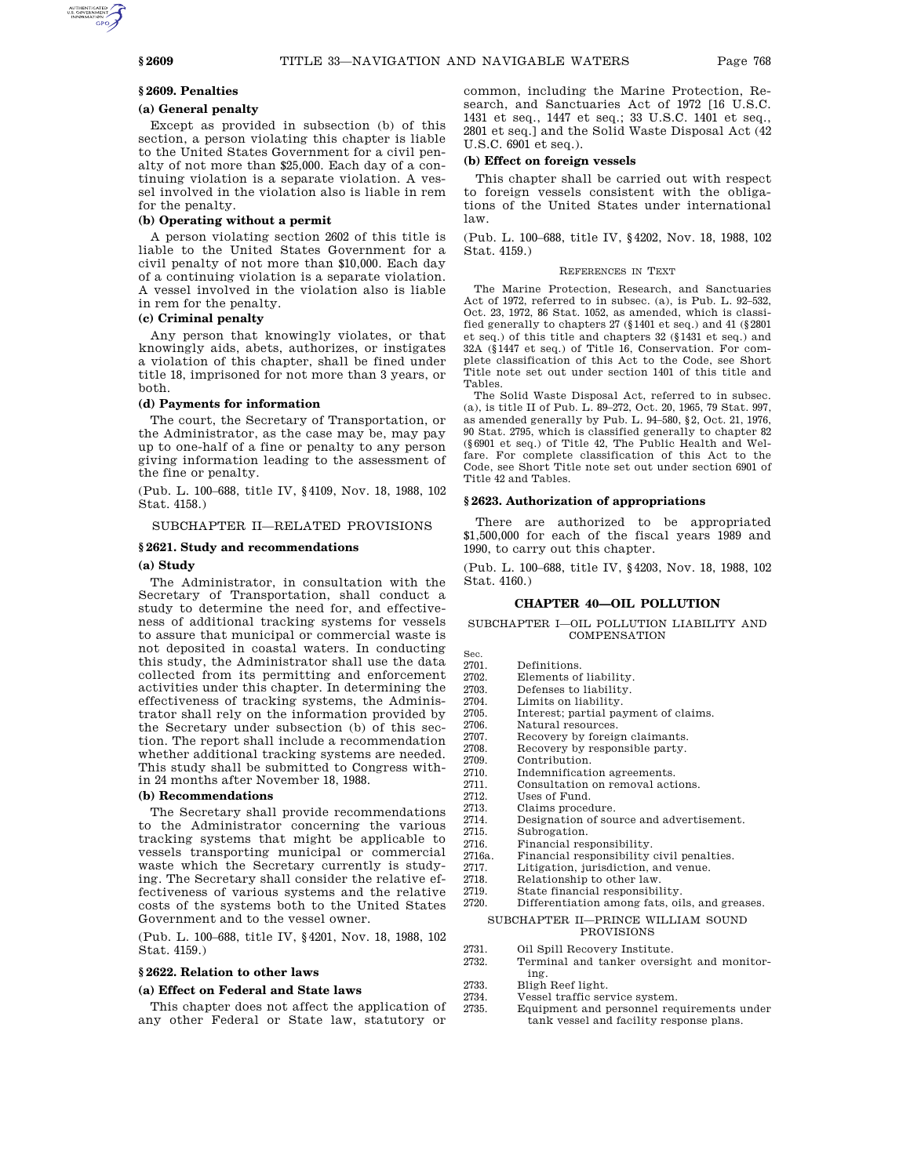### **§ 2609. Penalties**

### **(a) General penalty**

Except as provided in subsection (b) of this section, a person violating this chapter is liable to the United States Government for a civil penalty of not more than \$25,000. Each day of a continuing violation is a separate violation. A vessel involved in the violation also is liable in rem for the penalty.

### **(b) Operating without a permit**

A person violating section 2602 of this title is liable to the United States Government for a civil penalty of not more than \$10,000. Each day of a continuing violation is a separate violation. A vessel involved in the violation also is liable in rem for the penalty.

### **(c) Criminal penalty**

Any person that knowingly violates, or that knowingly aids, abets, authorizes, or instigates a violation of this chapter, shall be fined under title 18, imprisoned for not more than 3 years, or both.

### **(d) Payments for information**

The court, the Secretary of Transportation, or the Administrator, as the case may be, may pay up to one-half of a fine or penalty to any person giving information leading to the assessment of the fine or penalty.

(Pub. L. 100–688, title IV, §4109, Nov. 18, 1988, 102 Stat. 4158.)

### SUBCHAPTER II—RELATED PROVISIONS

### **§ 2621. Study and recommendations**

### **(a) Study**

The Administrator, in consultation with the Secretary of Transportation, shall conduct a study to determine the need for, and effectiveness of additional tracking systems for vessels to assure that municipal or commercial waste is not deposited in coastal waters. In conducting this study, the Administrator shall use the data collected from its permitting and enforcement activities under this chapter. In determining the effectiveness of tracking systems, the Administrator shall rely on the information provided by the Secretary under subsection (b) of this section. The report shall include a recommendation whether additional tracking systems are needed. This study shall be submitted to Congress within 24 months after November 18, 1988.

# **(b) Recommendations**

The Secretary shall provide recommendations to the Administrator concerning the various tracking systems that might be applicable to vessels transporting municipal or commercial waste which the Secretary currently is studying. The Secretary shall consider the relative effectiveness of various systems and the relative costs of the systems both to the United States Government and to the vessel owner.

(Pub. L. 100–688, title IV, §4201, Nov. 18, 1988, 102 Stat. 4159.)

# **§ 2622. Relation to other laws**

### **(a) Effect on Federal and State laws**

This chapter does not affect the application of any other Federal or State law, statutory or

common, including the Marine Protection, Research, and Sanctuaries Act of 1972 [16 U.S.C. 1431 et seq., 1447 et seq.; 33 U.S.C. 1401 et seq., 2801 et seq.] and the Solid Waste Disposal Act (42 U.S.C. 6901 et seq.).

## **(b) Effect on foreign vessels**

This chapter shall be carried out with respect to foreign vessels consistent with the obligations of the United States under international law.

(Pub. L. 100–688, title IV, §4202, Nov. 18, 1988, 102 Stat. 4159.)

### REFERENCES IN TEXT

The Marine Protection, Research, and Sanctuaries Act of 1972, referred to in subsec. (a), is Pub. L. 92–532, Oct. 23, 1972, 86 Stat. 1052, as amended, which is classified generally to chapters 27 (§1401 et seq.) and 41 (§2801 et seq.) of this title and chapters 32 (§1431 et seq.) and 32A (§1447 et seq.) of Title 16, Conservation. For complete classification of this Act to the Code, see Short Title note set out under section 1401 of this title and Tables.

The Solid Waste Disposal Act, referred to in subsec. (a), is title II of Pub. L. 89–272, Oct. 20, 1965, 79 Stat. 997, as amended generally by Pub. L. 94–580, §2, Oct. 21, 1976, 90 Stat. 2795, which is classified generally to chapter 82 (§6901 et seq.) of Title 42, The Public Health and Welfare. For complete classification of this Act to the Code, see Short Title note set out under section 6901 of Title 42 and Tables.

### **§ 2623. Authorization of appropriations**

There are authorized to be appropriated \$1,500,000 for each of the fiscal years 1989 and 1990, to carry out this chapter.

(Pub. L. 100–688, title IV, §4203, Nov. 18, 1988, 102 Stat. 4160.)

### **CHAPTER 40—OIL POLLUTION**

SUBCHAPTER I—OIL POLLUTION LIABILITY AND **COMPENSATION** 

Sec.

- 2701. Definitions.
- 2702. Elements of liability.<br>2703. Defenses to liability.
- 2703. Defenses to liability.<br>2704. Limits on liability. Limits on liability.
- 2705. Interest; partial payment of claims.<br>2706. Natural resources.
- 2706. Natural resources.<br>2707. Recovery by foreig
- 2707. Recovery by foreign claimants.<br>2708. Recovery by responsible party.
- 2708. Recovery by responsible party.<br>2709. Contribution.
- 2709. Contribution.<br>2710 Indemnificati
- Indemnification agreements.
- 2711. Consultation on removal actions.<br>2712. Uses of Fund.
- 
- 2712. Uses of Fund.<br>2713. Claims proced Claims procedure.
- 2714. Designation of source and advertisement.<br>2715. Subrogation.
- 
- 2715. Subrogation.<br>2716. Financial res Financial responsibility.
- 2716a. Financial responsibility civil penalties.
- 2717. Litigation, jurisdiction, and venue.
- 2718. Relationship to other law.
- 2719. State financial responsibility.
- 2720. Differentiation among fats, oils, and greases.

### SUBCHAPTER II—PRINCE WILLIAM SOUND PROVISIONS

- 2731. Oil Spill Recovery Institute.
- 2732. Terminal and tanker oversight and monitoring.
- 2733. Bligh Reef light.
- 2734. Vessel traffic service system.
- 2735. Equipment and personnel requirements under tank vessel and facility response plans.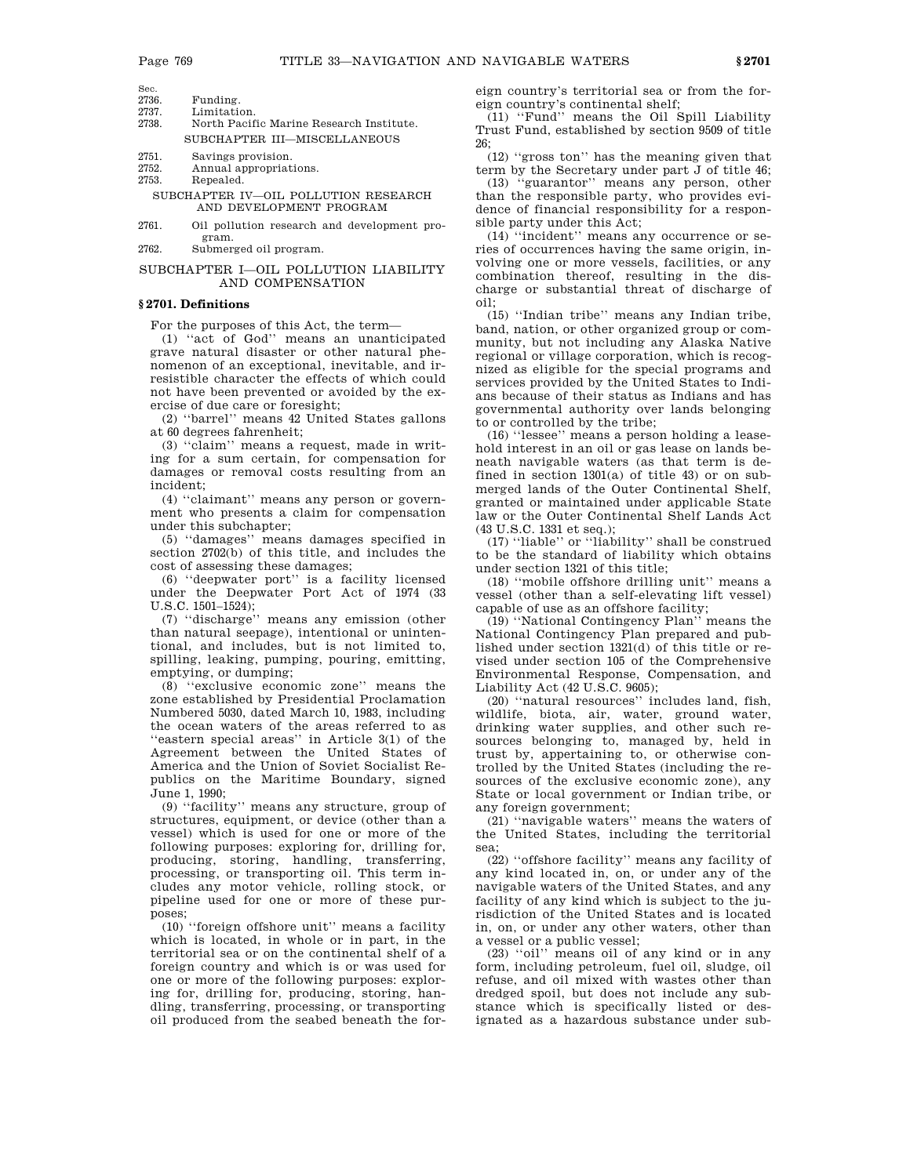| Sec.  |             |
|-------|-------------|
| 2736. | Funding.    |
| 2737. | Limitation. |

2738. North Pacific Marine Research Institute.

SUBCHAPTER III—MISCELLANEOUS

2751. Savings provision.<br>2752. Annual appropriat

2752. Annual appropriations.<br>2753. Repealed. Repealed.

SUBCHAPTER IV—OIL POLLUTION RESEARCH AND DEVELOPMENT PROGRAM

2761. Oil pollution research and development program.

2762. Submerged oil program.

# SUBCHAPTER I—OIL POLLUTION LIABILITY AND COMPENSATION

# **§ 2701. Definitions**

For the purposes of this Act, the term—

(1) ''act of God'' means an unanticipated grave natural disaster or other natural phenomenon of an exceptional, inevitable, and irresistible character the effects of which could not have been prevented or avoided by the exercise of due care or foresight;

(2) ''barrel'' means 42 United States gallons at 60 degrees fahrenheit;

(3) ''claim'' means a request, made in writing for a sum certain, for compensation for damages or removal costs resulting from an incident;

(4) ''claimant'' means any person or government who presents a claim for compensation under this subchapter;

(5) ''damages'' means damages specified in section 2702(b) of this title, and includes the cost of assessing these damages;

(6) ''deepwater port'' is a facility licensed under the Deepwater Port Act of 1974 (33 U.S.C. 1501–1524);

(7) ''discharge'' means any emission (other than natural seepage), intentional or unintentional, and includes, but is not limited to, spilling, leaking, pumping, pouring, emitting, emptying, or dumping;

(8) ''exclusive economic zone'' means the zone established by Presidential Proclamation Numbered 5030, dated March 10, 1983, including the ocean waters of the areas referred to as ''eastern special areas'' in Article 3(1) of the Agreement between the United States of America and the Union of Soviet Socialist Republics on the Maritime Boundary, signed June 1, 1990;

(9) ''facility'' means any structure, group of structures, equipment, or device (other than a vessel) which is used for one or more of the following purposes: exploring for, drilling for, producing, storing, handling, transferring, processing, or transporting oil. This term includes any motor vehicle, rolling stock, or pipeline used for one or more of these purposes;

(10) ''foreign offshore unit'' means a facility which is located, in whole or in part, in the territorial sea or on the continental shelf of a foreign country and which is or was used for one or more of the following purposes: exploring for, drilling for, producing, storing, handling, transferring, processing, or transporting oil produced from the seabed beneath the foreign country's territorial sea or from the foreign country's continental shelf;

(11) ''Fund'' means the Oil Spill Liability Trust Fund, established by section 9509 of title 26;

(12) ''gross ton'' has the meaning given that term by the Secretary under part J of title 46;

(13) ''guarantor'' means any person, other than the responsible party, who provides evidence of financial responsibility for a responsible party under this Act;

(14) ''incident'' means any occurrence or series of occurrences having the same origin, involving one or more vessels, facilities, or any combination thereof, resulting in the discharge or substantial threat of discharge of oil;

(15) ''Indian tribe'' means any Indian tribe, band, nation, or other organized group or community, but not including any Alaska Native regional or village corporation, which is recognized as eligible for the special programs and services provided by the United States to Indians because of their status as Indians and has governmental authority over lands belonging to or controlled by the tribe;

(16) ''lessee'' means a person holding a leasehold interest in an oil or gas lease on lands beneath navigable waters (as that term is defined in section 1301(a) of title 43) or on submerged lands of the Outer Continental Shelf, granted or maintained under applicable State law or the Outer Continental Shelf Lands Act (43 U.S.C. 1331 et seq.);

(17) ''liable'' or ''liability'' shall be construed to be the standard of liability which obtains under section 1321 of this title;

(18) ''mobile offshore drilling unit'' means a vessel (other than a self-elevating lift vessel) capable of use as an offshore facility;

(19) ''National Contingency Plan'' means the National Contingency Plan prepared and published under section 1321(d) of this title or revised under section 105 of the Comprehensive Environmental Response, Compensation, and Liability Act (42 U.S.C. 9605);

(20) ''natural resources'' includes land, fish, wildlife, biota, air, water, ground water, drinking water supplies, and other such resources belonging to, managed by, held in trust by, appertaining to, or otherwise controlled by the United States (including the resources of the exclusive economic zone), any State or local government or Indian tribe, or any foreign government;

(21) ''navigable waters'' means the waters of the United States, including the territorial sea;

(22) ''offshore facility'' means any facility of any kind located in, on, or under any of the navigable waters of the United States, and any facility of any kind which is subject to the jurisdiction of the United States and is located in, on, or under any other waters, other than a vessel or a public vessel;

(23) ''oil'' means oil of any kind or in any form, including petroleum, fuel oil, sludge, oil refuse, and oil mixed with wastes other than dredged spoil, but does not include any substance which is specifically listed or designated as a hazardous substance under sub-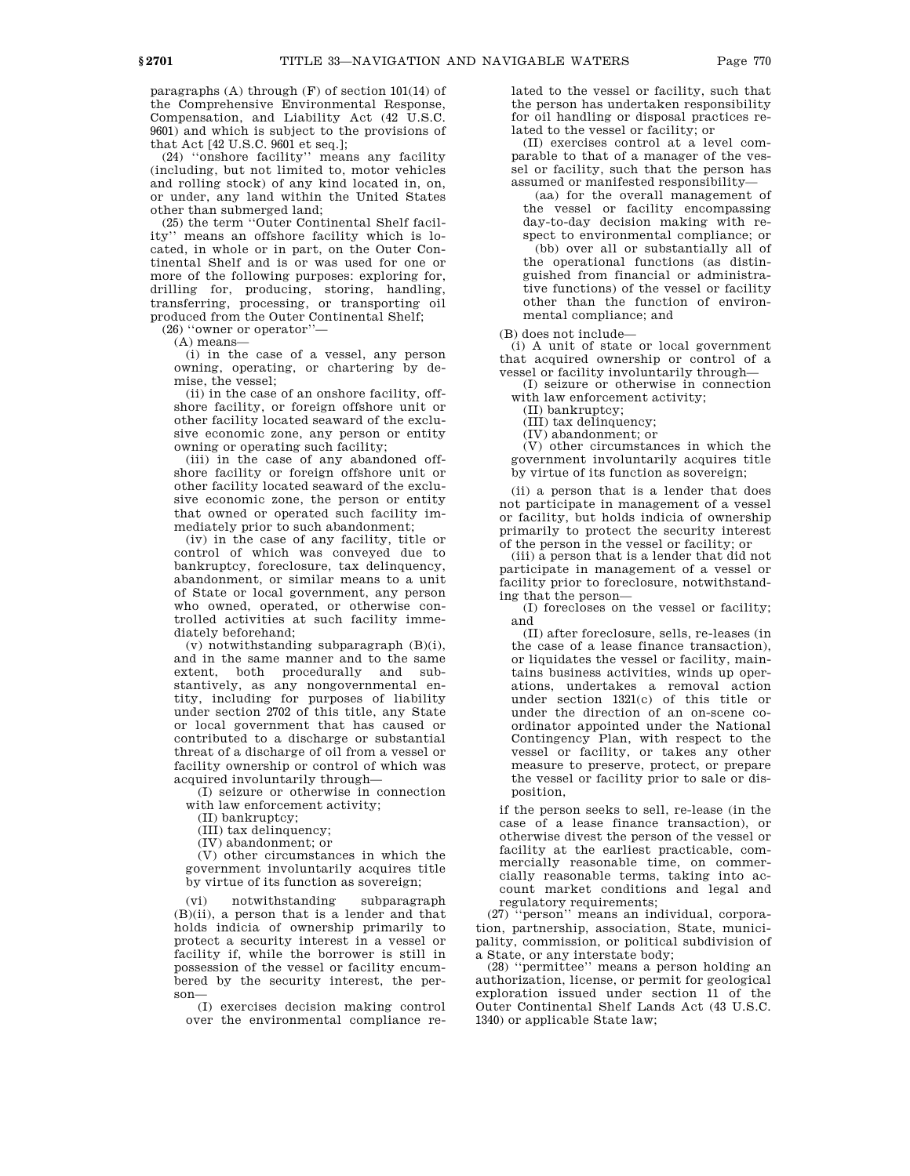paragraphs (A) through (F) of section 101(14) of the Comprehensive Environmental Response, Compensation, and Liability Act (42 U.S.C. 9601) and which is subject to the provisions of that Act [42 U.S.C. 9601 et seq.];

(24) ''onshore facility'' means any facility (including, but not limited to, motor vehicles and rolling stock) of any kind located in, on, or under, any land within the United States other than submerged land;

(25) the term ''Outer Continental Shelf facility'' means an offshore facility which is located, in whole or in part, on the Outer Continental Shelf and is or was used for one or more of the following purposes: exploring for, drilling for, producing, storing, handling, transferring, processing, or transporting oil produced from the Outer Continental Shelf;

(26) ''owner or operator''— (A) means—

(i) in the case of a vessel, any person owning, operating, or chartering by demise, the vessel;

(ii) in the case of an onshore facility, offshore facility, or foreign offshore unit or other facility located seaward of the exclusive economic zone, any person or entity owning or operating such facility;

(iii) in the case of any abandoned offshore facility or foreign offshore unit or other facility located seaward of the exclusive economic zone, the person or entity that owned or operated such facility immediately prior to such abandonment;

(iv) in the case of any facility, title or control of which was conveyed due to bankruptcy, foreclosure, tax delinquency, abandonment, or similar means to a unit of State or local government, any person who owned, operated, or otherwise controlled activities at such facility immediately beforehand;

(v) notwithstanding subparagraph (B)(i), and in the same manner and to the same extent, both procedurally and substantively, as any nongovernmental entity, including for purposes of liability under section 2702 of this title, any State or local government that has caused or contributed to a discharge or substantial threat of a discharge of oil from a vessel or facility ownership or control of which was acquired involuntarily through—

(I) seizure or otherwise in connection with law enforcement activity;

(II) bankruptcy;

(III) tax delinquency;

(IV) abandonment; or

(V) other circumstances in which the government involuntarily acquires title by virtue of its function as sovereign;

(vi) notwithstanding subparagraph (B)(ii), a person that is a lender and that holds indicia of ownership primarily to protect a security interest in a vessel or facility if, while the borrower is still in possession of the vessel or facility encumbered by the security interest, the person—

(I) exercises decision making control over the environmental compliance related to the vessel or facility, such that the person has undertaken responsibility for oil handling or disposal practices related to the vessel or facility; or

(II) exercises control at a level comparable to that of a manager of the vessel or facility, such that the person has assumed or manifested responsibility—

(aa) for the overall management of the vessel or facility encompassing day-to-day decision making with respect to environmental compliance; or (bb) over all or substantially all of the operational functions (as distinguished from financial or administrative functions) of the vessel or facility other than the function of environmental compliance; and

(B) does not include—

(i) A unit of state or local government that acquired ownership or control of a vessel or facility involuntarily through—

(I) seizure or otherwise in connection with law enforcement activity;

(II) bankruptcy;

(III) tax delinquency;

(IV) abandonment; or

(V) other circumstances in which the government involuntarily acquires title by virtue of its function as sovereign;

(ii) a person that is a lender that does not participate in management of a vessel or facility, but holds indicia of ownership primarily to protect the security interest of the person in the vessel or facility; or

(iii) a person that is a lender that did not participate in management of a vessel or facility prior to foreclosure, notwithstanding that the person—

(I) forecloses on the vessel or facility; and

(II) after foreclosure, sells, re-leases (in the case of a lease finance transaction), or liquidates the vessel or facility, maintains business activities, winds up operations, undertakes a removal action under section 1321(c) of this title or under the direction of an on-scene coordinator appointed under the National Contingency Plan, with respect to the vessel or facility, or takes any other measure to preserve, protect, or prepare the vessel or facility prior to sale or disposition,

if the person seeks to sell, re-lease (in the case of a lease finance transaction), or otherwise divest the person of the vessel or facility at the earliest practicable, commercially reasonable time, on commercially reasonable terms, taking into account market conditions and legal and regulatory requirements;

(27) ''person'' means an individual, corporation, partnership, association, State, municipality, commission, or political subdivision of a State, or any interstate body;

(28) ''permittee'' means a person holding an authorization, license, or permit for geological exploration issued under section 11 of the Outer Continental Shelf Lands Act (43 U.S.C. 1340) or applicable State law;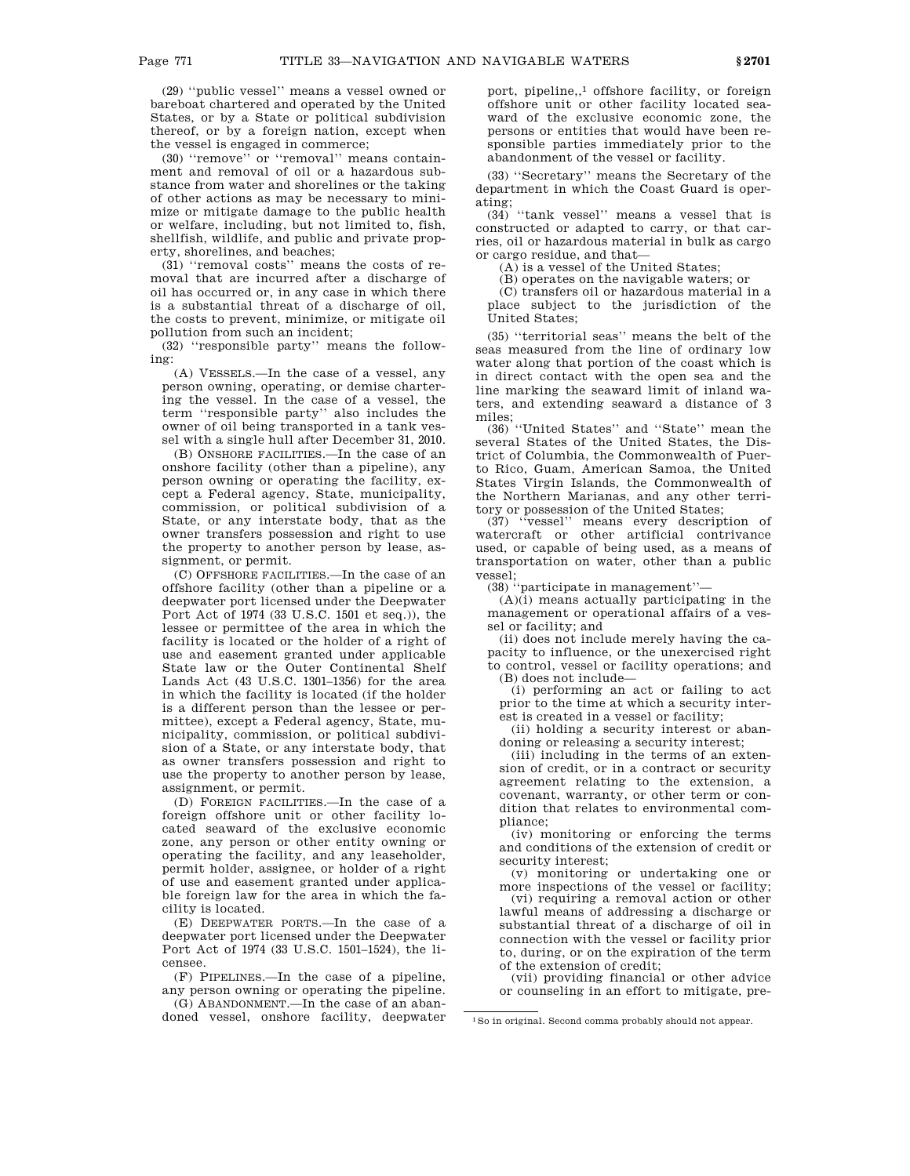(29) ''public vessel'' means a vessel owned or bareboat chartered and operated by the United States, or by a State or political subdivision thereof, or by a foreign nation, except when the vessel is engaged in commerce;

(30) ''remove'' or ''removal'' means containment and removal of oil or a hazardous substance from water and shorelines or the taking of other actions as may be necessary to minimize or mitigate damage to the public health or welfare, including, but not limited to, fish, shellfish, wildlife, and public and private property, shorelines, and beaches;

(31) ''removal costs'' means the costs of removal that are incurred after a discharge of oil has occurred or, in any case in which there is a substantial threat of a discharge of oil, the costs to prevent, minimize, or mitigate oil pollution from such an incident;

(32) ''responsible party'' means the following:

(A) VESSELS.—In the case of a vessel, any person owning, operating, or demise chartering the vessel. In the case of a vessel, the term ''responsible party'' also includes the owner of oil being transported in a tank vessel with a single hull after December 31, 2010.

(B) ONSHORE FACILITIES.—In the case of an onshore facility (other than a pipeline), any person owning or operating the facility, except a Federal agency, State, municipality, commission, or political subdivision of a State, or any interstate body, that as the owner transfers possession and right to use the property to another person by lease, assignment, or permit.

(C) OFFSHORE FACILITIES.—In the case of an offshore facility (other than a pipeline or a deepwater port licensed under the Deepwater Port Act of 1974 (33 U.S.C. 1501 et seq.)), the lessee or permittee of the area in which the facility is located or the holder of a right of use and easement granted under applicable State law or the Outer Continental Shelf Lands Act (43 U.S.C. 1301–1356) for the area in which the facility is located (if the holder is a different person than the lessee or permittee), except a Federal agency, State, municipality, commission, or political subdivision of a State, or any interstate body, that as owner transfers possession and right to use the property to another person by lease, assignment, or permit.

(D) FOREIGN FACILITIES.—In the case of a foreign offshore unit or other facility located seaward of the exclusive economic zone, any person or other entity owning or operating the facility, and any leaseholder, permit holder, assignee, or holder of a right of use and easement granted under applicable foreign law for the area in which the facility is located.

(E) DEEPWATER PORTS.—In the case of a deepwater port licensed under the Deepwater Port Act of 1974 (33 U.S.C. 1501–1524), the licensee.

(F) PIPELINES.—In the case of a pipeline, any person owning or operating the pipeline.

(G) ABANDONMENT.—In the case of an abandoned vessel, onshore facility, deepwater port, pipeline,,1 offshore facility, or foreign offshore unit or other facility located seaward of the exclusive economic zone, the persons or entities that would have been responsible parties immediately prior to the abandonment of the vessel or facility.

(33) ''Secretary'' means the Secretary of the department in which the Coast Guard is operating;

(34) ''tank vessel'' means a vessel that is constructed or adapted to carry, or that carries, oil or hazardous material in bulk as cargo or cargo residue, and that—

(A) is a vessel of the United States;

(B) operates on the navigable waters; or

(C) transfers oil or hazardous material in a place subject to the jurisdiction of the United States;

(35) ''territorial seas'' means the belt of the seas measured from the line of ordinary low water along that portion of the coast which is in direct contact with the open sea and the line marking the seaward limit of inland waters, and extending seaward a distance of 3 miles;

(36) ''United States'' and ''State'' mean the several States of the United States, the District of Columbia, the Commonwealth of Puerto Rico, Guam, American Samoa, the United States Virgin Islands, the Commonwealth of the Northern Marianas, and any other territory or possession of the United States;

(37) ''vessel'' means every description of watercraft or other artificial contrivance used, or capable of being used, as a means of transportation on water, other than a public vessel;

(38) ''participate in management''—

(A)(i) means actually participating in the management or operational affairs of a vessel or facility; and

(ii) does not include merely having the capacity to influence, or the unexercised right to control, vessel or facility operations; and (B) does not include—

(i) performing an act or failing to act prior to the time at which a security interest is created in a vessel or facility;

(ii) holding a security interest or abandoning or releasing a security interest;

(iii) including in the terms of an extension of credit, or in a contract or security agreement relating to the extension, a covenant, warranty, or other term or condition that relates to environmental compliance;

(iv) monitoring or enforcing the terms and conditions of the extension of credit or security interest;

(v) monitoring or undertaking one or more inspections of the vessel or facility;

(vi) requiring a removal action or other lawful means of addressing a discharge or substantial threat of a discharge of oil in connection with the vessel or facility prior to, during, or on the expiration of the term of the extension of credit;

(vii) providing financial or other advice or counseling in an effort to mitigate, pre-

<sup>1</sup>So in original. Second comma probably should not appear.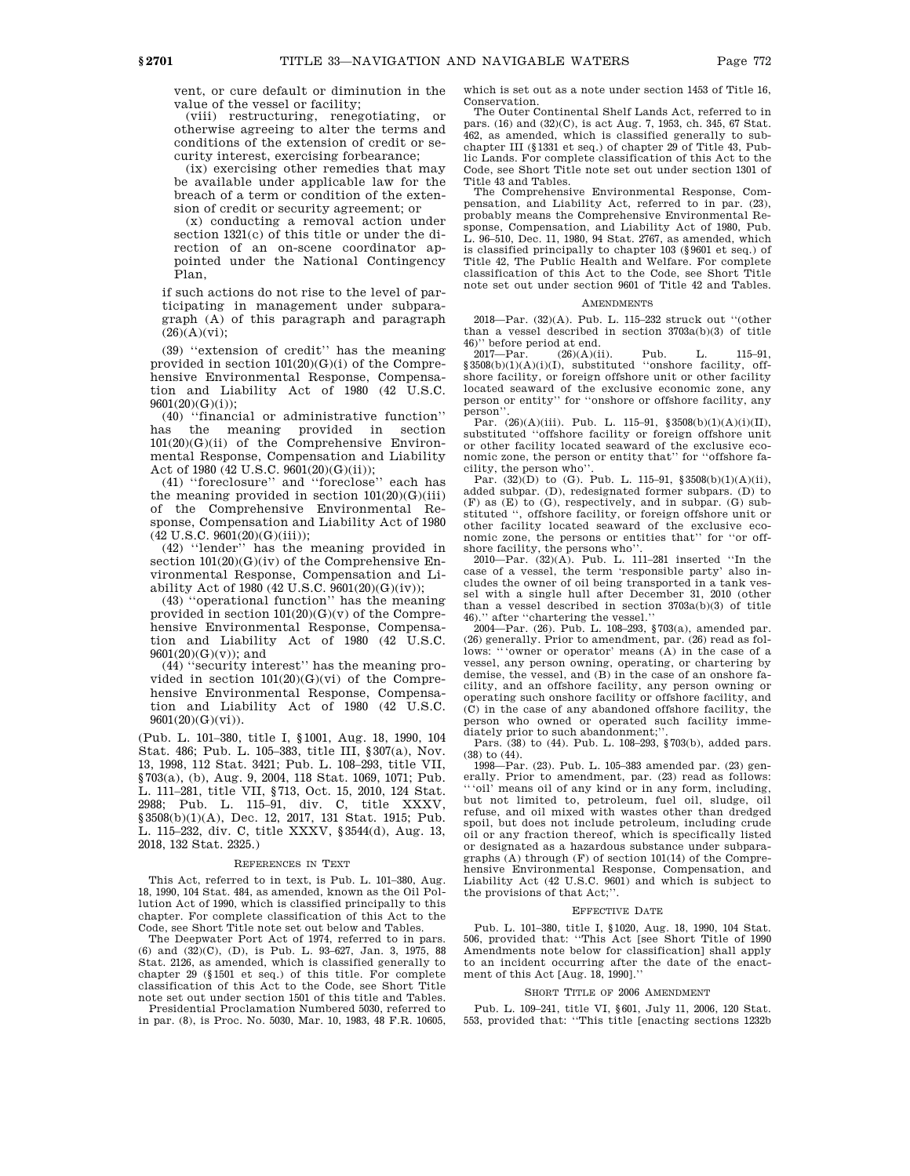vent, or cure default or diminution in the value of the vessel or facility;

(viii) restructuring, renegotiating, or otherwise agreeing to alter the terms and conditions of the extension of credit or security interest, exercising forbearance;

(ix) exercising other remedies that may be available under applicable law for the breach of a term or condition of the extension of credit or security agreement; or

(x) conducting a removal action under section 1321(c) of this title or under the direction of an on-scene coordinator appointed under the National Contingency Plan,

if such actions do not rise to the level of participating in management under subparagraph (A) of this paragraph and paragraph  $(26)(A)(vi)$ :

(39) ''extension of credit'' has the meaning provided in section 101(20)(G)(i) of the Comprehensive Environmental Response, Compensation and Liability Act of 1980 (42 U.S.C.  $9601(20)(G)(i)$ ;

(40) ''financial or administrative function'' has the meaning provided in section 101(20)(G)(ii) of the Comprehensive Environmental Response, Compensation and Liability Act of 1980 (42 U.S.C. 9601(20)(G)(ii));

(41) ''foreclosure'' and ''foreclose'' each has the meaning provided in section  $101(20)(\mathrm{G})(\mathrm{iii})$ of the Comprehensive Environmental Response, Compensation and Liability Act of 1980 (42 U.S.C. 9601(20)(G)(iii));

(42) ''lender'' has the meaning provided in section  $101(20)(G)(iv)$  of the Comprehensive Environmental Response, Compensation and Liability Act of 1980 (42 U.S.C. 9601(20)(G)(iv));

(43) ''operational function'' has the meaning provided in section  $101(20)(G)(v)$  of the Comprehensive Environmental Response, Compensation and Liability Act of 1980 (42 U.S.C.  $9601(20)(G)(v)$ ; and

(44) ''security interest'' has the meaning provided in section  $101(20)(G)(vi)$  of the Comprehensive Environmental Response, Compensation and Liability Act of 1980 (42 U.S.C. 9601(20)(G)(vi)).

(Pub. L. 101–380, title I, §1001, Aug. 18, 1990, 104 Stat. 486; Pub. L. 105–383, title III, §307(a), Nov. 13, 1998, 112 Stat. 3421; Pub. L. 108–293, title VII, §703(a), (b), Aug. 9, 2004, 118 Stat. 1069, 1071; Pub. L. 111–281, title VII, §713, Oct. 15, 2010, 124 Stat. 2988; Pub. L. 115–91, div. C, title XXXV, §3508(b)(1)(A), Dec. 12, 2017, 131 Stat. 1915; Pub. L. 115–232, div. C, title XXXV, §3544(d), Aug. 13, 2018, 132 Stat. 2325.)

### REFERENCES IN TEXT

This Act, referred to in text, is Pub. L. 101–380, Aug. 18, 1990, 104 Stat. 484, as amended, known as the Oil Pollution Act of 1990, which is classified principally to this chapter. For complete classification of this Act to the Code, see Short Title note set out below and Tables.

The Deepwater Port Act of 1974, referred to in pars. (6) and (32)(C), (D), is Pub. L. 93–627, Jan. 3, 1975, 88 Stat. 2126, as amended, which is classified generally to chapter 29 (§1501 et seq.) of this title. For complete classification of this Act to the Code, see Short Title note set out under section 1501 of this title and Tables. Presidential Proclamation Numbered 5030, referred to

in par. (8), is Proc. No. 5030, Mar. 10, 1983, 48 F.R. 10605,

which is set out as a note under section 1453 of Title 16, Conservation.

The Outer Continental Shelf Lands Act, referred to in pars. (16) and (32)(C), is act Aug. 7, 1953, ch. 345, 67 Stat. 462, as amended, which is classified generally to subchapter III (§1331 et seq.) of chapter 29 of Title 43, Public Lands. For complete classification of this Act to the Code, see Short Title note set out under section 1301 of Title 43 and Tables.

The Comprehensive Environmental Response, Compensation, and Liability Act, referred to in par. (23), probably means the Comprehensive Environmental Response, Compensation, and Liability Act of 1980, Pub. L. 96–510, Dec. 11, 1980, 94 Stat. 2767, as amended, which is classified principally to chapter 103 (§9601 et seq.) of Title 42, The Public Health and Welfare. For complete classification of this Act to the Code, see Short Title note set out under section 9601 of Title 42 and Tables.

### **AMENDMENTS**

2018—Par. (32)(A). Pub. L. 115–232 struck out ''(other than a vessel described in section  $3703a(b)(3)$  of title 46)" before period at end. before period at end.<br> $17$ —Par.  $(26)(A)(ii)$ .

2017—Par. (26)(A)(ii). Pub. L. 115–91, §3508(b)(1)(A)(i)(I), substituted ''onshore facility, offshore facility, or foreign offshore unit or other facility located seaward of the exclusive economic zone, any person or entity'' for ''onshore or offshore facility, any person''.

Par. (26)(A)(iii). Pub. L. 115–91, §3508(b)(1)(A)(i)(II), substituted ''offshore facility or foreign offshore unit or other facility located seaward of the exclusive economic zone, the person or entity that'' for ''offshore facility, the person who''.

Par.  $(32)(D)$  to  $(G)$ . Pub. L. 115–91, §3508(b)(1)(A)(ii), added subpar. (D), redesignated former subpars. (D) to (F) as (E) to (G), respectively, and in subpar. (G) sub-stituted '', offshore facility, or foreign offshore unit or other facility located seaward of the exclusive economic zone, the persons or entities that'' for ''or offshore facility, the persons who''.

2010—Par. (32)(A). Pub. L. 111–281 inserted ''In the case of a vessel, the term 'responsible party' also includes the owner of oil being transported in a tank vessel with a single hull after December 31, 2010 (other than a vessel described in section 3703a(b)(3) of title

46).'' after ''chartering the vessel.'' 2004—Par. (26). Pub. L. 108–293, §703(a), amended par. (26) generally. Prior to amendment, par. (26) read as follows: '''owner or operator' means (A) in the case of a vessel, any person owning, operating, or chartering by demise, the vessel, and (B) in the case of an onshore facility, and an offshore facility, any person owning or operating such onshore facility or offshore facility, and (C) in the case of any abandoned offshore facility, the person who owned or operated such facility immediately prior to such abandonment;

Pars. (38) to (44). Pub. L. 108–293, §703(b), added pars. (38) to (44).

1998—Par. (23). Pub. L. 105–383 amended par. (23) generally. Prior to amendment, par. (23) read as follows: '''oil' means oil of any kind or in any form, including, but not limited to, petroleum, fuel oil, sludge, oil refuse, and oil mixed with wastes other than dredged spoil, but does not include petroleum, including crude oil or any fraction thereof, which is specifically listed or designated as a hazardous substance under subparagraphs (A) through (F) of section 101(14) of the Comprehensive Environmental Response, Compensation, and Liability Act (42 U.S.C. 9601) and which is subject to the provisions of that Act;''.

### EFFECTIVE DATE

Pub. L. 101–380, title I, §1020, Aug. 18, 1990, 104 Stat. 506, provided that: ''This Act [see Short Title of 1990 Amendments note below for classification] shall apply to an incident occurring after the date of the enactment of this Act [Aug. 18, 1990].''

### SHORT TITLE OF 2006 AMENDMENT

Pub. L. 109–241, title VI, §601, July 11, 2006, 120 Stat. 553, provided that: ''This title [enacting sections 1232b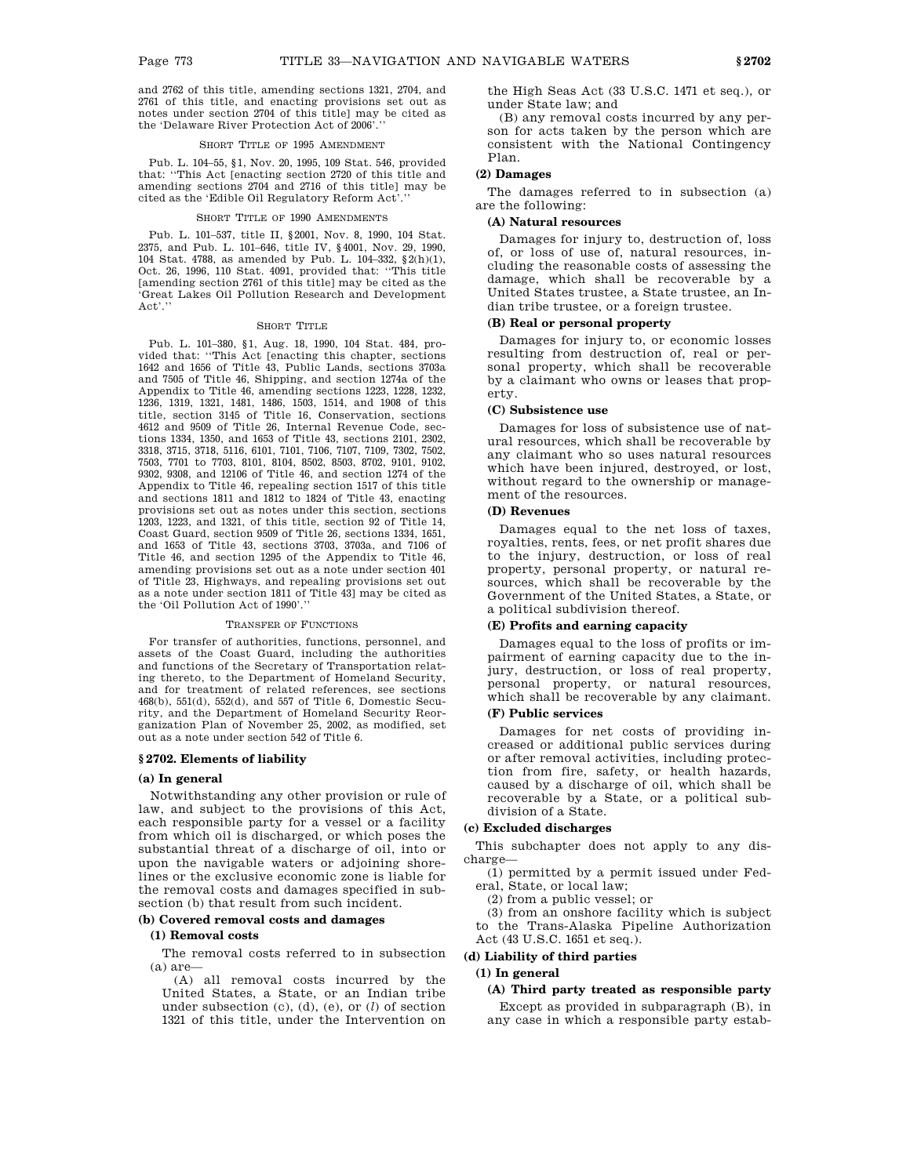and 2762 of this title, amending sections 1321, 2704, and 2761 of this title, and enacting provisions set out as notes under section 2704 of this title] may be cited as the 'Delaware River Protection Act of 2006'.'

# SHORT TITLE OF 1995 AMENDMENT

Pub. L. 104–55, §1, Nov. 20, 1995, 109 Stat. 546, provided that: ''This Act [enacting section 2720 of this title and amending sections 2704 and 2716 of this title] may be cited as the 'Edible Oil Regulatory Reform Act'.

### SHORT TITLE OF 1990 AMENDMENTS

Pub. L. 101–537, title II, §2001, Nov. 8, 1990, 104 Stat. 2375, and Pub. L. 101–646, title IV, §4001, Nov. 29, 1990, 104 Stat. 4788, as amended by Pub. L. 104–332, §2(h)(1), Oct. 26, 1996, 110 Stat. 4091, provided that: ''This title [amending section 2761 of this title] may be cited as the 'Great Lakes Oil Pollution Research and Development Act'.

### SHORT TITLE

Pub. L. 101–380, §1, Aug. 18, 1990, 104 Stat. 484, provided that: ''This Act [enacting this chapter, sections 1642 and 1656 of Title 43, Public Lands, sections 3703a and 7505 of Title 46, Shipping, and section 1274a of the Appendix to Title 46, amending sections 1223, 1228, 1232, 1236, 1319, 1321, 1481, 1486, 1503, 1514, and 1908 of this title, section 3145 of Title 16, Conservation, sections 4612 and 9509 of Title 26, Internal Revenue Code, sections 1334, 1350, and 1653 of Title 43, sections 2101, 2302, 3318, 3715, 3718, 5116, 6101, 7101, 7106, 7107, 7109, 7302, 7502, 7503, 7701 to 7703, 8101, 8104, 8502, 8503, 8702, 9101, 9102, 9302, 9308, and 12106 of Title 46, and section 1274 of the Appendix to Title 46, repealing section 1517 of this title and sections 1811 and 1812 to 1824 of Title 43, enacting provisions set out as notes under this section, sections 1203, 1223, and 1321, of this title, section 92 of Title 14, Coast Guard, section 9509 of Title 26, sections 1334, 1651, and 1653 of Title 43, sections 3703, 3703a, and 7106 of Title 46, and section 1295 of the Appendix to Title 46, amending provisions set out as a note under section 401 of Title 23, Highways, and repealing provisions set out as a note under section 1811 of Title 43] may be cited as the 'Oil Pollution Act of 1990'.''

### TRANSFER OF FUNCTIONS

For transfer of authorities, functions, personnel, and assets of the Coast Guard, including the authorities and functions of the Secretary of Transportation relating thereto, to the Department of Homeland Security, and for treatment of related references, see sections 468(b), 551(d), 552(d), and 557 of Title 6, Domestic Security, and the Department of Homeland Security Reorganization Plan of November 25, 2002, as modified, set out as a note under section 542 of Title 6.

### **§ 2702. Elements of liability**

### **(a) In general**

Notwithstanding any other provision or rule of law, and subject to the provisions of this Act, each responsible party for a vessel or a facility from which oil is discharged, or which poses the substantial threat of a discharge of oil, into or upon the navigable waters or adjoining shorelines or the exclusive economic zone is liable for the removal costs and damages specified in subsection (b) that result from such incident.

# **(b) Covered removal costs and damages**

# **(1) Removal costs**

The removal costs referred to in subsection (a) are—

(A) all removal costs incurred by the United States, a State, or an Indian tribe under subsection (c), (d), (e), or (*l*) of section 1321 of this title, under the Intervention on

the High Seas Act (33 U.S.C. 1471 et seq.), or under State law; and

(B) any removal costs incurred by any person for acts taken by the person which are consistent with the National Contingency Plan.

# **(2) Damages**

The damages referred to in subsection (a) are the following:

### **(A) Natural resources**

Damages for injury to, destruction of, loss of, or loss of use of, natural resources, including the reasonable costs of assessing the damage, which shall be recoverable by a United States trustee, a State trustee, an Indian tribe trustee, or a foreign trustee.

# **(B) Real or personal property**

Damages for injury to, or economic losses resulting from destruction of, real or personal property, which shall be recoverable by a claimant who owns or leases that property.

### **(C) Subsistence use**

Damages for loss of subsistence use of natural resources, which shall be recoverable by any claimant who so uses natural resources which have been injured, destroyed, or lost, without regard to the ownership or management of the resources.

# **(D) Revenues**

Damages equal to the net loss of taxes, royalties, rents, fees, or net profit shares due to the injury, destruction, or loss of real property, personal property, or natural resources, which shall be recoverable by the Government of the United States, a State, or a political subdivision thereof.

# **(E) Profits and earning capacity**

Damages equal to the loss of profits or impairment of earning capacity due to the injury, destruction, or loss of real property, personal property, or natural resources, which shall be recoverable by any claimant.

# **(F) Public services**

Damages for net costs of providing increased or additional public services during or after removal activities, including protection from fire, safety, or health hazards, caused by a discharge of oil, which shall be recoverable by a State, or a political subdivision of a State.

# **(c) Excluded discharges**

This subchapter does not apply to any discharge—

(1) permitted by a permit issued under Federal, State, or local law;

(2) from a public vessel; or

(3) from an onshore facility which is subject to the Trans-Alaska Pipeline Authorization Act (43 U.S.C. 1651 et seq.).

# **(d) Liability of third parties**

### **(1) In general**

# **(A) Third party treated as responsible party**

Except as provided in subparagraph (B), in any case in which a responsible party estab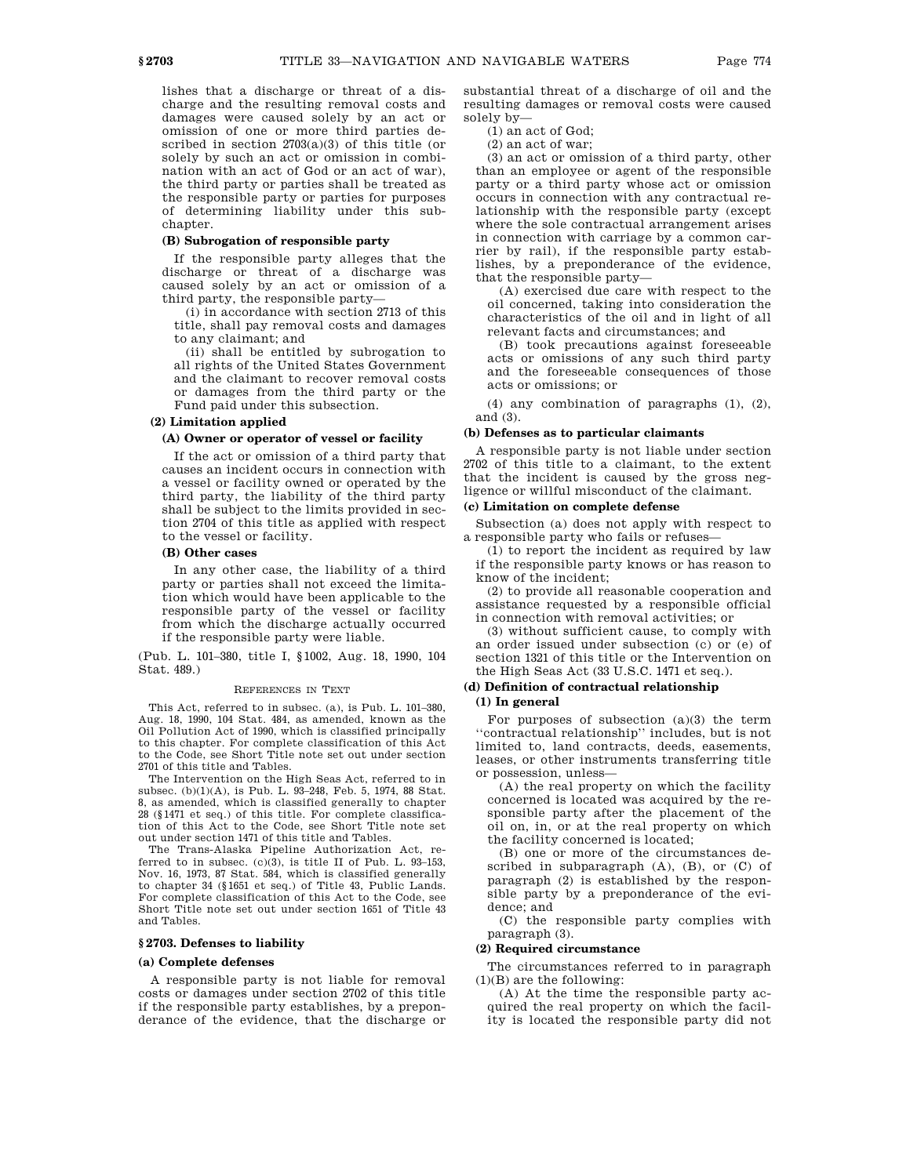lishes that a discharge or threat of a discharge and the resulting removal costs and damages were caused solely by an act or omission of one or more third parties described in section 2703(a)(3) of this title (or solely by such an act or omission in combination with an act of God or an act of war), the third party or parties shall be treated as the responsible party or parties for purposes of determining liability under this subchapter.

# **(B) Subrogation of responsible party**

If the responsible party alleges that the discharge or threat of a discharge was caused solely by an act or omission of a third party, the responsible party—

(i) in accordance with section 2713 of this title, shall pay removal costs and damages to any claimant; and

(ii) shall be entitled by subrogation to all rights of the United States Government and the claimant to recover removal costs or damages from the third party or the Fund paid under this subsection.

# **(2) Limitation applied**

# **(A) Owner or operator of vessel or facility**

If the act or omission of a third party that causes an incident occurs in connection with a vessel or facility owned or operated by the third party, the liability of the third party shall be subject to the limits provided in section 2704 of this title as applied with respect to the vessel or facility.

# **(B) Other cases**

In any other case, the liability of a third party or parties shall not exceed the limitation which would have been applicable to the responsible party of the vessel or facility from which the discharge actually occurred if the responsible party were liable.

(Pub. L. 101–380, title I, §1002, Aug. 18, 1990, 104 Stat. 489.)

### REFERENCES IN TEXT

This Act, referred to in subsec. (a), is Pub. L. 101–380, Aug. 18, 1990, 104 Stat. 484, as amended, known as the Oil Pollution Act of 1990, which is classified principally to this chapter. For complete classification of this Act to the Code, see Short Title note set out under section 2701 of this title and Tables.

The Intervention on the High Seas Act, referred to in subsec. (b)(1)(A), is Pub. L. 93–248, Feb. 5, 1974, 88 Stat. 8, as amended, which is classified generally to chapter 28 (§1471 et seq.) of this title. For complete classification of this Act to the Code, see Short Title note set out under section 1471 of this title and Tables.

The Trans-Alaska Pipeline Authorization Act, referred to in subsec. (c)(3), is title II of Pub. L. 93–153, Nov. 16, 1973, 87 Stat. 584, which is classified generally to chapter 34 (§1651 et seq.) of Title 43, Public Lands. For complete classification of this Act to the Code, see Short Title note set out under section 1651 of Title 43 and Tables.

### **§ 2703. Defenses to liability**

### **(a) Complete defenses**

A responsible party is not liable for removal costs or damages under section 2702 of this title if the responsible party establishes, by a preponderance of the evidence, that the discharge or

substantial threat of a discharge of oil and the resulting damages or removal costs were caused solely by—

(1) an act of God;

(2) an act of war;

(3) an act or omission of a third party, other than an employee or agent of the responsible party or a third party whose act or omission occurs in connection with any contractual relationship with the responsible party (except where the sole contractual arrangement arises in connection with carriage by a common carrier by rail), if the responsible party establishes, by a preponderance of the evidence, that the responsible party—

(A) exercised due care with respect to the oil concerned, taking into consideration the characteristics of the oil and in light of all relevant facts and circumstances; and

(B) took precautions against foreseeable acts or omissions of any such third party and the foreseeable consequences of those acts or omissions; or

(4) any combination of paragraphs (1), (2), and (3).

### **(b) Defenses as to particular claimants**

A responsible party is not liable under section 2702 of this title to a claimant, to the extent that the incident is caused by the gross negligence or willful misconduct of the claimant.

# **(c) Limitation on complete defense**

Subsection (a) does not apply with respect to a responsible party who fails or refuses—

(1) to report the incident as required by law if the responsible party knows or has reason to know of the incident;

(2) to provide all reasonable cooperation and assistance requested by a responsible official in connection with removal activities; or

(3) without sufficient cause, to comply with an order issued under subsection (c) or (e) of section 1321 of this title or the Intervention on the High Seas Act (33 U.S.C. 1471 et seq.).

# **(d) Definition of contractual relationship (1) In general**

For purposes of subsection  $(a)(3)$  the term ''contractual relationship'' includes, but is not limited to, land contracts, deeds, easements, leases, or other instruments transferring title or possession, unless—

(A) the real property on which the facility concerned is located was acquired by the responsible party after the placement of the oil on, in, or at the real property on which the facility concerned is located;

(B) one or more of the circumstances described in subparagraph  $(A)$ ,  $(B)$ , or  $(C)$  of paragraph (2) is established by the responsible party by a preponderance of the evidence; and

(C) the responsible party complies with paragraph (3).

# **(2) Required circumstance**

The circumstances referred to in paragraph (1)(B) are the following:

(A) At the time the responsible party acquired the real property on which the facility is located the responsible party did not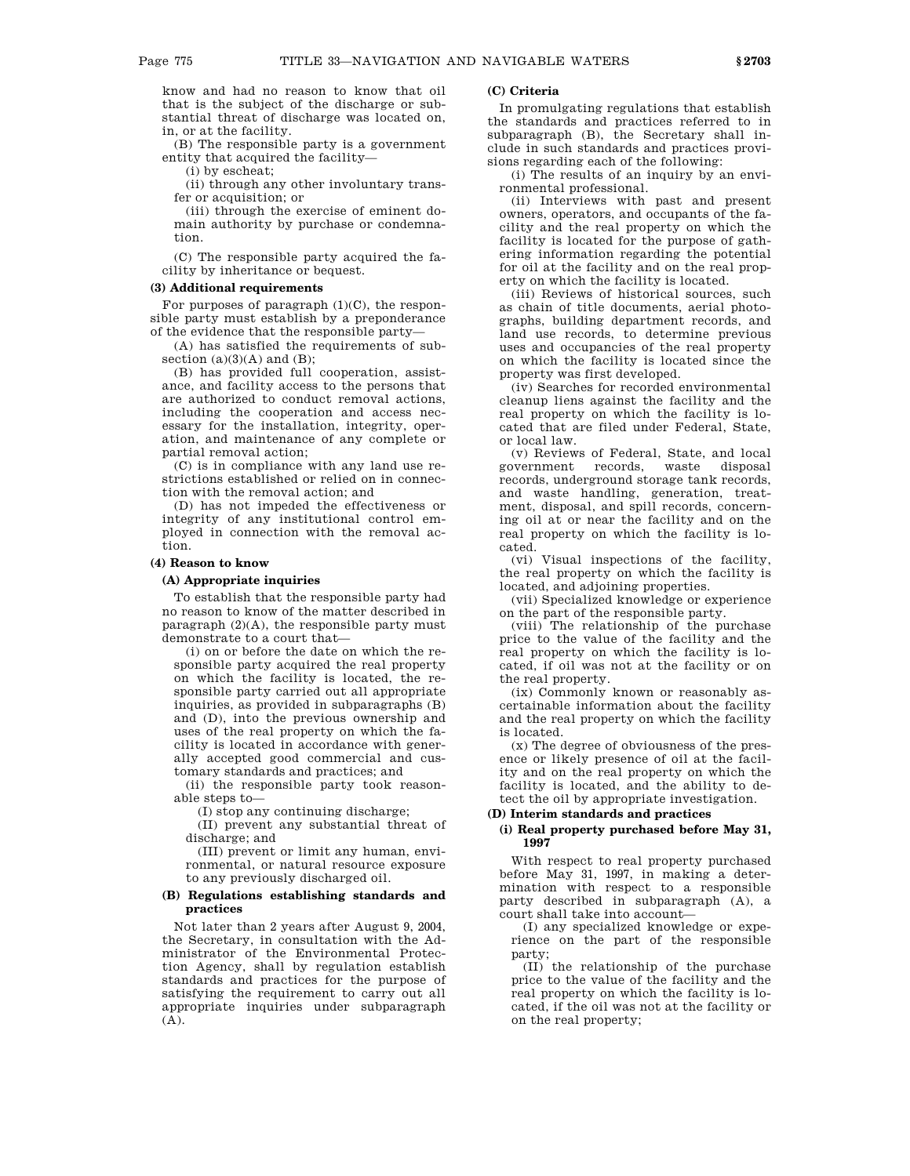know and had no reason to know that oil that is the subject of the discharge or substantial threat of discharge was located on, in, or at the facility.

(B) The responsible party is a government entity that acquired the facility—

(i) by escheat;

(ii) through any other involuntary transfer or acquisition; or

(iii) through the exercise of eminent domain authority by purchase or condemnation.

(C) The responsible party acquired the facility by inheritance or bequest.

### **(3) Additional requirements**

For purposes of paragraph  $(1)(C)$ , the responsible party must establish by a preponderance of the evidence that the responsible party—

(A) has satisfied the requirements of subsection  $(a)(3)(A)$  and  $(B)$ ;

(B) has provided full cooperation, assistance, and facility access to the persons that are authorized to conduct removal actions, including the cooperation and access necessary for the installation, integrity, operation, and maintenance of any complete or partial removal action;

(C) is in compliance with any land use restrictions established or relied on in connection with the removal action; and

(D) has not impeded the effectiveness or integrity of any institutional control employed in connection with the removal action.

### **(4) Reason to know**

### **(A) Appropriate inquiries**

To establish that the responsible party had no reason to know of the matter described in paragraph  $(2)(A)$ , the responsible party must demonstrate to a court that—

(i) on or before the date on which the responsible party acquired the real property on which the facility is located, the responsible party carried out all appropriate inquiries, as provided in subparagraphs (B) and (D), into the previous ownership and uses of the real property on which the facility is located in accordance with generally accepted good commercial and customary standards and practices; and

(ii) the responsible party took reasonable steps to—

(I) stop any continuing discharge;

(II) prevent any substantial threat of discharge; and

(III) prevent or limit any human, environmental, or natural resource exposure to any previously discharged oil.

# **(B) Regulations establishing standards and practices**

Not later than 2 years after August 9, 2004, the Secretary, in consultation with the Administrator of the Environmental Protection Agency, shall by regulation establish standards and practices for the purpose of satisfying the requirement to carry out all appropriate inquiries under subparagraph (A).

# **(C) Criteria**

In promulgating regulations that establish the standards and practices referred to in subparagraph (B), the Secretary shall include in such standards and practices provisions regarding each of the following:

(i) The results of an inquiry by an environmental professional.

(ii) Interviews with past and present owners, operators, and occupants of the facility and the real property on which the facility is located for the purpose of gathering information regarding the potential for oil at the facility and on the real property on which the facility is located.

(iii) Reviews of historical sources, such as chain of title documents, aerial photographs, building department records, and land use records, to determine previous uses and occupancies of the real property on which the facility is located since the property was first developed.

(iv) Searches for recorded environmental cleanup liens against the facility and the real property on which the facility is located that are filed under Federal, State, or local law.

(v) Reviews of Federal, State, and local government records, waste disposal records, underground storage tank records, and waste handling, generation, treatment, disposal, and spill records, concerning oil at or near the facility and on the real property on which the facility is located.

(vi) Visual inspections of the facility, the real property on which the facility is located, and adjoining properties.

(vii) Specialized knowledge or experience on the part of the responsible party.

(viii) The relationship of the purchase price to the value of the facility and the real property on which the facility is located, if oil was not at the facility or on the real property.

(ix) Commonly known or reasonably ascertainable information about the facility and the real property on which the facility is located.

(x) The degree of obviousness of the presence or likely presence of oil at the facility and on the real property on which the facility is located, and the ability to detect the oil by appropriate investigation.

# **(D) Interim standards and practices**

# **(i) Real property purchased before May 31, 1997**

With respect to real property purchased before May 31, 1997, in making a determination with respect to a responsible party described in subparagraph (A), a court shall take into account—

(I) any specialized knowledge or experience on the part of the responsible party;

(II) the relationship of the purchase price to the value of the facility and the real property on which the facility is located, if the oil was not at the facility or on the real property;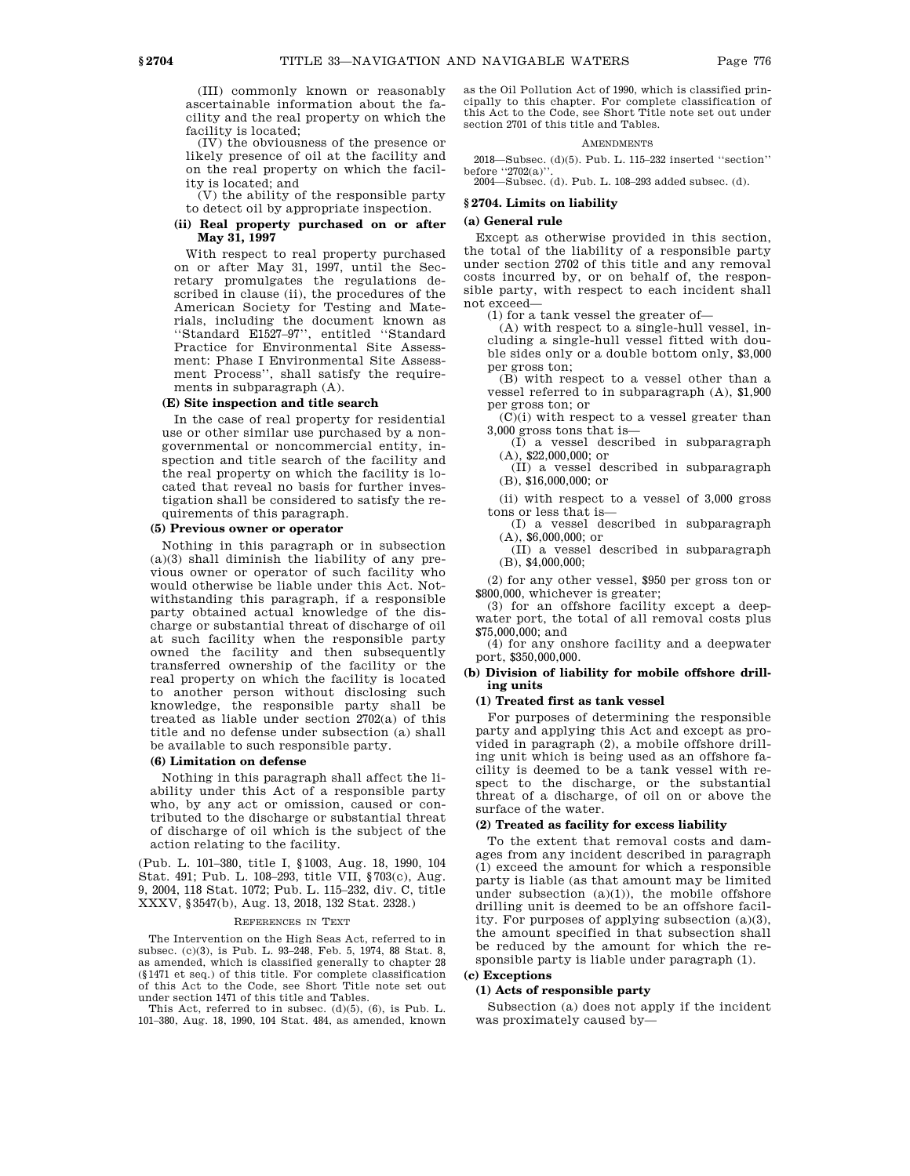(III) commonly known or reasonably ascertainable information about the facility and the real property on which the facility is located;

(IV) the obviousness of the presence or likely presence of oil at the facility and on the real property on which the facility is located; and

(V) the ability of the responsible party to detect oil by appropriate inspection.

# **(ii) Real property purchased on or after May 31, 1997**

With respect to real property purchased on or after May 31, 1997, until the Secretary promulgates the regulations described in clause (ii), the procedures of the American Society for Testing and Materials, including the document known as ''Standard E1527–97'', entitled ''Standard Practice for Environmental Site Assessment: Phase I Environmental Site Assessment Process'', shall satisfy the requirements in subparagraph (A).

### **(E) Site inspection and title search**

In the case of real property for residential use or other similar use purchased by a nongovernmental or noncommercial entity, inspection and title search of the facility and the real property on which the facility is located that reveal no basis for further investigation shall be considered to satisfy the requirements of this paragraph.

# **(5) Previous owner or operator**

Nothing in this paragraph or in subsection (a)(3) shall diminish the liability of any previous owner or operator of such facility who would otherwise be liable under this Act. Notwithstanding this paragraph, if a responsible party obtained actual knowledge of the discharge or substantial threat of discharge of oil at such facility when the responsible party owned the facility and then subsequently transferred ownership of the facility or the real property on which the facility is located to another person without disclosing such knowledge, the responsible party shall be treated as liable under section 2702(a) of this title and no defense under subsection (a) shall be available to such responsible party.

# **(6) Limitation on defense**

Nothing in this paragraph shall affect the liability under this Act of a responsible party who, by any act or omission, caused or contributed to the discharge or substantial threat of discharge of oil which is the subject of the action relating to the facility.

(Pub. L. 101–380, title I, §1003, Aug. 18, 1990, 104 Stat. 491; Pub. L. 108–293, title VII, §703(c), Aug. 9, 2004, 118 Stat. 1072; Pub. L. 115–232, div. C, title XXXV, §3547(b), Aug. 13, 2018, 132 Stat. 2328.)

# REFERENCES IN TEXT

The Intervention on the High Seas Act, referred to in subsec. (c)(3), is Pub. L. 93–248, Feb. 5, 1974, 88 Stat. 8, as amended, which is classified generally to chapter 28 (§1471 et seq.) of this title. For complete classification of this Act to the Code, see Short Title note set out under section 1471 of this title and Tables.

This Act, referred to in subsec.  $(d)(5)$ ,  $(6)$ , is Pub. L. 101–380, Aug. 18, 1990, 104 Stat. 484, as amended, known as the Oil Pollution Act of 1990, which is classified principally to this chapter. For complete classification of this Act to the Code, see Short Title note set out under section 2701 of this title and Tables.

### **AMENDMENTS**

2018—Subsec. (d)(5). Pub. L. 115–232 inserted ''section'' before "2702(a)"

2004—Subsec. (d). Pub. L. 108–293 added subsec. (d).

# **§ 2704. Limits on liability**

# **(a) General rule**

Except as otherwise provided in this section, the total of the liability of a responsible party under section 2702 of this title and any removal costs incurred by, or on behalf of, the responsible party, with respect to each incident shall not exceed—

(1) for a tank vessel the greater of—

(A) with respect to a single-hull vessel, including a single-hull vessel fitted with double sides only or a double bottom only, \$3,000 per gross ton;

(B) with respect to a vessel other than a vessel referred to in subparagraph (A), \$1,900 per gross ton; or

 $(C)(i)$  with respect to a vessel greater than 3,000 gross tons that is—

(I) a vessel described in subparagraph (A), \$22,000,000; or

(II) a vessel described in subparagraph (B), \$16,000,000; or

(ii) with respect to a vessel of 3,000 gross tons or less that is—

(I) a vessel described in subparagraph  $(A)$ , \$6,000,000; or

(II) a vessel described in subparagraph (B), \$4,000,000;

(2) for any other vessel, \$950 per gross ton or \$800,000, whichever is greater;

(3) for an offshore facility except a deepwater port, the total of all removal costs plus \$75,000,000; and

(4) for any onshore facility and a deepwater port, \$350,000,000.

**(b) Division of liability for mobile offshore drilling units**

# **(1) Treated first as tank vessel**

For purposes of determining the responsible party and applying this Act and except as provided in paragraph (2), a mobile offshore drilling unit which is being used as an offshore facility is deemed to be a tank vessel with respect to the discharge, or the substantial threat of a discharge, of oil on or above the surface of the water.

### **(2) Treated as facility for excess liability**

To the extent that removal costs and damages from any incident described in paragraph (1) exceed the amount for which a responsible party is liable (as that amount may be limited under subsection  $(a)(1)$ , the mobile offshore drilling unit is deemed to be an offshore facility. For purposes of applying subsection (a)(3), the amount specified in that subsection shall be reduced by the amount for which the responsible party is liable under paragraph (1).

### **(c) Exceptions**

### **(1) Acts of responsible party**

Subsection (a) does not apply if the incident was proximately caused by—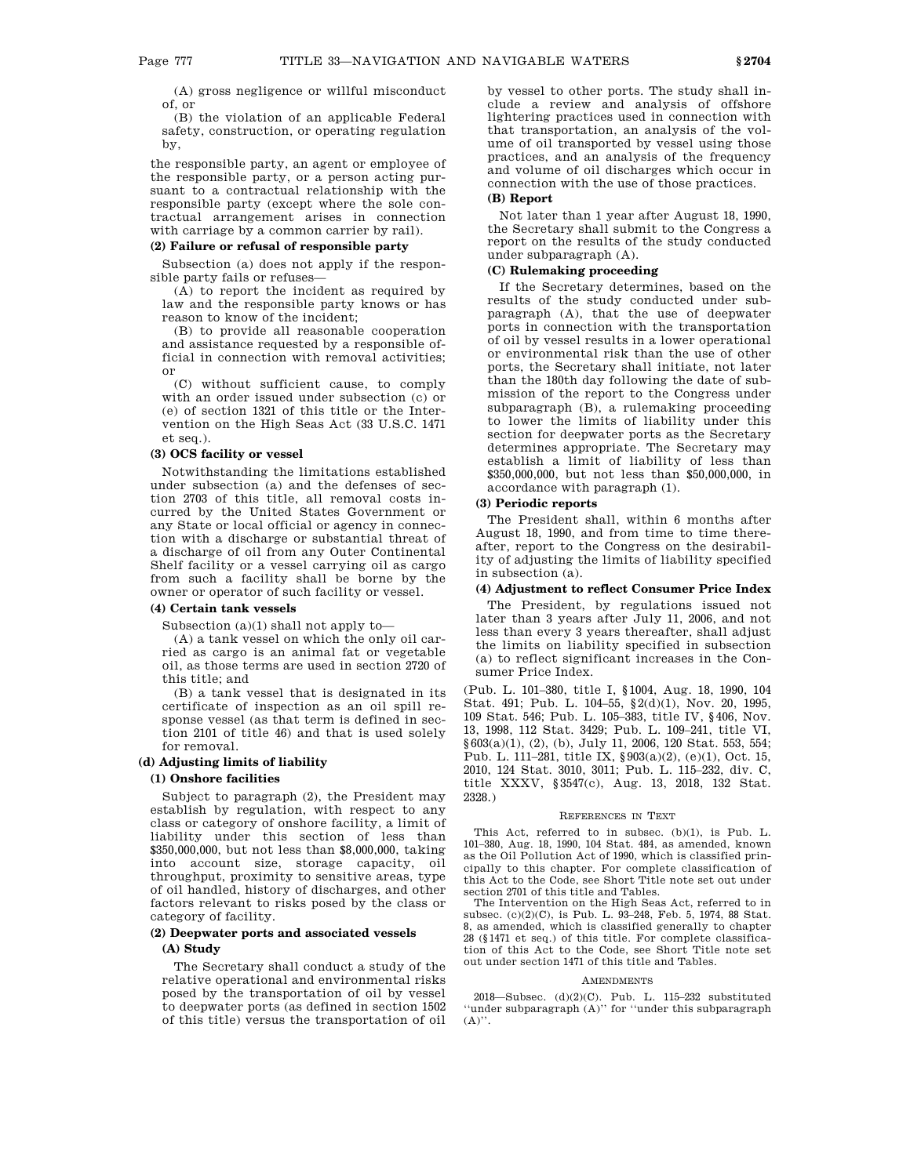(A) gross negligence or willful misconduct of, or

(B) the violation of an applicable Federal safety, construction, or operating regulation by,

the responsible party, an agent or employee of the responsible party, or a person acting pursuant to a contractual relationship with the responsible party (except where the sole contractual arrangement arises in connection with carriage by a common carrier by rail).

# **(2) Failure or refusal of responsible party**

Subsection (a) does not apply if the responsible party fails or refuses—

(A) to report the incident as required by law and the responsible party knows or has reason to know of the incident;

(B) to provide all reasonable cooperation and assistance requested by a responsible official in connection with removal activities; or

(C) without sufficient cause, to comply with an order issued under subsection (c) or (e) of section 1321 of this title or the Intervention on the High Seas Act (33 U.S.C. 1471 et seq.).

### **(3) OCS facility or vessel**

Notwithstanding the limitations established under subsection (a) and the defenses of section 2703 of this title, all removal costs incurred by the United States Government or any State or local official or agency in connection with a discharge or substantial threat of a discharge of oil from any Outer Continental Shelf facility or a vessel carrying oil as cargo from such a facility shall be borne by the owner or operator of such facility or vessel.

# **(4) Certain tank vessels**

Subsection (a)(1) shall not apply to—

(A) a tank vessel on which the only oil carried as cargo is an animal fat or vegetable oil, as those terms are used in section 2720 of this title; and

(B) a tank vessel that is designated in its certificate of inspection as an oil spill response vessel (as that term is defined in section 2101 of title 46) and that is used solely for removal.

# **(d) Adjusting limits of liability**

### **(1) Onshore facilities**

Subject to paragraph (2), the President may establish by regulation, with respect to any class or category of onshore facility, a limit of liability under this section of less than \$350,000,000, but not less than \$8,000,000, taking into account size, storage capacity, oil throughput, proximity to sensitive areas, type of oil handled, history of discharges, and other factors relevant to risks posed by the class or category of facility.

### **(2) Deepwater ports and associated vessels**

### **(A) Study**

The Secretary shall conduct a study of the relative operational and environmental risks posed by the transportation of oil by vessel to deepwater ports (as defined in section 1502 of this title) versus the transportation of oil by vessel to other ports. The study shall include a review and analysis of offshore lightering practices used in connection with that transportation, an analysis of the volume of oil transported by vessel using those practices, and an analysis of the frequency and volume of oil discharges which occur in connection with the use of those practices.

# **(B) Report**

Not later than 1 year after August 18, 1990, the Secretary shall submit to the Congress a report on the results of the study conducted under subparagraph (A).

# **(C) Rulemaking proceeding**

If the Secretary determines, based on the results of the study conducted under subparagraph (A), that the use of deepwater ports in connection with the transportation of oil by vessel results in a lower operational or environmental risk than the use of other ports, the Secretary shall initiate, not later than the 180th day following the date of submission of the report to the Congress under subparagraph (B), a rulemaking proceeding to lower the limits of liability under this section for deepwater ports as the Secretary determines appropriate. The Secretary may establish a limit of liability of less than \$350,000,000, but not less than \$50,000,000, in accordance with paragraph (1).

# **(3) Periodic reports**

The President shall, within 6 months after August 18, 1990, and from time to time thereafter, report to the Congress on the desirability of adjusting the limits of liability specified in subsection (a).

# **(4) Adjustment to reflect Consumer Price Index**

The President, by regulations issued not later than 3 years after July 11, 2006, and not less than every 3 years thereafter, shall adjust the limits on liability specified in subsection (a) to reflect significant increases in the Consumer Price Index.

(Pub. L. 101–380, title I, §1004, Aug. 18, 1990, 104 Stat. 491; Pub. L. 104–55, §2(d)(1), Nov. 20, 1995, 109 Stat. 546; Pub. L. 105–383, title IV, §406, Nov. 13, 1998, 112 Stat. 3429; Pub. L. 109–241, title VI, §603(a)(1), (2), (b), July 11, 2006, 120 Stat. 553, 554; Pub. L. 111–281, title IX, §903(a)(2), (e)(1), Oct. 15, 2010, 124 Stat. 3010, 3011; Pub. L. 115–232, div. C, title XXXV, §3547(c), Aug. 13, 2018, 132 Stat. 2328.)

### REFERENCES IN TEXT

This Act, referred to in subsec. (b)(1), is Pub. L. 101–380, Aug. 18, 1990, 104 Stat. 484, as amended, known as the Oil Pollution Act of 1990, which is classified principally to this chapter. For complete classification of this Act to the Code, see Short Title note set out under section 2701 of this title and Tables.

The Intervention on the High Seas Act, referred to in subsec. (c)(2)(C), is Pub. L. 93–248, Feb. 5, 1974, 88 Stat. 8, as amended, which is classified generally to chapter 28 (§1471 et seq.) of this title. For complete classification of this Act to the Code, see Short Title note set out under section 1471 of this title and Tables.

### AMENDMENTS

2018—Subsec. (d)(2)(C). Pub. L. 115–232 substituted ''under subparagraph (A)'' for ''under this subparagraph  $(A)$ <sup>"</sup>.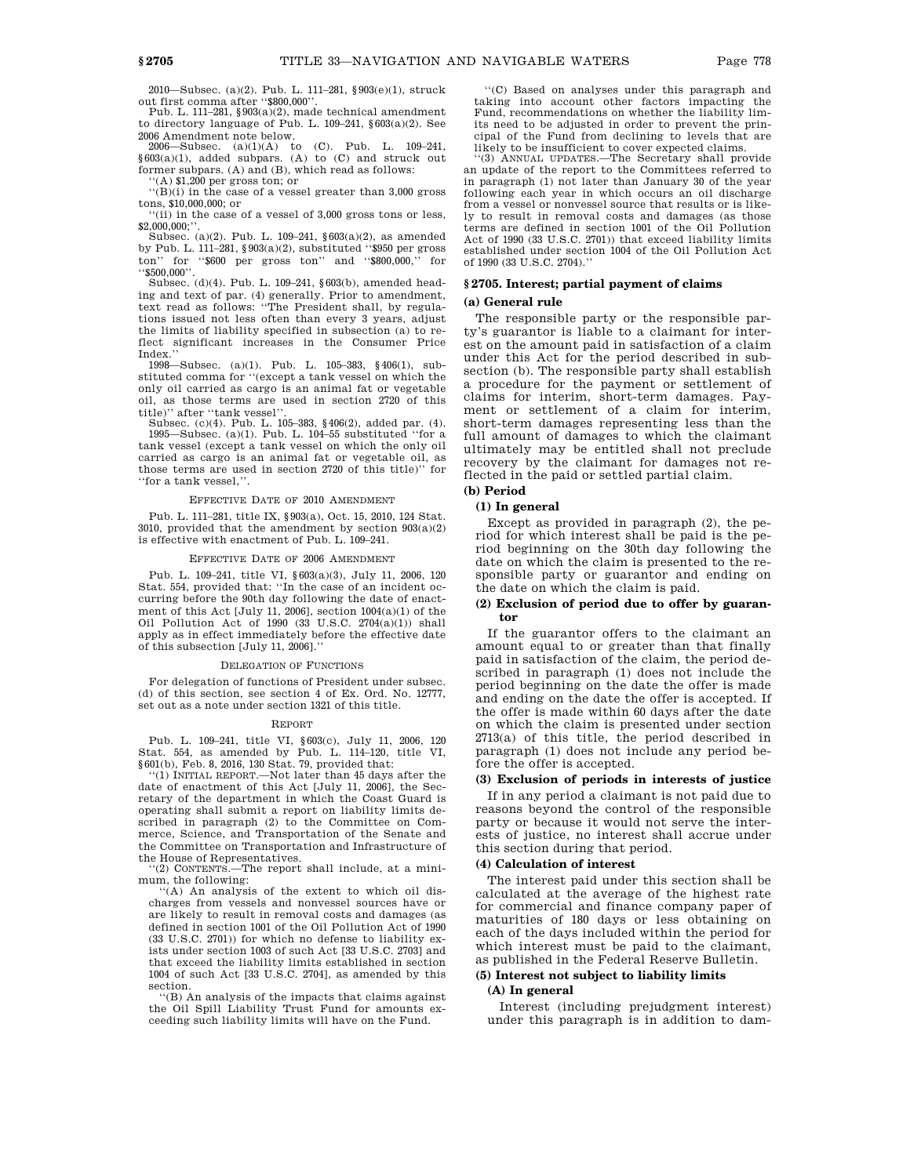2010—Subsec. (a)(2). Pub. L. 111–281, §903(e)(1), struck out first comma after "\$800,000".

Pub. L. 111–281, §903(a)(2), made technical amendment to directory language of Pub. L. 109–241, §603(a)(2). See 2006 Amendment note below.

2006—Subsec.  $(a)(1)(A)$  to  $(C)$ . Pub. L. 109-241, §603(a)(1), added subpars. (A) to (C) and struck out former subpars. (A) and (B), which read as follows:

 $\binom{10}{2}(1)$  (A) \$1,200 per gross ton; or<br> $\binom{10}{2}(1)$  in the case of a vessel greater than 3,000 gross tons, \$10,000,000; or

''(ii) in the case of a vessel of 3,000 gross tons or less,  $$2,000,000$ ;

Subsec. (a)(2). Pub. L. 109–241, §603(a)(2), as amended by Pub. L. 111–281,  $\S\,903(a)(2),$  substituted '' $\$950$  per gross ton'' for ''\$600 per gross ton'' and ''\$800,000,'' for "\$500,000"

Subsec. (d)(4). Pub. L. 109–241, §603(b), amended heading and text of par. (4) generally. Prior to amendment, text read as follows: ''The President shall, by regulations issued not less often than every 3 years, adjust the limits of liability specified in subsection (a) to reflect significant increases in the Consumer Price Index.

1998—Subsec. (a)(1). Pub. L. 105–383, §406(1), substituted comma for ''(except a tank vessel on which the only oil carried as cargo is an animal fat or vegetable oil, as those terms are used in section 2720 of this title)'' after ''tank vessel''.

Subsec. (c)(4). Pub. L. 105–383, §406(2), added par. (4). 1995—Subsec. (a)(1). Pub. L. 104–55 substituted ''for a tank vessel (except a tank vessel on which the only oil carried as cargo is an animal fat or vegetable oil, as those terms are used in section 2720 of this title)'' for ''for a tank vessel,''.

EFFECTIVE DATE OF 2010 AMENDMENT

Pub. L. 111–281, title IX, §903(a), Oct. 15, 2010, 124 Stat. 3010, provided that the amendment by section  $903(a)(2)$ is effective with enactment of Pub. L. 109–241.

### EFFECTIVE DATE OF 2006 AMENDMENT

Pub. L. 109–241, title VI, §603(a)(3), July 11, 2006, 120 Stat. 554, provided that: ''In the case of an incident occurring before the 90th day following the date of enactment of this Act [July 11, 2006], section 1004(a)(1) of the Oil Pollution Act of 1990 (33 U.S.C. 2704(a)(1)) shall apply as in effect immediately before the effective date of this subsection [July 11, 2006].''

### DELEGATION OF FUNCTIONS

For delegation of functions of President under subsec. (d) of this section, see section 4 of Ex. Ord. No. 12777, set out as a note under section 1321 of this title.

### REPORT

Pub. L. 109–241, title VI, §603(c), July 11, 2006, 120 Stat. 554, as amended by Pub. L. 114–120, title VI, §601(b), Feb. 8, 2016, 130 Stat. 79, provided that:

''(1) INITIAL REPORT.—Not later than 45 days after the date of enactment of this Act [July 11, 2006], the Secretary of the department in which the Coast Guard is operating shall submit a report on liability limits described in paragraph (2) to the Committee on Commerce, Science, and Transportation of the Senate and the Committee on Transportation and Infrastructure of the House of Representatives.

''(2) CONTENTS.—The report shall include, at a minimum, the following:

''(A) An analysis of the extent to which oil discharges from vessels and nonvessel sources have or are likely to result in removal costs and damages (as defined in section 1001 of the Oil Pollution Act of 1990 (33 U.S.C. 2701)) for which no defense to liability exists under section 1003 of such Act [33 U.S.C. 2703] and that exceed the liability limits established in section 1004 of such Act [33 U.S.C. 2704], as amended by this section.

''(B) An analysis of the impacts that claims against the Oil Spill Liability Trust Fund for amounts exceeding such liability limits will have on the Fund.

''(C) Based on analyses under this paragraph and taking into account other factors impacting the Fund, recommendations on whether the liability limits need to be adjusted in order to prevent the principal of the Fund from declining to levels that are likely to be insufficient to cover expected claims.

''(3) ANNUAL UPDATES.—The Secretary shall provide an update of the report to the Committees referred to in paragraph (1) not later than January 30 of the year following each year in which occurs an oil discharge from a vessel or nonvessel source that results or is likely to result in removal costs and damages (as those terms are defined in section 1001 of the Oil Pollution Act of 1990 (33 U.S.C. 2701)) that exceed liability limits established under section 1004 of the Oil Pollution Act of 1990 (33 U.S.C. 2704).''

# **§ 2705. Interest; partial payment of claims**

### **(a) General rule**

The responsible party or the responsible party's guarantor is liable to a claimant for interest on the amount paid in satisfaction of a claim under this Act for the period described in subsection (b). The responsible party shall establish a procedure for the payment or settlement of claims for interim, short-term damages. Payment or settlement of a claim for interim, short-term damages representing less than the full amount of damages to which the claimant ultimately may be entitled shall not preclude recovery by the claimant for damages not reflected in the paid or settled partial claim.

# **(1) In general**

**(b) Period**

Except as provided in paragraph (2), the period for which interest shall be paid is the period beginning on the 30th day following the date on which the claim is presented to the responsible party or guarantor and ending on the date on which the claim is paid.

# **(2) Exclusion of period due to offer by guarantor**

If the guarantor offers to the claimant an amount equal to or greater than that finally paid in satisfaction of the claim, the period described in paragraph (1) does not include the period beginning on the date the offer is made and ending on the date the offer is accepted. If the offer is made within 60 days after the date on which the claim is presented under section 2713(a) of this title, the period described in paragraph (1) does not include any period before the offer is accepted.

### **(3) Exclusion of periods in interests of justice**

If in any period a claimant is not paid due to reasons beyond the control of the responsible party or because it would not serve the interests of justice, no interest shall accrue under this section during that period.

# **(4) Calculation of interest**

The interest paid under this section shall be calculated at the average of the highest rate for commercial and finance company paper of maturities of 180 days or less obtaining on each of the days included within the period for which interest must be paid to the claimant, as published in the Federal Reserve Bulletin.

# **(5) Interest not subject to liability limits**

### **(A) In general**

Interest (including prejudgment interest) under this paragraph is in addition to dam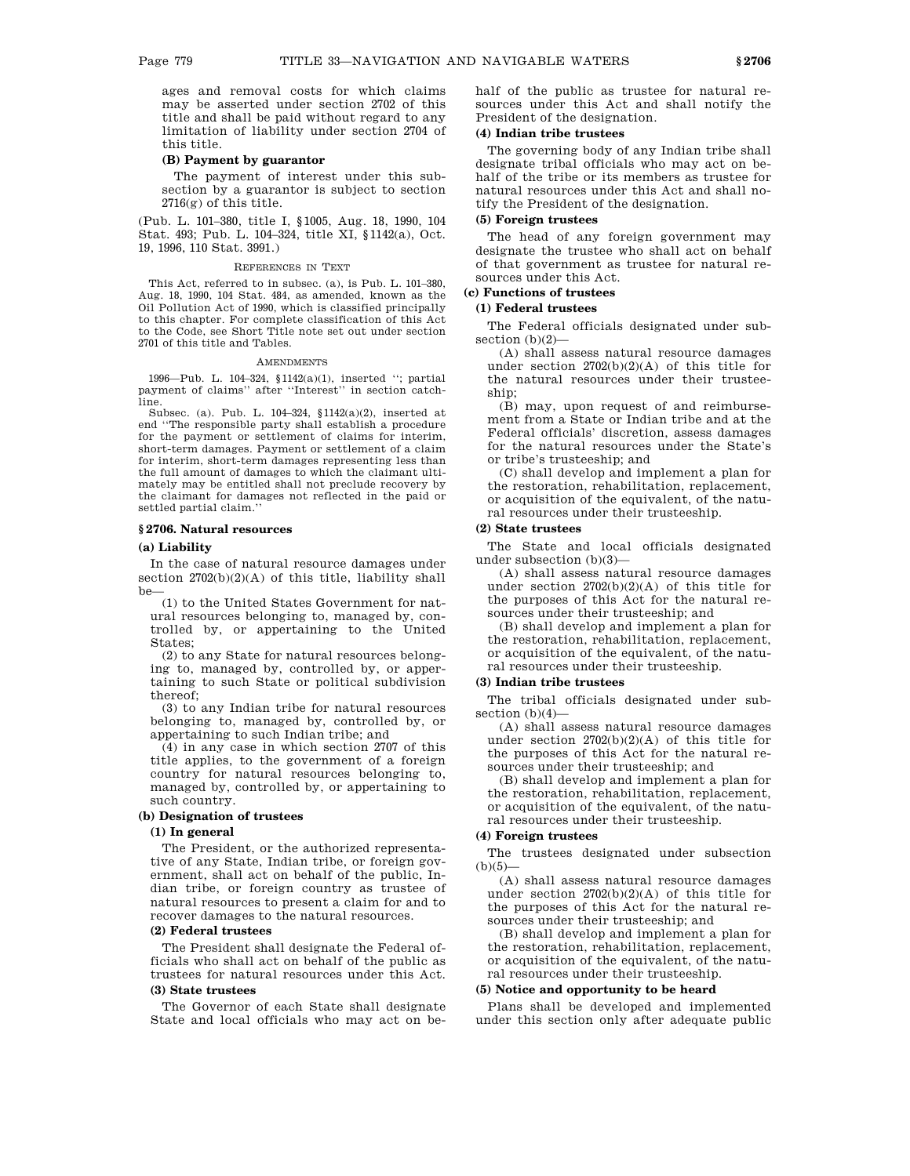ages and removal costs for which claims may be asserted under section 2702 of this title and shall be paid without regard to any limitation of liability under section 2704 of this title.

### **(B) Payment by guarantor**

The payment of interest under this subsection by a guarantor is subject to section  $2716(g)$  of this title.

(Pub. L. 101–380, title I, §1005, Aug. 18, 1990, 104 Stat. 493; Pub. L. 104–324, title XI, §1142(a), Oct. 19, 1996, 110 Stat. 3991.)

# REFERENCES IN TEXT

This Act, referred to in subsec. (a), is Pub. L. 101–380 Aug. 18, 1990, 104 Stat. 484, as amended, known as the Oil Pollution Act of 1990, which is classified principally to this chapter. For complete classification of this Act to the Code, see Short Title note set out under section 2701 of this title and Tables.

### **AMENDMENTS**

1996—Pub. L. 104–324, §1142(a)(1), inserted ''; partial payment of claims'' after ''Interest'' in section catchline.

Subsec. (a). Pub. L. 104–324, §1142(a)(2), inserted at end ''The responsible party shall establish a procedure for the payment or settlement of claims for interim, short-term damages. Payment or settlement of a claim for interim, short-term damages representing less than the full amount of damages to which the claimant ultimately may be entitled shall not preclude recovery by the claimant for damages not reflected in the paid or settled partial claim.''

# **§ 2706. Natural resources**

### **(a) Liability**

In the case of natural resource damages under section 2702(b)(2)(A) of this title, liability shall be—

(1) to the United States Government for natural resources belonging to, managed by, controlled by, or appertaining to the United States;

(2) to any State for natural resources belonging to, managed by, controlled by, or appertaining to such State or political subdivision thereof;

(3) to any Indian tribe for natural resources belonging to, managed by, controlled by, or appertaining to such Indian tribe; and

(4) in any case in which section 2707 of this title applies, to the government of a foreign country for natural resources belonging to, managed by, controlled by, or appertaining to such country.

# **(b) Designation of trustees**

### **(1) In general**

The President, or the authorized representative of any State, Indian tribe, or foreign government, shall act on behalf of the public, Indian tribe, or foreign country as trustee of natural resources to present a claim for and to recover damages to the natural resources.

## **(2) Federal trustees**

The President shall designate the Federal officials who shall act on behalf of the public as trustees for natural resources under this Act.

# **(3) State trustees**

The Governor of each State shall designate State and local officials who may act on behalf of the public as trustee for natural resources under this Act and shall notify the President of the designation.

### **(4) Indian tribe trustees**

The governing body of any Indian tribe shall designate tribal officials who may act on behalf of the tribe or its members as trustee for natural resources under this Act and shall notify the President of the designation.

# **(5) Foreign trustees**

The head of any foreign government may designate the trustee who shall act on behalf of that government as trustee for natural resources under this Act.

# **(c) Functions of trustees**

# **(1) Federal trustees**

The Federal officials designated under subsection  $(b)(2)$ -

(A) shall assess natural resource damages under section 2702(b)(2)(A) of this title for the natural resources under their trusteeship;

(B) may, upon request of and reimbursement from a State or Indian tribe and at the Federal officials' discretion, assess damages for the natural resources under the State's or tribe's trusteeship; and

(C) shall develop and implement a plan for the restoration, rehabilitation, replacement, or acquisition of the equivalent, of the natural resources under their trusteeship.

### **(2) State trustees**

The State and local officials designated under subsection (b)(3)—

(A) shall assess natural resource damages under section  $2702(b)(2)(A)$  of this title for the purposes of this Act for the natural resources under their trusteeship; and

(B) shall develop and implement a plan for the restoration, rehabilitation, replacement, or acquisition of the equivalent, of the natural resources under their trusteeship.

### **(3) Indian tribe trustees**

The tribal officials designated under subsection  $(b)(4)$ -

(A) shall assess natural resource damages under section  $2702(b)(2)(A)$  of this title for the purposes of this Act for the natural resources under their trusteeship; and

(B) shall develop and implement a plan for the restoration, rehabilitation, replacement, or acquisition of the equivalent, of the natural resources under their trusteeship.

### **(4) Foreign trustees**

The trustees designated under subsection  $(b)(5)$ 

(A) shall assess natural resource damages under section  $2702(b)(2)(A)$  of this title for the purposes of this Act for the natural resources under their trusteeship; and

(B) shall develop and implement a plan for the restoration, rehabilitation, replacement, or acquisition of the equivalent, of the natural resources under their trusteeship.

### **(5) Notice and opportunity to be heard**

Plans shall be developed and implemented under this section only after adequate public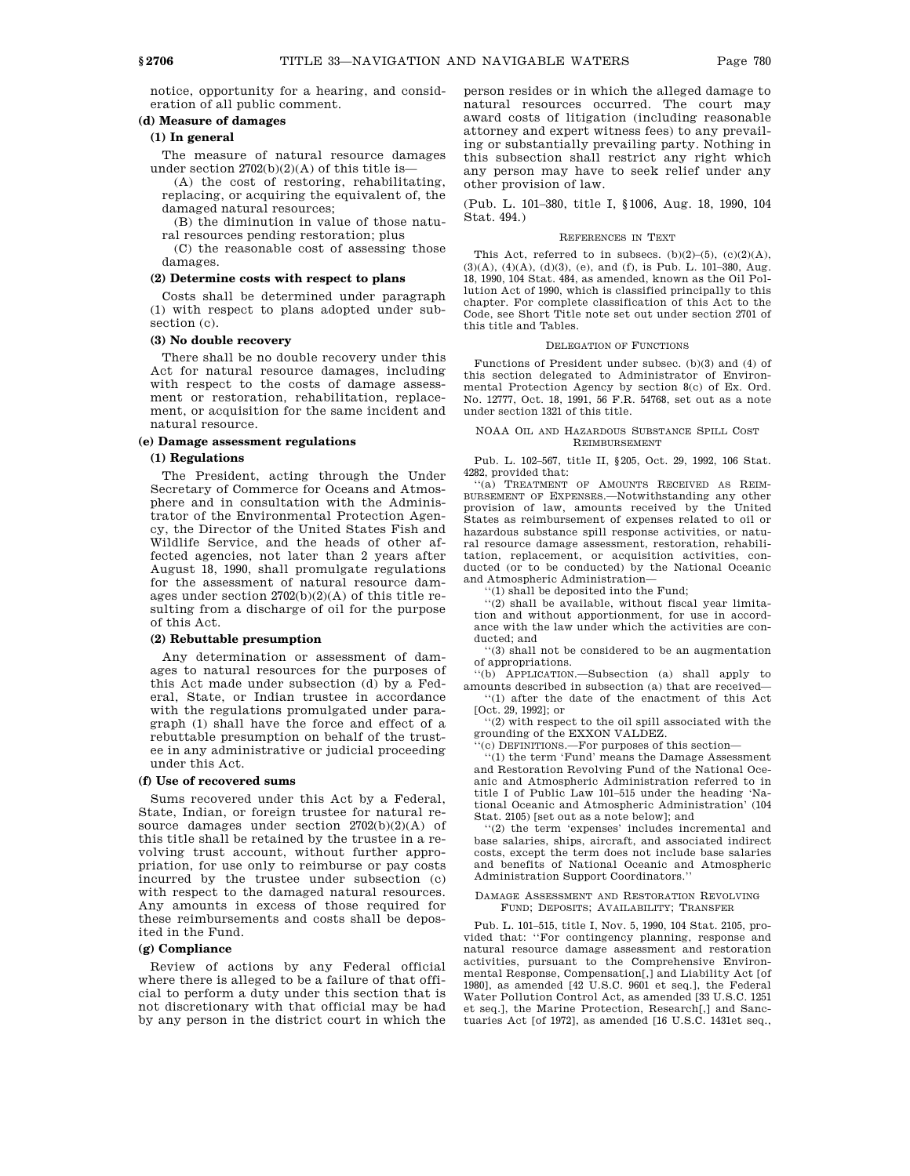notice, opportunity for a hearing, and consideration of all public comment.

# **(d) Measure of damages**

# **(1) In general**

The measure of natural resource damages under section  $2702(b)(2)(A)$  of this title is-

(A) the cost of restoring, rehabilitating, replacing, or acquiring the equivalent of, the damaged natural resources;

(B) the diminution in value of those natural resources pending restoration; plus

(C) the reasonable cost of assessing those damages.

# **(2) Determine costs with respect to plans**

Costs shall be determined under paragraph (1) with respect to plans adopted under subsection (c).

# **(3) No double recovery**

There shall be no double recovery under this Act for natural resource damages, including with respect to the costs of damage assessment or restoration, rehabilitation, replacement, or acquisition for the same incident and natural resource.

### **(e) Damage assessment regulations**

### **(1) Regulations**

The President, acting through the Under Secretary of Commerce for Oceans and Atmosphere and in consultation with the Administrator of the Environmental Protection Agency, the Director of the United States Fish and Wildlife Service, and the heads of other affected agencies, not later than 2 years after August 18, 1990, shall promulgate regulations for the assessment of natural resource damages under section  $2702(b)(2)(A)$  of this title resulting from a discharge of oil for the purpose of this Act.

# **(2) Rebuttable presumption**

Any determination or assessment of damages to natural resources for the purposes of this Act made under subsection (d) by a Federal, State, or Indian trustee in accordance with the regulations promulgated under paragraph (1) shall have the force and effect of a rebuttable presumption on behalf of the trustee in any administrative or judicial proceeding under this Act.

# **(f) Use of recovered sums**

Sums recovered under this Act by a Federal, State, Indian, or foreign trustee for natural resource damages under section 2702(b)(2)(A) of this title shall be retained by the trustee in a revolving trust account, without further appropriation, for use only to reimburse or pay costs incurred by the trustee under subsection (c) with respect to the damaged natural resources. Any amounts in excess of those required for these reimbursements and costs shall be deposited in the Fund.

# **(g) Compliance**

Review of actions by any Federal official where there is alleged to be a failure of that official to perform a duty under this section that is not discretionary with that official may be had by any person in the district court in which the

person resides or in which the alleged damage to natural resources occurred. The court may award costs of litigation (including reasonable attorney and expert witness fees) to any prevailing or substantially prevailing party. Nothing in this subsection shall restrict any right which any person may have to seek relief under any other provision of law.

(Pub. L. 101–380, title I, §1006, Aug. 18, 1990, 104 Stat. 494.)

### REFERENCES IN TEXT

This Act, referred to in subsecs.  $(b)(2)-(5)$ ,  $(c)(2)(A)$ ,  $(3)(A)$ ,  $(4)(A)$ ,  $(d)(3)$ ,  $(e)$ , and  $(f)$ , is Pub. L. 101–380, Aug. 18, 1990, 104 Stat. 484, as amended, known as the Oil Pollution Act of 1990, which is classified principally to this chapter. For complete classification of this Act to the Code, see Short Title note set out under section 2701 of this title and Tables.

### DELEGATION OF FUNCTIONS

Functions of President under subsec. (b)(3) and (4) of this section delegated to Administrator of Environmental Protection Agency by section 8(c) of Ex. Ord. No. 12777, Oct. 18, 1991, 56 F.R. 54768, set out as a note under section 1321 of this title.

# NOAA OIL AND HAZARDOUS SUBSTANCE SPILL COST REIMBURSEMENT

Pub. L. 102–567, title II, §205, Oct. 29, 1992, 106 Stat. 4282, provided that:

''(a) TREATMENT OF AMOUNTS RECEIVED AS REIM-BURSEMENT OF EXPENSES.—Notwithstanding any other provision of law, amounts received by the United States as reimbursement of expenses related to oil or hazardous substance spill response activities, or natural resource damage assessment, restoration, rehabilitation, replacement, or acquisition activities, conducted (or to be conducted) by the National Oceanic and Atmospheric Administration—

''(1) shall be deposited into the Fund;

''(2) shall be available, without fiscal year limitation and without apportionment, for use in accordance with the law under which the activities are conducted; and

''(3) shall not be considered to be an augmentation of appropriations.

''(b) APPLICATION.—Subsection (a) shall apply to amounts described in subsection (a) that are received— '(1) after the date of the enactment of this Act

[Oct. 29, 1992]; or ''(2) with respect to the oil spill associated with the

grounding of the EXXON VALDEZ.

''(c) DEFINITIONS.—For purposes of this section—

 $\lq\lq(1)$  the term 'Fund' means the Damage Assessment and Restoration Revolving Fund of the National Oceanic and Atmospheric Administration referred to in title I of Public Law 101–515 under the heading 'National Oceanic and Atmospheric Administration' (104 Stat. 2105) [set out as a note below]; and

''(2) the term 'expenses' includes incremental and base salaries, ships, aircraft, and associated indirect costs, except the term does not include base salaries and benefits of National Oceanic and Atmospheric Administration Support Coordinators.''

### DAMAGE ASSESSMENT AND RESTORATION REVOLVING FUND; DEPOSITS; AVAILABILITY; TRANSFER

Pub. L. 101–515, title I, Nov. 5, 1990, 104 Stat. 2105, provided that: ''For contingency planning, response and natural resource damage assessment and restoration activities, pursuant to the Comprehensive Environmental Response, Compensation[,] and Liability Act [of 1980], as amended [42 U.S.C. 9601 et seq.], the Federal Water Pollution Control Act, as amended [33 U.S.C. 1251 et seq.], the Marine Protection, Research[,] and Sanctuaries Act [of 1972], as amended [16 U.S.C. 1431et seq.,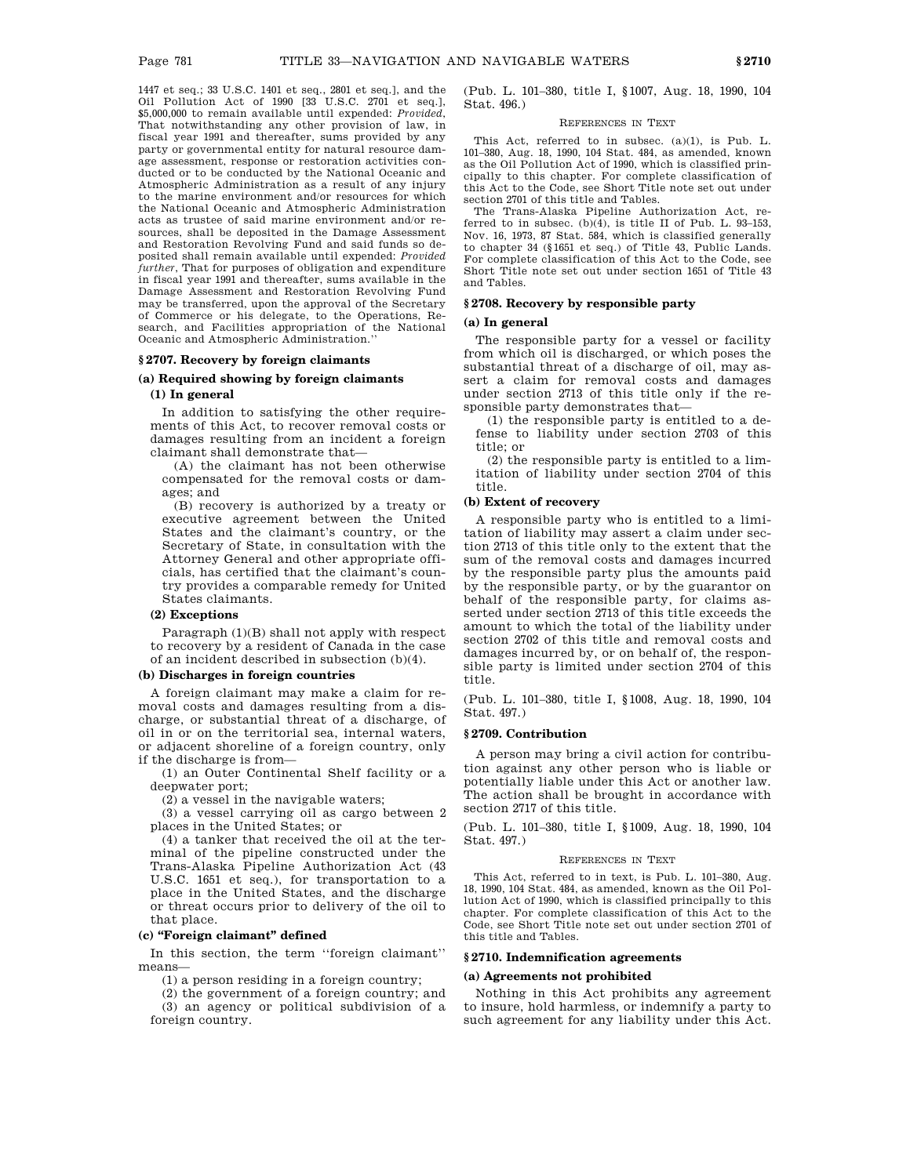1447 et seq.; 33 U.S.C. 1401 et seq., 2801 et seq.], and the Oil Pollution Act of 1990 [33 U.S.C. 2701 et seq.], \$5,000,000 to remain available until expended: *Provided*, That notwithstanding any other provision of law, in fiscal year 1991 and thereafter, sums provided by any party or governmental entity for natural resource damage assessment, response or restoration activities conducted or to be conducted by the National Oceanic and Atmospheric Administration as a result of any injury to the marine environment and/or resources for which the National Oceanic and Atmospheric Administration acts as trustee of said marine environment and/or resources, shall be deposited in the Damage Assessment and Restoration Revolving Fund and said funds so deposited shall remain available until expended: *Provided further*, That for purposes of obligation and expenditure in fiscal year 1991 and thereafter, sums available in the Damage Assessment and Restoration Revolving Fund may be transferred, upon the approval of the Secretary of Commerce or his delegate, to the Operations, Research, and Facilities appropriation of the National Oceanic and Atmospheric Administration.''

# **§ 2707. Recovery by foreign claimants**

# **(a) Required showing by foreign claimants**

# **(1) In general**

In addition to satisfying the other requirements of this Act, to recover removal costs or damages resulting from an incident a foreign claimant shall demonstrate that—

(A) the claimant has not been otherwise compensated for the removal costs or damages; and

(B) recovery is authorized by a treaty or executive agreement between the United States and the claimant's country, or the Secretary of State, in consultation with the Attorney General and other appropriate officials, has certified that the claimant's country provides a comparable remedy for United States claimants.

### **(2) Exceptions**

Paragraph (1)(B) shall not apply with respect to recovery by a resident of Canada in the case of an incident described in subsection (b)(4).

## **(b) Discharges in foreign countries**

A foreign claimant may make a claim for removal costs and damages resulting from a discharge, or substantial threat of a discharge, of oil in or on the territorial sea, internal waters, or adjacent shoreline of a foreign country, only if the discharge is from—

(1) an Outer Continental Shelf facility or a deepwater port;

(2) a vessel in the navigable waters;

(3) a vessel carrying oil as cargo between 2 places in the United States; or

(4) a tanker that received the oil at the terminal of the pipeline constructed under the Trans-Alaska Pipeline Authorization Act (43 U.S.C. 1651 et seq.), for transportation to a place in the United States, and the discharge or threat occurs prior to delivery of the oil to that place.

### **(c) ''Foreign claimant'' defined**

In this section, the term ''foreign claimant'' means—

(1) a person residing in a foreign country;

(2) the government of a foreign country; and (3) an agency or political subdivision of a foreign country.

(Pub. L. 101–380, title I, §1007, Aug. 18, 1990, 104 Stat. 496.)

### REFERENCES IN TEXT

This Act, referred to in subsec. (a)(1), is Pub. L. 101–380, Aug. 18, 1990, 104 Stat. 484, as amended, known as the Oil Pollution Act of 1990, which is classified principally to this chapter. For complete classification of this Act to the Code, see Short Title note set out under section 2701 of this title and Tables.

The Trans-Alaska Pipeline Authorization Act, referred to in subsec.  $(b)(4)$ , is title II of Pub. L. 93-153, Nov. 16, 1973, 87 Stat. 584, which is classified generally to chapter 34 (§1651 et seq.) of Title 43, Public Lands. For complete classification of this Act to the Code, see Short Title note set out under section 1651 of Title 43 and Tables.

### **§ 2708. Recovery by responsible party**

### **(a) In general**

The responsible party for a vessel or facility from which oil is discharged, or which poses the substantial threat of a discharge of oil, may assert a claim for removal costs and damages under section 2713 of this title only if the responsible party demonstrates that—

(1) the responsible party is entitled to a defense to liability under section 2703 of this title; or

(2) the responsible party is entitled to a limitation of liability under section 2704 of this title.

# **(b) Extent of recovery**

A responsible party who is entitled to a limitation of liability may assert a claim under section 2713 of this title only to the extent that the sum of the removal costs and damages incurred by the responsible party plus the amounts paid by the responsible party, or by the guarantor on behalf of the responsible party, for claims asserted under section 2713 of this title exceeds the amount to which the total of the liability under section 2702 of this title and removal costs and damages incurred by, or on behalf of, the responsible party is limited under section 2704 of this title.

(Pub. L. 101–380, title I, §1008, Aug. 18, 1990, 104 Stat. 497.)

# **§ 2709. Contribution**

A person may bring a civil action for contribution against any other person who is liable or potentially liable under this Act or another law. The action shall be brought in accordance with section 2717 of this title.

(Pub. L. 101–380, title I, §1009, Aug. 18, 1990, 104 Stat. 497.)

### REFERENCES IN TEXT

This Act, referred to in text, is Pub. L. 101–380, Aug. 18, 1990, 104 Stat. 484, as amended, known as the Oil Pollution Act of 1990, which is classified principally to this chapter. For complete classification of this Act to the Code, see Short Title note set out under section 2701 of this title and Tables.

# **§ 2710. Indemnification agreements**

### **(a) Agreements not prohibited**

Nothing in this Act prohibits any agreement to insure, hold harmless, or indemnify a party to such agreement for any liability under this Act.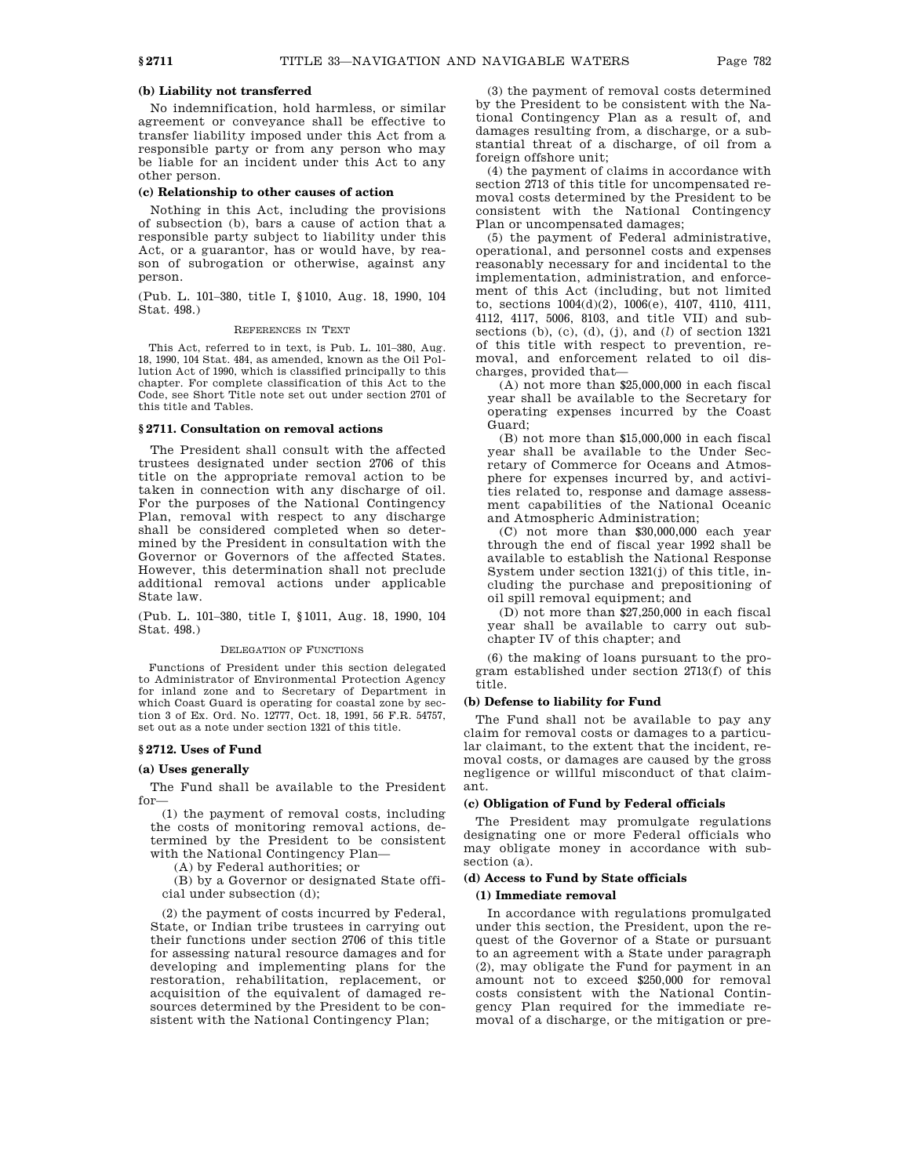### **(b) Liability not transferred**

No indemnification, hold harmless, or similar agreement or conveyance shall be effective to transfer liability imposed under this Act from a responsible party or from any person who may be liable for an incident under this Act to any other person.

### **(c) Relationship to other causes of action**

Nothing in this Act, including the provisions of subsection (b), bars a cause of action that a responsible party subject to liability under this Act, or a guarantor, has or would have, by reason of subrogation or otherwise, against any person.

(Pub. L. 101–380, title I, §1010, Aug. 18, 1990, 104 Stat. 498.)

### REFERENCES IN TEXT

This Act, referred to in text, is Pub. L. 101–380, Aug. 18, 1990, 104 Stat. 484, as amended, known as the Oil Pollution Act of 1990, which is classified principally to this chapter. For complete classification of this Act to the Code, see Short Title note set out under section 2701 of this title and Tables.

### **§ 2711. Consultation on removal actions**

The President shall consult with the affected trustees designated under section 2706 of this title on the appropriate removal action to be taken in connection with any discharge of oil. For the purposes of the National Contingency Plan, removal with respect to any discharge shall be considered completed when so determined by the President in consultation with the Governor or Governors of the affected States. However, this determination shall not preclude additional removal actions under applicable State law.

(Pub. L. 101–380, title I, §1011, Aug. 18, 1990, 104 Stat. 498.)

### DELEGATION OF FUNCTIONS

Functions of President under this section delegated to Administrator of Environmental Protection Agency for inland zone and to Secretary of Department in which Coast Guard is operating for coastal zone by section 3 of Ex. Ord. No. 12777, Oct. 18, 1991, 56 F.R. 54757, set out as a note under section 1321 of this title.

# **§ 2712. Uses of Fund**

# **(a) Uses generally**

The Fund shall be available to the President for—

(1) the payment of removal costs, including the costs of monitoring removal actions, determined by the President to be consistent with the National Contingency Plan—

(A) by Federal authorities; or

(B) by a Governor or designated State official under subsection (d);

(2) the payment of costs incurred by Federal, State, or Indian tribe trustees in carrying out their functions under section 2706 of this title for assessing natural resource damages and for developing and implementing plans for the restoration, rehabilitation, replacement, or acquisition of the equivalent of damaged resources determined by the President to be consistent with the National Contingency Plan;

(3) the payment of removal costs determined by the President to be consistent with the National Contingency Plan as a result of, and damages resulting from, a discharge, or a substantial threat of a discharge, of oil from a foreign offshore unit;

(4) the payment of claims in accordance with section 2713 of this title for uncompensated removal costs determined by the President to be consistent with the National Contingency Plan or uncompensated damages;

(5) the payment of Federal administrative, operational, and personnel costs and expenses reasonably necessary for and incidental to the implementation, administration, and enforcement of this Act (including, but not limited to, sections 1004(d)(2), 1006(e), 4107, 4110, 4111, 4112, 4117, 5006, 8103, and title VII) and subsections (b), (c), (d), (j), and (*l*) of section 1321 of this title with respect to prevention, removal, and enforcement related to oil discharges, provided that—

(A) not more than \$25,000,000 in each fiscal year shall be available to the Secretary for operating expenses incurred by the Coast Guard;

(B) not more than \$15,000,000 in each fiscal year shall be available to the Under Secretary of Commerce for Oceans and Atmosphere for expenses incurred by, and activities related to, response and damage assessment capabilities of the National Oceanic and Atmospheric Administration;

(C) not more than \$30,000,000 each year through the end of fiscal year 1992 shall be available to establish the National Response System under section 1321(j) of this title, including the purchase and prepositioning of oil spill removal equipment; and

(D) not more than \$27,250,000 in each fiscal year shall be available to carry out subchapter IV of this chapter; and

(6) the making of loans pursuant to the program established under section 2713(f) of this title.

### **(b) Defense to liability for Fund**

The Fund shall not be available to pay any claim for removal costs or damages to a particular claimant, to the extent that the incident, removal costs, or damages are caused by the gross negligence or willful misconduct of that claimant.

### **(c) Obligation of Fund by Federal officials**

The President may promulgate regulations designating one or more Federal officials who may obligate money in accordance with subsection (a).

# **(d) Access to Fund by State officials**

# **(1) Immediate removal**

In accordance with regulations promulgated under this section, the President, upon the request of the Governor of a State or pursuant to an agreement with a State under paragraph (2), may obligate the Fund for payment in an amount not to exceed \$250,000 for removal costs consistent with the National Contingency Plan required for the immediate removal of a discharge, or the mitigation or pre-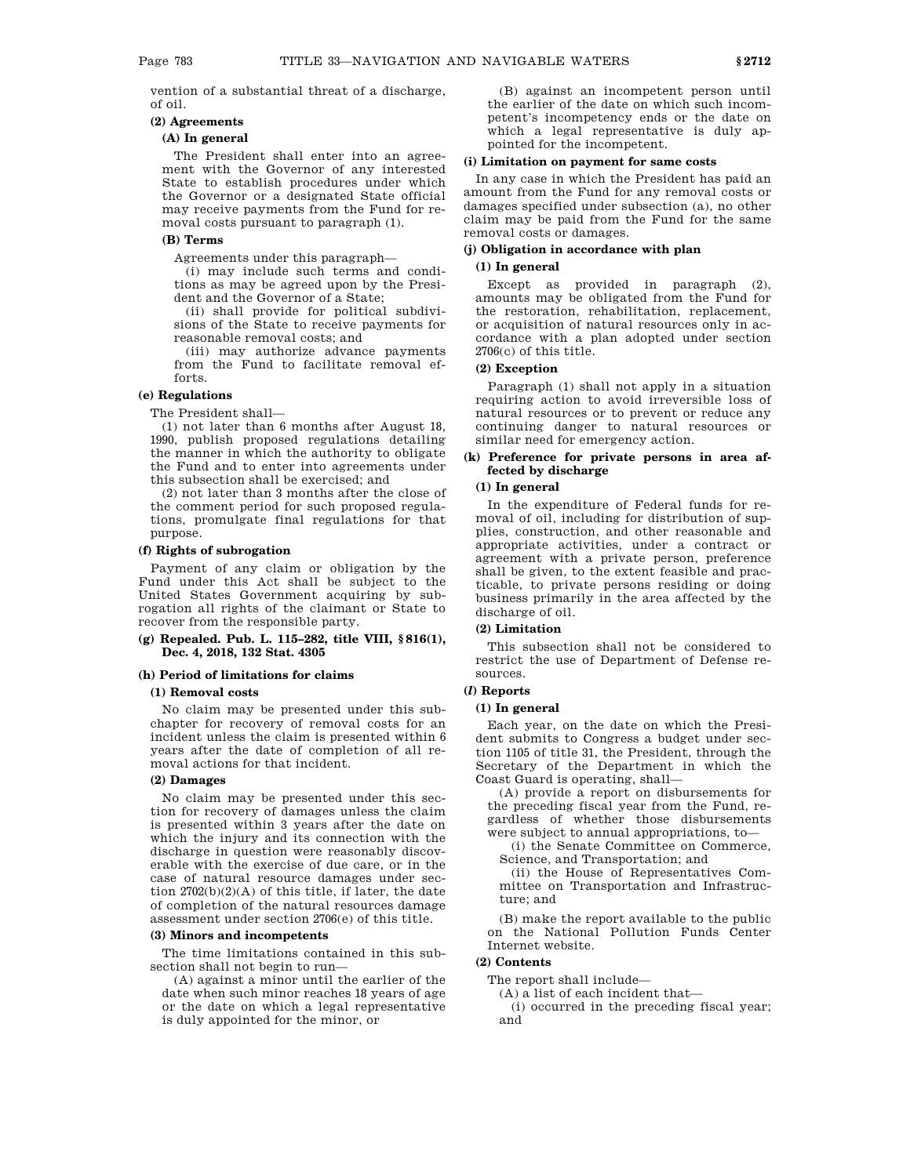vention of a substantial threat of a discharge, of oil.

# **(2) Agreements**

# **(A) In general**

The President shall enter into an agreement with the Governor of any interested State to establish procedures under which the Governor or a designated State official may receive payments from the Fund for removal costs pursuant to paragraph (1).

# **(B) Terms**

Agreements under this paragraph—

(i) may include such terms and conditions as may be agreed upon by the President and the Governor of a State;

(ii) shall provide for political subdivisions of the State to receive payments for reasonable removal costs; and

(iii) may authorize advance payments from the Fund to facilitate removal efforts.

### **(e) Regulations**

The President shall—

(1) not later than 6 months after August 18, 1990, publish proposed regulations detailing the manner in which the authority to obligate the Fund and to enter into agreements under this subsection shall be exercised; and

(2) not later than 3 months after the close of the comment period for such proposed regulations, promulgate final regulations for that purpose.

# **(f) Rights of subrogation**

Payment of any claim or obligation by the Fund under this Act shall be subject to the United States Government acquiring by subrogation all rights of the claimant or State to recover from the responsible party.

# **(g) Repealed. Pub. L. 115–282, title VIII, § 816(1), Dec. 4, 2018, 132 Stat. 4305**

## **(h) Period of limitations for claims**

# **(1) Removal costs**

No claim may be presented under this subchapter for recovery of removal costs for an incident unless the claim is presented within 6 years after the date of completion of all removal actions for that incident.

### **(2) Damages**

No claim may be presented under this section for recovery of damages unless the claim is presented within 3 years after the date on which the injury and its connection with the discharge in question were reasonably discoverable with the exercise of due care, or in the case of natural resource damages under section  $2702(b)(2)(A)$  of this title, if later, the date of completion of the natural resources damage assessment under section 2706(e) of this title.

### **(3) Minors and incompetents**

The time limitations contained in this subsection shall not begin to run—

(A) against a minor until the earlier of the date when such minor reaches 18 years of age or the date on which a legal representative is duly appointed for the minor, or

(B) against an incompetent person until the earlier of the date on which such incompetent's incompetency ends or the date on which a legal representative is duly appointed for the incompetent.

# **(i) Limitation on payment for same costs**

In any case in which the President has paid an amount from the Fund for any removal costs or damages specified under subsection (a), no other claim may be paid from the Fund for the same removal costs or damages.

# **(j) Obligation in accordance with plan**

# **(1) In general**

Except as provided in paragraph (2), amounts may be obligated from the Fund for the restoration, rehabilitation, replacement, or acquisition of natural resources only in accordance with a plan adopted under section 2706(c) of this title.

# **(2) Exception**

Paragraph (1) shall not apply in a situation requiring action to avoid irreversible loss of natural resources or to prevent or reduce any continuing danger to natural resources or similar need for emergency action.

# **(k) Preference for private persons in area affected by discharge**

# **(1) In general**

In the expenditure of Federal funds for removal of oil, including for distribution of supplies, construction, and other reasonable and appropriate activities, under a contract or agreement with a private person, preference shall be given, to the extent feasible and practicable, to private persons residing or doing business primarily in the area affected by the discharge of oil.

### **(2) Limitation**

This subsection shall not be considered to restrict the use of Department of Defense resources.

# **(***l***) Reports**

# **(1) In general**

Each year, on the date on which the President submits to Congress a budget under section 1105 of title 31, the President, through the Secretary of the Department in which the Coast Guard is operating, shall—

(A) provide a report on disbursements for the preceding fiscal year from the Fund, regardless of whether those disbursements were subject to annual appropriations, to—

(i) the Senate Committee on Commerce, Science, and Transportation; and

(ii) the House of Representatives Committee on Transportation and Infrastructure; and

(B) make the report available to the public on the National Pollution Funds Center Internet website.

# **(2) Contents**

The report shall include—

(A) a list of each incident that—

(i) occurred in the preceding fiscal year; and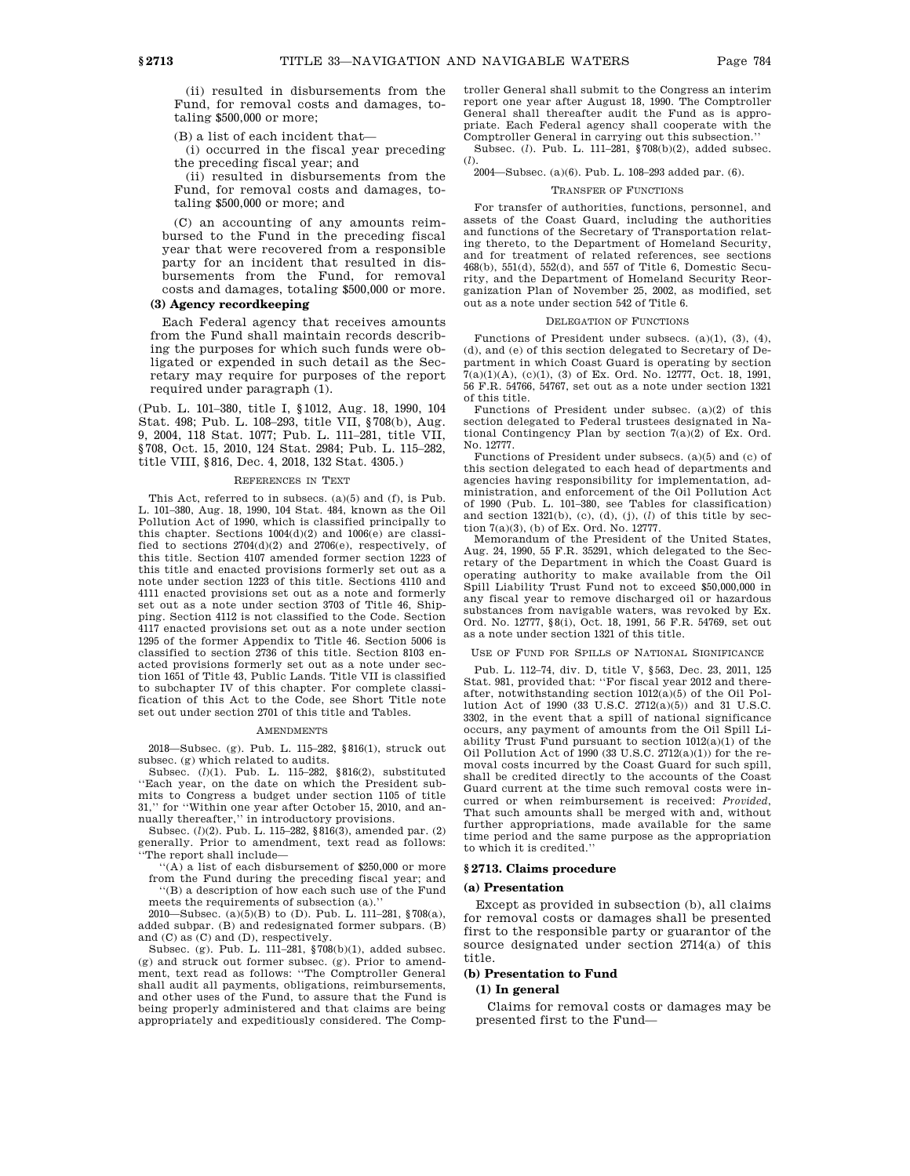(ii) resulted in disbursements from the Fund, for removal costs and damages, totaling \$500,000 or more;

(B) a list of each incident that—

(i) occurred in the fiscal year preceding the preceding fiscal year; and

(ii) resulted in disbursements from the Fund, for removal costs and damages, totaling \$500,000 or more; and

(C) an accounting of any amounts reimbursed to the Fund in the preceding fiscal year that were recovered from a responsible party for an incident that resulted in disbursements from the Fund, for removal costs and damages, totaling \$500,000 or more.

# **(3) Agency recordkeeping**

Each Federal agency that receives amounts from the Fund shall maintain records describing the purposes for which such funds were obligated or expended in such detail as the Secretary may require for purposes of the report required under paragraph (1).

(Pub. L. 101–380, title I, §1012, Aug. 18, 1990, 104 Stat. 498; Pub. L. 108–293, title VII, §708(b), Aug. 9, 2004, 118 Stat. 1077; Pub. L. 111–281, title VII, §708, Oct. 15, 2010, 124 Stat. 2984; Pub. L. 115–282, title VIII, §816, Dec. 4, 2018, 132 Stat. 4305.)

### REFERENCES IN TEXT

This Act, referred to in subsecs. (a)(5) and (f), is Pub. L. 101–380, Aug. 18, 1990, 104 Stat. 484, known as the Oil Pollution Act of 1990, which is classified principally to this chapter. Sections 1004(d)(2) and 1006(e) are classified to sections  $2704(d)(2)$  and  $2706(e)$ , respectively, of this title. Section 4107 amended former section 1223 of this title and enacted provisions formerly set out as a note under section 1223 of this title. Sections 4110 and 4111 enacted provisions set out as a note and formerly set out as a note under section 3703 of Title 46, Shipping. Section 4112 is not classified to the Code. Section 4117 enacted provisions set out as a note under section 1295 of the former Appendix to Title 46. Section 5006 is classified to section 2736 of this title. Section 8103 enacted provisions formerly set out as a note under section 1651 of Title 43, Public Lands. Title VII is classified to subchapter IV of this chapter. For complete classification of this Act to the Code, see Short Title note set out under section 2701 of this title and Tables.

### AMENDMENTS

2018—Subsec. (g). Pub. L. 115–282, §816(1), struck out subsec. (g) which related to audits.

Subsec. (*l*)(1). Pub. L. 115–282, §816(2), substituted ''Each year, on the date on which the President submits to Congress a budget under section 1105 of title for "Within one year after October 15, 2010, and annually thereafter,'' in introductory provisions.

Subsec. (*l*)(2). Pub. L. 115–282, §816(3), amended par. (2) generally. Prior to amendment, text read as follows: ''The report shall include—

''(A) a list of each disbursement of \$250,000 or more from the Fund during the preceding fiscal year; and ''(B) a description of how each such use of the Fund

meets the requirements of subsection (a). 2010—Subsec. (a)(5)(B) to (D). Pub. L. 111–281, §708(a), added subpar. (B) and redesignated former subpars. (B)

and (C) as (C) and (D), respectively. Subsec. (g). Pub. L. 111–281, §708(b)(1), added subsec.

(g) and struck out former subsec. (g). Prior to amendment, text read as follows: ''The Comptroller General shall audit all payments, obligations, reimbursements, and other uses of the Fund, to assure that the Fund is being properly administered and that claims are being appropriately and expeditiously considered. The Comptroller General shall submit to the Congress an interim report one year after August 18, 1990. The Comptroller General shall thereafter audit the Fund as is appropriate. Each Federal agency shall cooperate with the Comptroller General in carrying out this subsection.'' Subsec. (*l*). Pub. L. 111–281, §708(b)(2), added subsec.

### (*l*). 2004—Subsec. (a)(6). Pub. L. 108–293 added par. (6).

### TRANSFER OF FUNCTIONS

For transfer of authorities, functions, personnel, and assets of the Coast Guard, including the authorities and functions of the Secretary of Transportation relating thereto, to the Department of Homeland Security, and for treatment of related references, see sections 468(b), 551(d), 552(d), and 557 of Title 6, Domestic Security, and the Department of Homeland Security Reorganization Plan of November 25, 2002, as modified, set out as a note under section 542 of Title 6.

### DELEGATION OF FUNCTIONS

Functions of President under subsecs. (a)(1), (3), (4), (d), and (e) of this section delegated to Secretary of Department in which Coast Guard is operating by section 7(a)(1)(A), (c)(1), (3) of Ex. Ord. No. 12777, Oct. 18, 1991, 56 F.R. 54766, 54767, set out as a note under section 1321 of this title.

Functions of President under subsec. (a)(2) of this section delegated to Federal trustees designated in National Contingency Plan by section 7(a)(2) of Ex. Ord. No. 12777.

Functions of President under subsecs. (a)(5) and (c) of this section delegated to each head of departments and agencies having responsibility for implementation, administration, and enforcement of the Oil Pollution Act of 1990 (Pub. L. 101–380, see Tables for classification) and section 1321(b), (c), (d), (j), (*l*) of this title by section 7(a)(3), (b) of Ex. Ord. No. 12777.

Memorandum of the President of the United States, Aug. 24, 1990, 55 F.R. 35291, which delegated to the Secretary of the Department in which the Coast Guard is operating authority to make available from the Oil Spill Liability Trust Fund not to exceed \$50,000,000 in any fiscal year to remove discharged oil or hazardous substances from navigable waters, was revoked by Ex. Ord. No. 12777, §8(i), Oct. 18, 1991, 56 F.R. 54769, set out as a note under section 1321 of this title.

USE OF FUND FOR SPILLS OF NATIONAL SIGNIFICANCE

Pub. L. 112–74, div. D, title V, §563, Dec. 23, 2011, 125 Stat. 981, provided that: ''For fiscal year 2012 and thereafter, notwithstanding section 1012(a)(5) of the Oil Pollution Act of 1990 (33 U.S.C. 2712(a)(5)) and 31 U.S.C. 3302, in the event that a spill of national significance occurs, any payment of amounts from the Oil Spill Liability Trust Fund pursuant to section  $1012(a)(1)$  of the Oil Pollution Act of 1990 (33 U.S.C. 2712(a)(1)) for the removal costs incurred by the Coast Guard for such spill, shall be credited directly to the accounts of the Coast Guard current at the time such removal costs were incurred or when reimbursement is received: *Provided*, That such amounts shall be merged with and, without further appropriations, made available for the same time period and the same purpose as the appropriation to which it is credited.''

### **§ 2713. Claims procedure**

### **(a) Presentation**

Except as provided in subsection (b), all claims for removal costs or damages shall be presented first to the responsible party or guarantor of the source designated under section 2714(a) of this title.

### **(b) Presentation to Fund**

### **(1) In general**

Claims for removal costs or damages may be presented first to the Fund—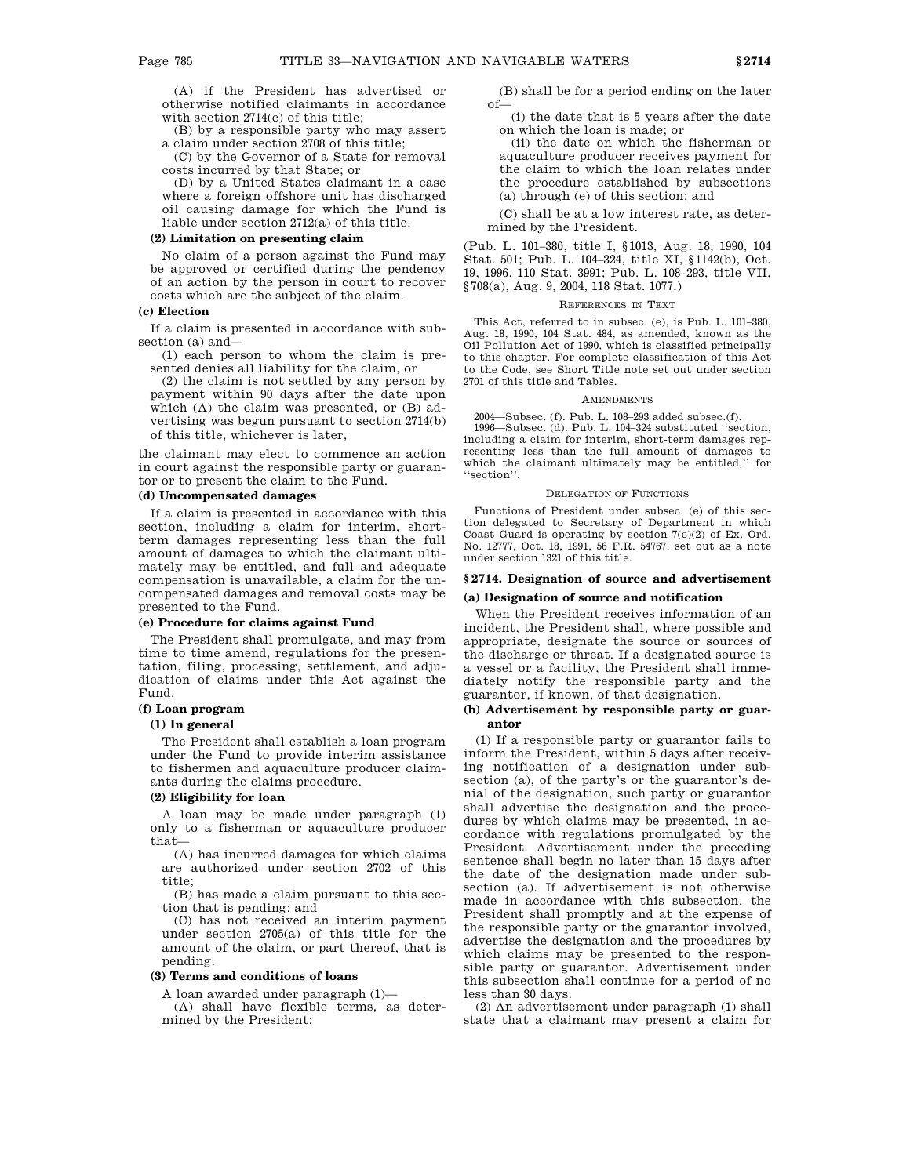(A) if the President has advertised or otherwise notified claimants in accordance with section 2714(c) of this title;

(B) by a responsible party who may assert a claim under section 2708 of this title;

(C) by the Governor of a State for removal costs incurred by that State; or

(D) by a United States claimant in a case where a foreign offshore unit has discharged oil causing damage for which the Fund is liable under section 2712(a) of this title.

## **(2) Limitation on presenting claim**

No claim of a person against the Fund may be approved or certified during the pendency of an action by the person in court to recover costs which are the subject of the claim.

# **(c) Election**

If a claim is presented in accordance with subsection (a) and—

(1) each person to whom the claim is presented denies all liability for the claim, or

(2) the claim is not settled by any person by payment within 90 days after the date upon which (A) the claim was presented, or (B) advertising was begun pursuant to section 2714(b) of this title, whichever is later,

the claimant may elect to commence an action in court against the responsible party or guarantor or to present the claim to the Fund.

# **(d) Uncompensated damages**

If a claim is presented in accordance with this section, including a claim for interim, shortterm damages representing less than the full amount of damages to which the claimant ultimately may be entitled, and full and adequate compensation is unavailable, a claim for the uncompensated damages and removal costs may be presented to the Fund.

### **(e) Procedure for claims against Fund**

The President shall promulgate, and may from time to time amend, regulations for the presentation, filing, processing, settlement, and adjudication of claims under this Act against the Fund.

# **(f) Loan program**

# **(1) In general**

The President shall establish a loan program under the Fund to provide interim assistance to fishermen and aquaculture producer claimants during the claims procedure.

# **(2) Eligibility for loan**

A loan may be made under paragraph (1) only to a fisherman or aquaculture producer that—

(A) has incurred damages for which claims are authorized under section 2702 of this title;

(B) has made a claim pursuant to this section that is pending; and

(C) has not received an interim payment under section 2705(a) of this title for the amount of the claim, or part thereof, that is pending.

### **(3) Terms and conditions of loans**

A loan awarded under paragraph (1)—

(A) shall have flexible terms, as determined by the President;

(B) shall be for a period ending on the later  $of$ 

(i) the date that is 5 years after the date on which the loan is made; or

(ii) the date on which the fisherman or aquaculture producer receives payment for the claim to which the loan relates under the procedure established by subsections (a) through (e) of this section; and

(C) shall be at a low interest rate, as determined by the President.

(Pub. L. 101–380, title I, §1013, Aug. 18, 1990, 104 Stat. 501; Pub. L. 104–324, title XI, §1142(b), Oct. 19, 1996, 110 Stat. 3991; Pub. L. 108–293, title VII, §708(a), Aug. 9, 2004, 118 Stat. 1077.)

### REFERENCES IN TEXT

This Act, referred to in subsec. (e), is Pub. L. 101–380, Aug. 18, 1990, 104 Stat. 484, as amended, known as the Oil Pollution Act of 1990, which is classified principally to this chapter. For complete classification of this Act to the Code, see Short Title note set out under section 2701 of this title and Tables.

### **AMENDMENTS**

2004—Subsec. (f). Pub. L. 108–293 added subsec.(f). 1996—Subsec. (d). Pub. L. 104–324 substituted ''section,

including a claim for interim, short-term damages representing less than the full amount of damages to which the claimant ultimately may be entitled,'' for ''section''.

### DELEGATION OF FUNCTIONS

Functions of President under subsec. (e) of this section delegated to Secretary of Department in which Coast Guard is operating by section  $7(c)(2)$  of Ex. Ord. No. 12777, Oct. 18, 1991, 56 F.R. 54767, set out as a note under section 1321 of this title.

# **§ 2714. Designation of source and advertisement (a) Designation of source and notification**

# When the President receives information of an incident, the President shall, where possible and

appropriate, designate the source or sources of the discharge or threat. If a designated source is a vessel or a facility, the President shall immediately notify the responsible party and the guarantor, if known, of that designation.

### **(b) Advertisement by responsible party or guarantor**

(1) If a responsible party or guarantor fails to inform the President, within 5 days after receiving notification of a designation under subsection (a), of the party's or the guarantor's denial of the designation, such party or guarantor shall advertise the designation and the procedures by which claims may be presented, in accordance with regulations promulgated by the President. Advertisement under the preceding sentence shall begin no later than 15 days after the date of the designation made under subsection (a). If advertisement is not otherwise made in accordance with this subsection, the President shall promptly and at the expense of the responsible party or the guarantor involved, advertise the designation and the procedures by which claims may be presented to the responsible party or guarantor. Advertisement under this subsection shall continue for a period of no less than 30 days.

(2) An advertisement under paragraph (1) shall state that a claimant may present a claim for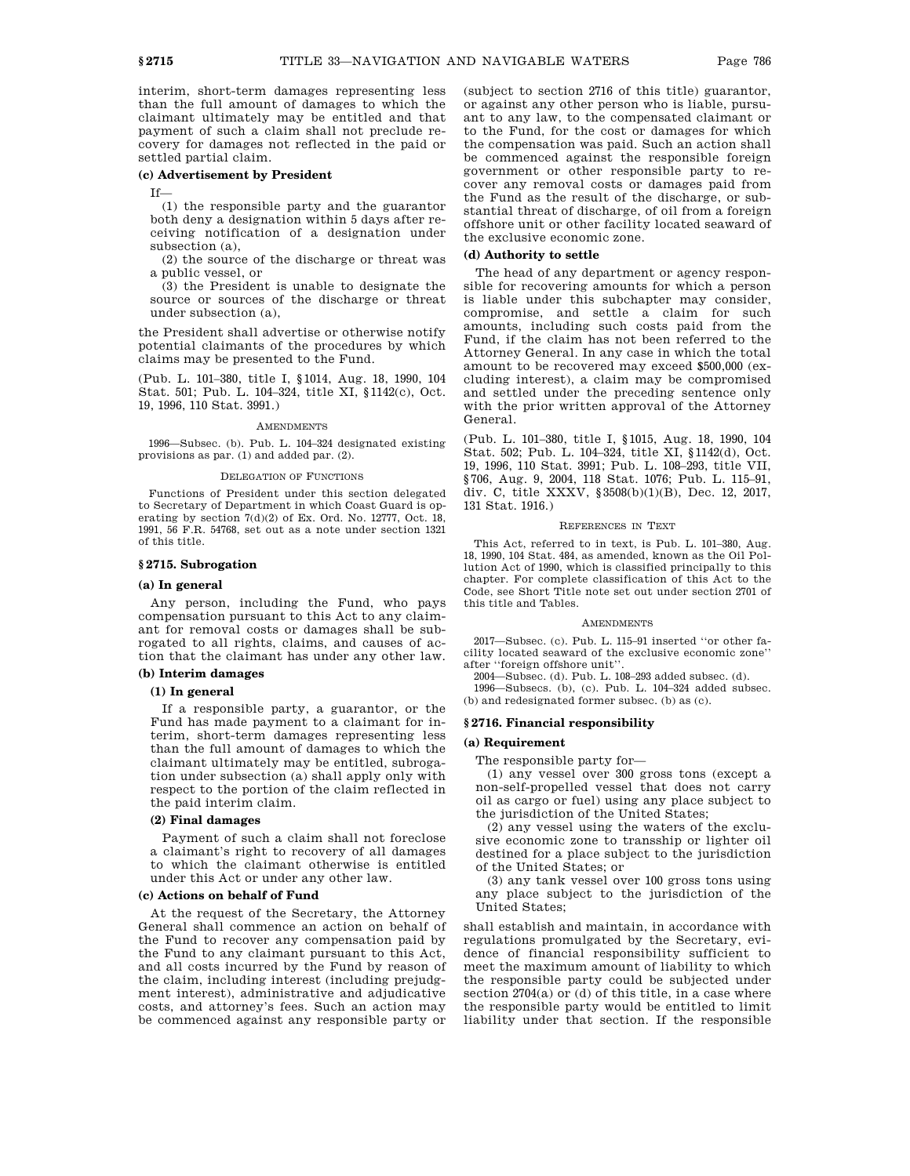interim, short-term damages representing less than the full amount of damages to which the claimant ultimately may be entitled and that payment of such a claim shall not preclude recovery for damages not reflected in the paid or settled partial claim.

### **(c) Advertisement by President**

If—

(1) the responsible party and the guarantor both deny a designation within 5 days after receiving notification of a designation under subsection (a),

(2) the source of the discharge or threat was a public vessel, or

(3) the President is unable to designate the source or sources of the discharge or threat under subsection (a),

the President shall advertise or otherwise notify potential claimants of the procedures by which claims may be presented to the Fund.

(Pub. L. 101–380, title I, §1014, Aug. 18, 1990, 104 Stat. 501; Pub. L. 104–324, title XI, §1142(c), Oct. 19, 1996, 110 Stat. 3991.)

# **AMENDMENTS**

1996—Subsec. (b). Pub. L. 104–324 designated existing provisions as par. (1) and added par. (2).

### DELEGATION OF FUNCTIONS

Functions of President under this section delegated to Secretary of Department in which Coast Guard is operating by section  $7(d)(2)$  of Ex. Ord. No. 12777, Oct. 18, 1991, 56 F.R. 54768, set out as a note under section 1321 of this title.

## **§ 2715. Subrogation**

# **(a) In general**

Any person, including the Fund, who pays compensation pursuant to this Act to any claimant for removal costs or damages shall be subrogated to all rights, claims, and causes of action that the claimant has under any other law.

# **(b) Interim damages**

### **(1) In general**

If a responsible party, a guarantor, or the Fund has made payment to a claimant for interim, short-term damages representing less than the full amount of damages to which the claimant ultimately may be entitled, subrogation under subsection (a) shall apply only with respect to the portion of the claim reflected in the paid interim claim.

### **(2) Final damages**

Payment of such a claim shall not foreclose a claimant's right to recovery of all damages to which the claimant otherwise is entitled under this Act or under any other law.

### **(c) Actions on behalf of Fund**

At the request of the Secretary, the Attorney General shall commence an action on behalf of the Fund to recover any compensation paid by the Fund to any claimant pursuant to this Act, and all costs incurred by the Fund by reason of the claim, including interest (including prejudgment interest), administrative and adjudicative costs, and attorney's fees. Such an action may be commenced against any responsible party or (subject to section 2716 of this title) guarantor, or against any other person who is liable, pursuant to any law, to the compensated claimant or to the Fund, for the cost or damages for which the compensation was paid. Such an action shall be commenced against the responsible foreign government or other responsible party to recover any removal costs or damages paid from the Fund as the result of the discharge, or substantial threat of discharge, of oil from a foreign offshore unit or other facility located seaward of the exclusive economic zone.

### **(d) Authority to settle**

The head of any department or agency responsible for recovering amounts for which a person is liable under this subchapter may consider, compromise, and settle a claim for such amounts, including such costs paid from the Fund, if the claim has not been referred to the Attorney General. In any case in which the total amount to be recovered may exceed \$500,000 (excluding interest), a claim may be compromised and settled under the preceding sentence only with the prior written approval of the Attorney General.

(Pub. L. 101–380, title I, §1015, Aug. 18, 1990, 104 Stat. 502; Pub. L. 104–324, title XI, §1142(d), Oct. 19, 1996, 110 Stat. 3991; Pub. L. 108–293, title VII, §706, Aug. 9, 2004, 118 Stat. 1076; Pub. L. 115–91, div. C, title XXXV, §3508(b)(1)(B), Dec. 12, 2017, 131 Stat. 1916.)

### REFERENCES IN TEXT

This Act, referred to in text, is Pub. L. 101–380, Aug. 18, 1990, 104 Stat. 484, as amended, known as the Oil Pollution Act of 1990, which is classified principally to this chapter. For complete classification of this Act to the Code, see Short Title note set out under section 2701 of this title and Tables.

### **AMENDMENTS**

2017—Subsec. (c). Pub. L. 115–91 inserted ''or other facility located seaward of the exclusive economic zone'' after ''foreign offshore unit''.

2004—Subsec. (d). Pub. L. 108–293 added subsec. (d).

1996—Subsecs. (b), (c). Pub. L. 104–324 added subsec. (b) and redesignated former subsec. (b) as (c).

# **§ 2716. Financial responsibility**

### **(a) Requirement**

The responsible party for—

(1) any vessel over 300 gross tons (except a non-self-propelled vessel that does not carry oil as cargo or fuel) using any place subject to the jurisdiction of the United States;

(2) any vessel using the waters of the exclusive economic zone to transship or lighter oil destined for a place subject to the jurisdiction of the United States; or

(3) any tank vessel over 100 gross tons using any place subject to the jurisdiction of the United States;

shall establish and maintain, in accordance with regulations promulgated by the Secretary, evidence of financial responsibility sufficient to meet the maximum amount of liability to which the responsible party could be subjected under section 2704(a) or (d) of this title, in a case where the responsible party would be entitled to limit liability under that section. If the responsible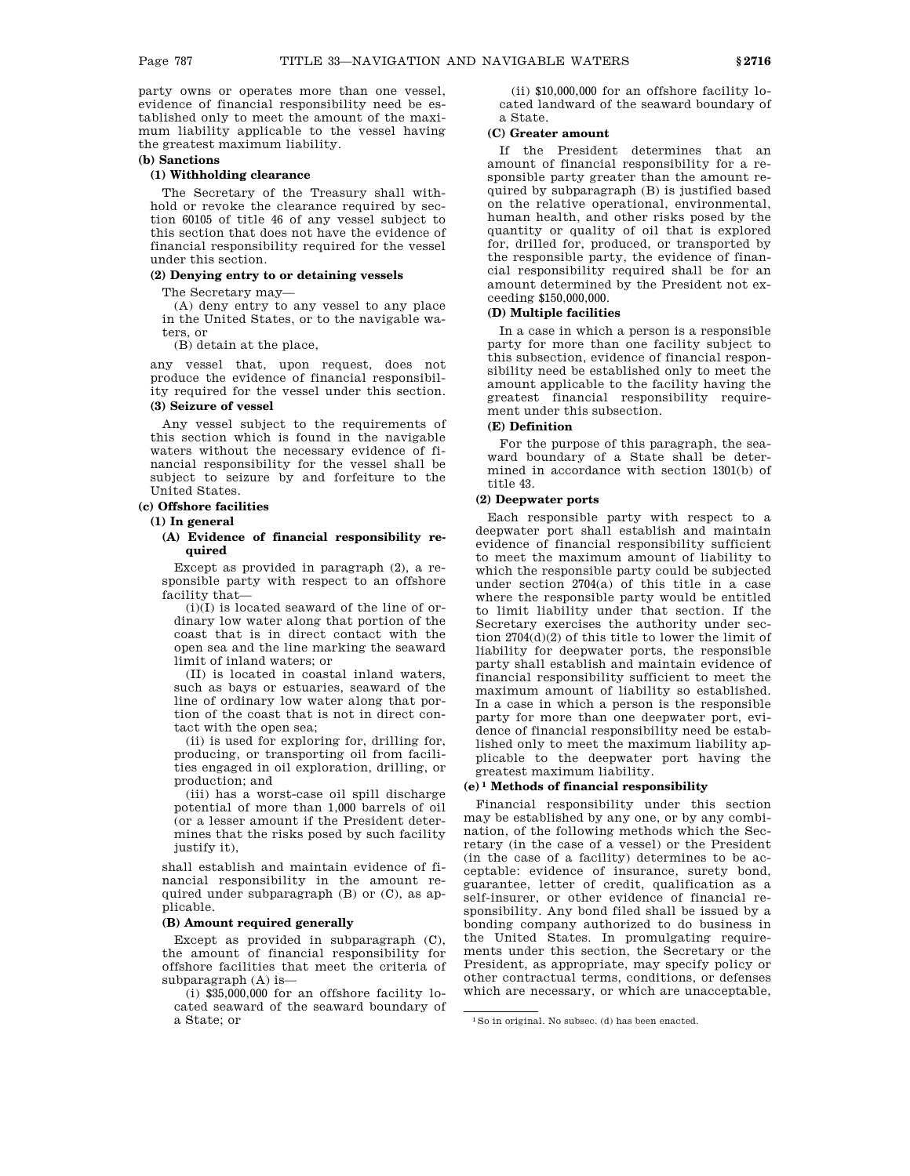party owns or operates more than one vessel, evidence of financial responsibility need be established only to meet the amount of the maximum liability applicable to the vessel having the greatest maximum liability.

# **(b) Sanctions**

# **(1) Withholding clearance**

The Secretary of the Treasury shall withhold or revoke the clearance required by section 60105 of title 46 of any vessel subject to this section that does not have the evidence of financial responsibility required for the vessel under this section.

# **(2) Denying entry to or detaining vessels**

The Secretary may—

(A) deny entry to any vessel to any place in the United States, or to the navigable waters, or

(B) detain at the place,

any vessel that, upon request, does not produce the evidence of financial responsibility required for the vessel under this section. **(3) Seizure of vessel**

Any vessel subject to the requirements of this section which is found in the navigable waters without the necessary evidence of financial responsibility for the vessel shall be subject to seizure by and forfeiture to the United States.

# **(c) Offshore facilities**

# **(1) In general**

# **(A) Evidence of financial responsibility required**

Except as provided in paragraph (2), a responsible party with respect to an offshore facility that—

 $(i)(I)$  is located seaward of the line of ordinary low water along that portion of the coast that is in direct contact with the open sea and the line marking the seaward limit of inland waters; or

(II) is located in coastal inland waters, such as bays or estuaries, seaward of the line of ordinary low water along that portion of the coast that is not in direct contact with the open sea;

(ii) is used for exploring for, drilling for, producing, or transporting oil from facilities engaged in oil exploration, drilling, or production; and

(iii) has a worst-case oil spill discharge potential of more than 1,000 barrels of oil (or a lesser amount if the President determines that the risks posed by such facility justify it),

shall establish and maintain evidence of financial responsibility in the amount required under subparagraph (B) or (C), as applicable.

# **(B) Amount required generally**

Except as provided in subparagraph (C), the amount of financial responsibility for offshore facilities that meet the criteria of subparagraph (A) is—

(i) \$35,000,000 for an offshore facility located seaward of the seaward boundary of a State; or

(ii) \$10,000,000 for an offshore facility located landward of the seaward boundary of a State.

### **(C) Greater amount**

If the President determines that an amount of financial responsibility for a responsible party greater than the amount required by subparagraph (B) is justified based on the relative operational, environmental, human health, and other risks posed by the quantity or quality of oil that is explored for, drilled for, produced, or transported by the responsible party, the evidence of financial responsibility required shall be for an amount determined by the President not exceeding \$150,000,000.

# **(D) Multiple facilities**

In a case in which a person is a responsible party for more than one facility subject to this subsection, evidence of financial responsibility need be established only to meet the amount applicable to the facility having the greatest financial responsibility requirement under this subsection.

# **(E) Definition**

For the purpose of this paragraph, the seaward boundary of a State shall be determined in accordance with section 1301(b) of title 43.

# **(2) Deepwater ports**

Each responsible party with respect to a deepwater port shall establish and maintain evidence of financial responsibility sufficient to meet the maximum amount of liability to which the responsible party could be subjected under section 2704(a) of this title in a case where the responsible party would be entitled to limit liability under that section. If the Secretary exercises the authority under section 2704(d)(2) of this title to lower the limit of liability for deepwater ports, the responsible party shall establish and maintain evidence of financial responsibility sufficient to meet the maximum amount of liability so established. In a case in which a person is the responsible party for more than one deepwater port, evidence of financial responsibility need be established only to meet the maximum liability applicable to the deepwater port having the greatest maximum liability.

### **(e) 1 Methods of financial responsibility**

Financial responsibility under this section may be established by any one, or by any combination, of the following methods which the Secretary (in the case of a vessel) or the President (in the case of a facility) determines to be acceptable: evidence of insurance, surety bond, guarantee, letter of credit, qualification as a self-insurer, or other evidence of financial responsibility. Any bond filed shall be issued by a bonding company authorized to do business in the United States. In promulgating requirements under this section, the Secretary or the President, as appropriate, may specify policy or other contractual terms, conditions, or defenses which are necessary, or which are unacceptable,

<sup>1</sup>So in original. No subsec. (d) has been enacted.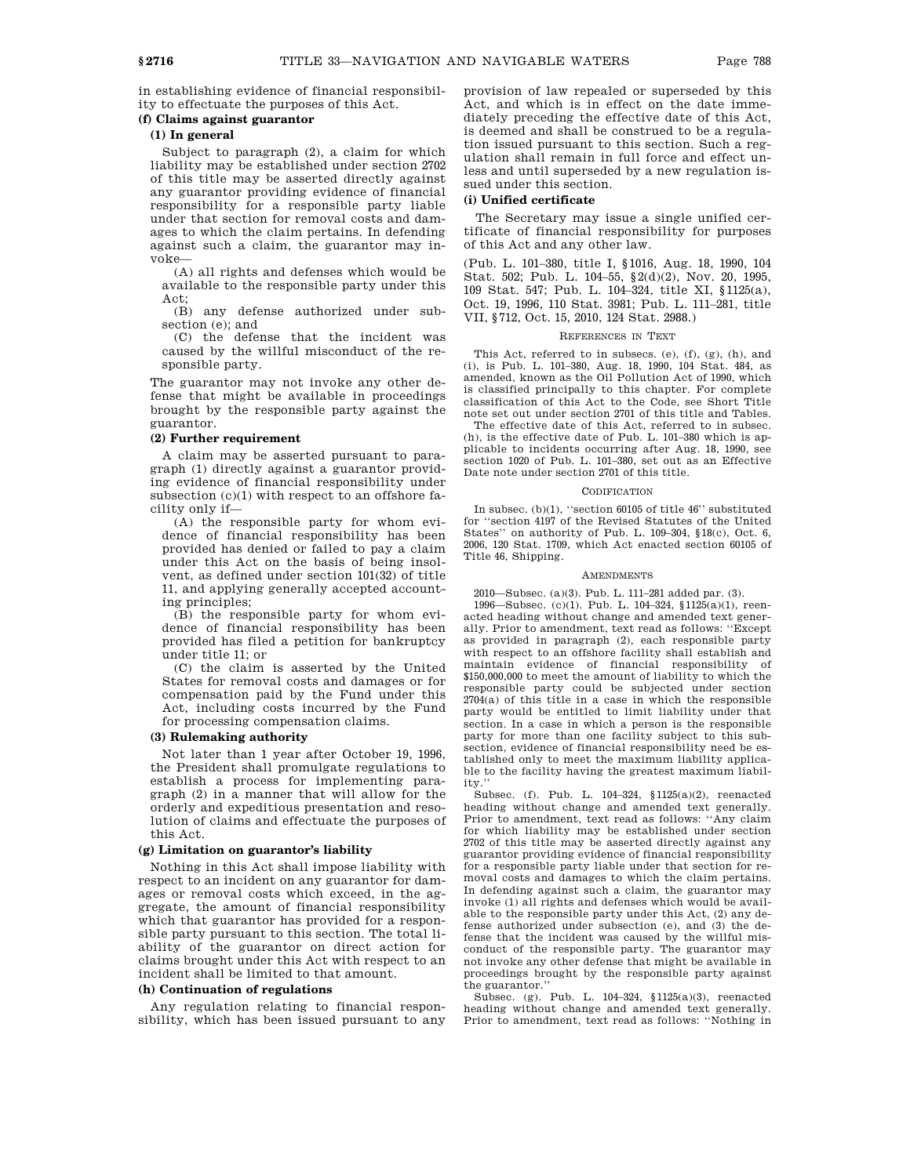in establishing evidence of financial responsibility to effectuate the purposes of this Act.

# **(f) Claims against guarantor**

# **(1) In general**

Subject to paragraph (2), a claim for which liability may be established under section 2702 of this title may be asserted directly against any guarantor providing evidence of financial responsibility for a responsible party liable under that section for removal costs and damages to which the claim pertains. In defending against such a claim, the guarantor may invoke—

(A) all rights and defenses which would be available to the responsible party under this Act;

(B) any defense authorized under subsection (e); and

(C) the defense that the incident was caused by the willful misconduct of the responsible party.

The guarantor may not invoke any other defense that might be available in proceedings brought by the responsible party against the guarantor.

# **(2) Further requirement**

A claim may be asserted pursuant to paragraph (1) directly against a guarantor providing evidence of financial responsibility under subsection (c)(1) with respect to an offshore facility only if—

(A) the responsible party for whom evidence of financial responsibility has been provided has denied or failed to pay a claim under this Act on the basis of being insolvent, as defined under section 101(32) of title 11, and applying generally accepted accounting principles;

(B) the responsible party for whom evidence of financial responsibility has been provided has filed a petition for bankruptcy under title 11; or

(C) the claim is asserted by the United States for removal costs and damages or for compensation paid by the Fund under this Act, including costs incurred by the Fund for processing compensation claims.

# **(3) Rulemaking authority**

Not later than 1 year after October 19, 1996, the President shall promulgate regulations to establish a process for implementing paragraph (2) in a manner that will allow for the orderly and expeditious presentation and resolution of claims and effectuate the purposes of this Act.

### **(g) Limitation on guarantor's liability**

Nothing in this Act shall impose liability with respect to an incident on any guarantor for damages or removal costs which exceed, in the aggregate, the amount of financial responsibility which that guarantor has provided for a responsible party pursuant to this section. The total liability of the guarantor on direct action for claims brought under this Act with respect to an incident shall be limited to that amount.

### **(h) Continuation of regulations**

Any regulation relating to financial responsibility, which has been issued pursuant to any provision of law repealed or superseded by this Act, and which is in effect on the date immediately preceding the effective date of this Act, is deemed and shall be construed to be a regulation issued pursuant to this section. Such a regulation shall remain in full force and effect unless and until superseded by a new regulation issued under this section.

# **(i) Unified certificate**

The Secretary may issue a single unified certificate of financial responsibility for purposes of this Act and any other law.

(Pub. L. 101–380, title I, §1016, Aug. 18, 1990, 104 Stat. 502; Pub. L. 104–55, §2(d)(2), Nov. 20, 1995, 109 Stat. 547; Pub. L. 104–324, title XI, §1125(a), Oct. 19, 1996, 110 Stat. 3981; Pub. L. 111–281, title VII, §712, Oct. 15, 2010, 124 Stat. 2988.)

### REFERENCES IN TEXT

This Act, referred to in subsecs. (e), (f), (g), (h), and (i), is Pub. L. 101–380, Aug. 18, 1990, 104 Stat. 484, as amended, known as the Oil Pollution Act of 1990, which is classified principally to this chapter. For complete classification of this Act to the Code, see Short Title note set out under section 2701 of this title and Tables.

The effective date of this Act, referred to in subsec. (h), is the effective date of Pub. L. 101–380 which is applicable to incidents occurring after Aug. 18, 1990, see section 1020 of Pub. L. 101–380, set out as an Effective Date note under section 2701 of this title.

### **CODIFICATION**

In subsec. (b)(1), ''section 60105 of title 46'' substituted for ''section 4197 of the Revised Statutes of the United States'' on authority of Pub. L. 109–304, §18(c), Oct. 6, 2006, 120 Stat. 1709, which Act enacted section 60105 of Title 46, Shipping.

### AMENDMENTS

2010—Subsec. (a)(3). Pub. L. 111–281 added par. (3).

1996—Subsec. (c)(1). Pub. L. 104–324, §1125(a)(1), reenacted heading without change and amended text generally. Prior to amendment, text read as follows: ''Except as provided in paragraph (2), each responsible party with respect to an offshore facility shall establish and maintain evidence of financial responsibility of \$150,000,000 to meet the amount of liability to which the responsible party could be subjected under section 2704(a) of this title in a case in which the responsible party would be entitled to limit liability under that section. In a case in which a person is the responsible party for more than one facility subject to this subsection, evidence of financial responsibility need be established only to meet the maximum liability applicable to the facility having the greatest maximum liability.''

Subsec. (f). Pub. L. 104–324, §1125(a)(2), reenacted heading without change and amended text generally. Prior to amendment, text read as follows: ''Any claim for which liability may be established under section 2702 of this title may be asserted directly against any guarantor providing evidence of financial responsibility for a responsible party liable under that section for removal costs and damages to which the claim pertains. In defending against such a claim, the guarantor may invoke (1) all rights and defenses which would be available to the responsible party under this Act, (2) any defense authorized under subsection (e), and (3) the defense that the incident was caused by the willful misconduct of the responsible party. The guarantor may not invoke any other defense that might be available in proceedings brought by the responsible party against the guarantor.''

Subsec. (g). Pub. L. 104–324, §1125(a)(3), reenacted heading without change and amended text generally. Prior to amendment, text read as follows: ''Nothing in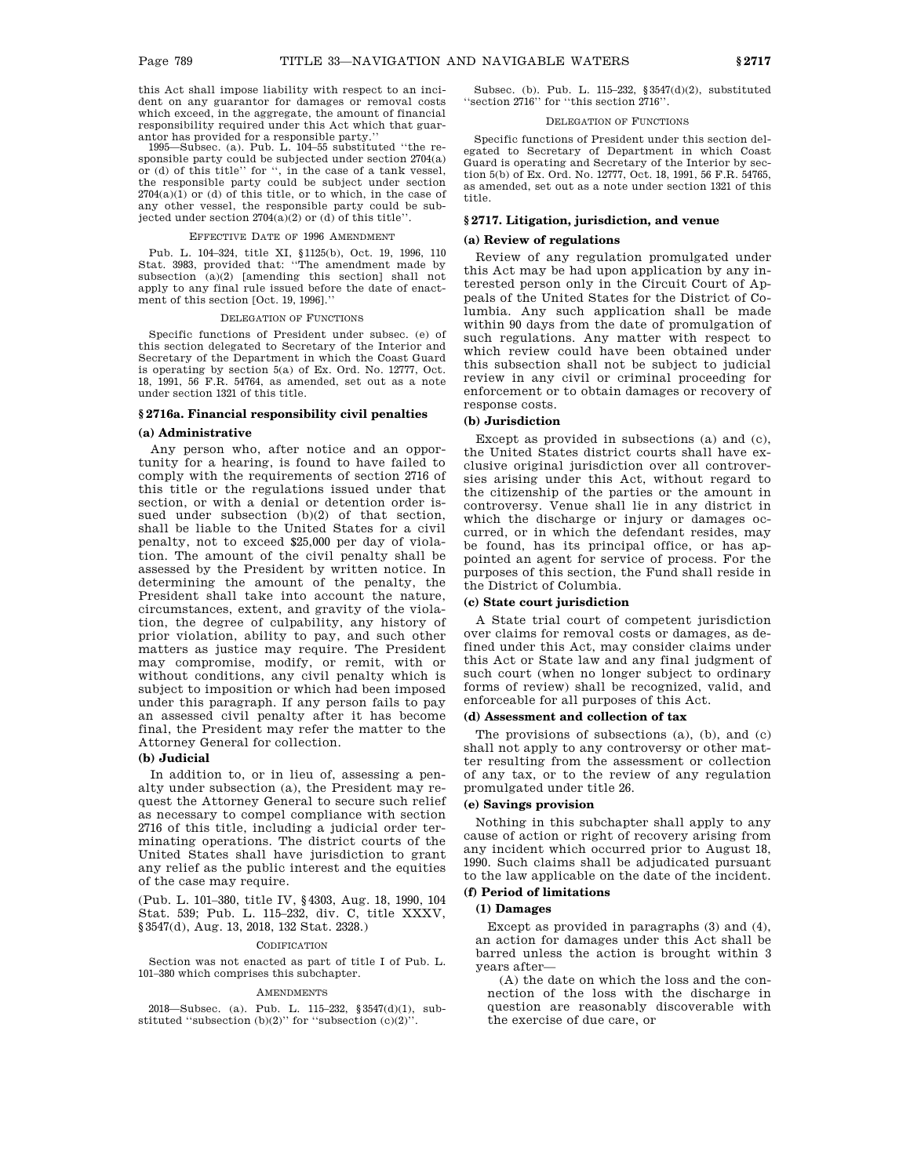this Act shall impose liability with respect to an incident on any guarantor for damages or removal costs which exceed, in the aggregate, the amount of financial responsibility required under this Act which that guarantor has provided for a responsible party.''

1995—Subsec. (a). Pub. L. 104–55 substituted ''the responsible party could be subjected under section 2704(a) or (d) of this title'' for '', in the case of a tank vessel, the responsible party could be subject under section  $2704(a)(1)$  or (d) of this title, or to which, in the case of any other vessel, the responsible party could be subjected under section 2704(a)(2) or (d) of this title''.

### EFFECTIVE DATE OF 1996 AMENDMENT

Pub. L. 104–324, title XI, §1125(b), Oct. 19, 1996, 110 Stat. 3983, provided that: ''The amendment made by subsection (a)(2) [amending this section] shall not apply to any final rule issued before the date of enactment of this section [Oct. 19, 1996].''

### DELEGATION OF FUNCTIONS

Specific functions of President under subsec. (e) of this section delegated to Secretary of the Interior and Secretary of the Department in which the Coast Guard is operating by section 5(a) of Ex. Ord. No. 12777, Oct. 18, 1991, 56 F.R. 54764, as amended, set out as a note under section 1321 of this title.

# **§ 2716a. Financial responsibility civil penalties**

### **(a) Administrative**

Any person who, after notice and an opportunity for a hearing, is found to have failed to comply with the requirements of section 2716 of this title or the regulations issued under that section, or with a denial or detention order issued under subsection (b)(2) of that section, shall be liable to the United States for a civil penalty, not to exceed \$25,000 per day of violation. The amount of the civil penalty shall be assessed by the President by written notice. In determining the amount of the penalty, the President shall take into account the nature, circumstances, extent, and gravity of the violation, the degree of culpability, any history of prior violation, ability to pay, and such other matters as justice may require. The President may compromise, modify, or remit, with or without conditions, any civil penalty which is subject to imposition or which had been imposed under this paragraph. If any person fails to pay an assessed civil penalty after it has become final, the President may refer the matter to the Attorney General for collection.

# **(b) Judicial**

In addition to, or in lieu of, assessing a penalty under subsection (a), the President may request the Attorney General to secure such relief as necessary to compel compliance with section 2716 of this title, including a judicial order terminating operations. The district courts of the United States shall have jurisdiction to grant any relief as the public interest and the equities of the case may require.

(Pub. L. 101–380, title IV, §4303, Aug. 18, 1990, 104 Stat. 539; Pub. L. 115–232, div. C, title XXXV, §3547(d), Aug. 13, 2018, 132 Stat. 2328.)

### **CODIFICATION**

Section was not enacted as part of title I of Pub. L. 101–380 which comprises this subchapter.

### **AMENDMENTS**

2018—Subsec. (a). Pub. L. 115–232, §3547(d)(1), substituted "subsection (b)(2)" for "subsection (c)(2)".

Subsec. (b). Pub. L. 115–232, §3547(d)(2), substituted ''section 2716'' for ''this section 2716''.

# DELEGATION OF FUNCTIONS

Specific functions of President under this section delegated to Secretary of Department in which Coast Guard is operating and Secretary of the Interior by section 5(b) of Ex. Ord. No. 12777, Oct. 18, 1991, 56 F.R. 54765, as amended, set out as a note under section 1321 of this title.

# **§ 2717. Litigation, jurisdiction, and venue**

## **(a) Review of regulations**

Review of any regulation promulgated under this Act may be had upon application by any interested person only in the Circuit Court of Appeals of the United States for the District of Columbia. Any such application shall be made within 90 days from the date of promulgation of such regulations. Any matter with respect to which review could have been obtained under this subsection shall not be subject to judicial review in any civil or criminal proceeding for enforcement or to obtain damages or recovery of response costs.

# **(b) Jurisdiction**

Except as provided in subsections (a) and (c), the United States district courts shall have exclusive original jurisdiction over all controversies arising under this Act, without regard to the citizenship of the parties or the amount in controversy. Venue shall lie in any district in which the discharge or injury or damages occurred, or in which the defendant resides, may be found, has its principal office, or has appointed an agent for service of process. For the purposes of this section, the Fund shall reside in the District of Columbia.

### **(c) State court jurisdiction**

A State trial court of competent jurisdiction over claims for removal costs or damages, as defined under this Act, may consider claims under this Act or State law and any final judgment of such court (when no longer subject to ordinary forms of review) shall be recognized, valid, and enforceable for all purposes of this Act.

# **(d) Assessment and collection of tax**

The provisions of subsections  $(a)$ ,  $(b)$ , and  $(c)$ shall not apply to any controversy or other matter resulting from the assessment or collection of any tax, or to the review of any regulation promulgated under title 26.

### **(e) Savings provision**

Nothing in this subchapter shall apply to any cause of action or right of recovery arising from any incident which occurred prior to August 18, 1990. Such claims shall be adjudicated pursuant to the law applicable on the date of the incident.

# **(f) Period of limitations**

# **(1) Damages**

Except as provided in paragraphs (3) and (4), an action for damages under this Act shall be barred unless the action is brought within 3 years after—

(A) the date on which the loss and the connection of the loss with the discharge in question are reasonably discoverable with the exercise of due care, or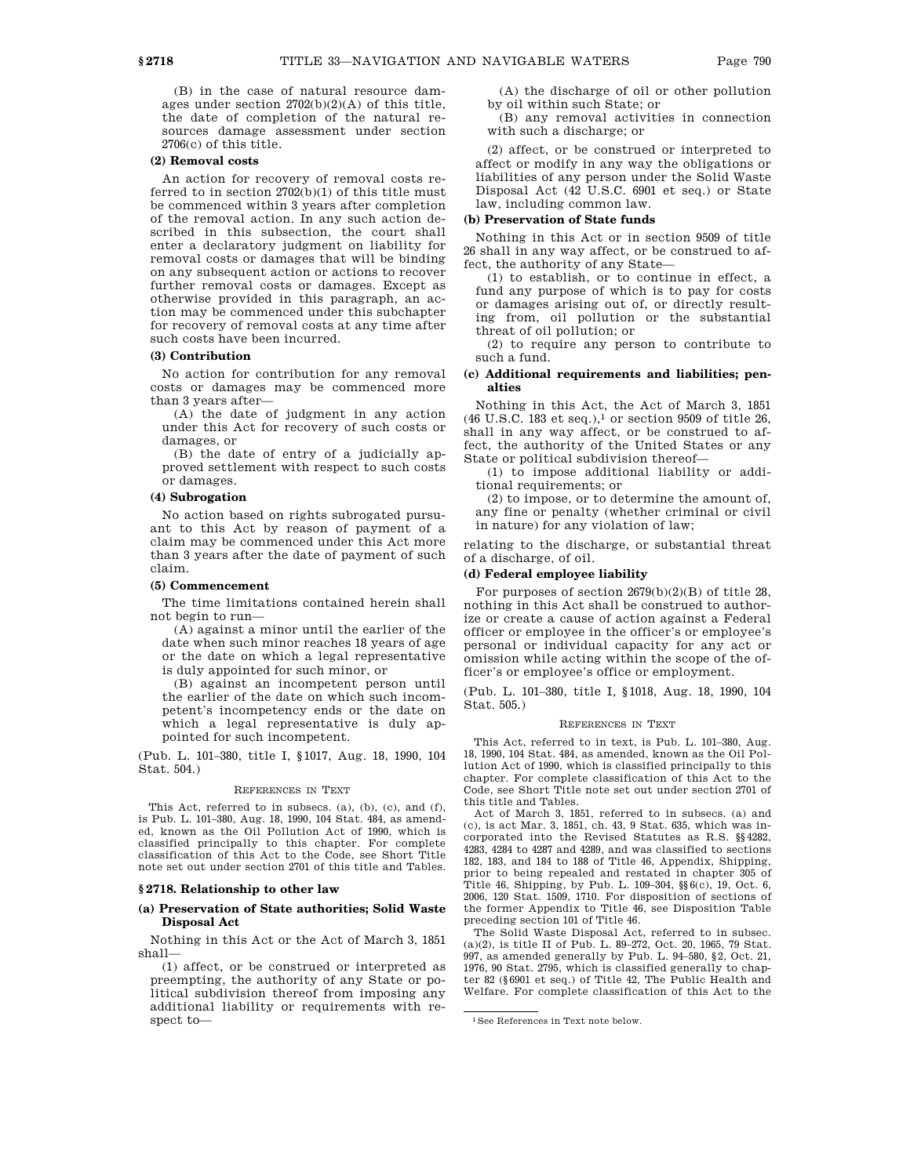(B) in the case of natural resource damages under section 2702(b)(2)(A) of this title, the date of completion of the natural resources damage assessment under section 2706(c) of this title.

# **(2) Removal costs**

An action for recovery of removal costs referred to in section  $2702(b)(1)$  of this title must be commenced within 3 years after completion of the removal action. In any such action described in this subsection, the court shall enter a declaratory judgment on liability for removal costs or damages that will be binding on any subsequent action or actions to recover further removal costs or damages. Except as otherwise provided in this paragraph, an action may be commenced under this subchapter for recovery of removal costs at any time after such costs have been incurred.

### **(3) Contribution**

No action for contribution for any removal costs or damages may be commenced more than 3 years after—

(A) the date of judgment in any action under this Act for recovery of such costs or damages, or

(B) the date of entry of a judicially approved settlement with respect to such costs or damages.

# **(4) Subrogation**

No action based on rights subrogated pursuant to this Act by reason of payment of a claim may be commenced under this Act more than 3 years after the date of payment of such claim.

### **(5) Commencement**

The time limitations contained herein shall not begin to run—

(A) against a minor until the earlier of the date when such minor reaches 18 years of age or the date on which a legal representative is duly appointed for such minor, or

(B) against an incompetent person until the earlier of the date on which such incompetent's incompetency ends or the date on which a legal representative is duly appointed for such incompetent.

(Pub. L. 101–380, title I, §1017, Aug. 18, 1990, 104 Stat. 504.)

### REFERENCES IN TEXT

This Act, referred to in subsecs. (a), (b), (c), and (f), is Pub. L. 101–380, Aug. 18, 1990, 104 Stat. 484, as amended, known as the Oil Pollution Act of 1990, which is classified principally to this chapter. For complete classification of this Act to the Code, see Short Title note set out under section 2701 of this title and Tables.

# **§ 2718. Relationship to other law**

### **(a) Preservation of State authorities; Solid Waste Disposal Act**

Nothing in this Act or the Act of March 3, 1851 shall—

(1) affect, or be construed or interpreted as preempting, the authority of any State or political subdivision thereof from imposing any additional liability or requirements with respect to—

(A) the discharge of oil or other pollution by oil within such State; or

(B) any removal activities in connection with such a discharge; or

(2) affect, or be construed or interpreted to affect or modify in any way the obligations or liabilities of any person under the Solid Waste Disposal Act (42 U.S.C. 6901 et seq.) or State law, including common law.

# **(b) Preservation of State funds**

Nothing in this Act or in section 9509 of title 26 shall in any way affect, or be construed to affect, the authority of any State—

(1) to establish, or to continue in effect, a fund any purpose of which is to pay for costs or damages arising out of, or directly resulting from, oil pollution or the substantial threat of oil pollution; or

(2) to require any person to contribute to such a fund.

# **(c) Additional requirements and liabilities; penalties**

Nothing in this Act, the Act of March 3, 1851  $(46 \text{ U.S.C. } 183 \text{ et seq.})$ ,<sup>1</sup> or section 9509 of title 26, shall in any way affect, or be construed to affect, the authority of the United States or any State or political subdivision thereof—

(1) to impose additional liability or additional requirements; or

(2) to impose, or to determine the amount of, any fine or penalty (whether criminal or civil in nature) for any violation of law;

relating to the discharge, or substantial threat of a discharge, of oil.

# **(d) Federal employee liability**

For purposes of section  $2679(b)(2)(B)$  of title 28, nothing in this Act shall be construed to authorize or create a cause of action against a Federal officer or employee in the officer's or employee's personal or individual capacity for any act or omission while acting within the scope of the officer's or employee's office or employment.

(Pub. L. 101–380, title I, §1018, Aug. 18, 1990, 104 Stat. 505.)

### REFERENCES IN TEXT

This Act, referred to in text, is Pub. L. 101–380, Aug. 18, 1990, 104 Stat. 484, as amended, known as the Oil Pollution Act of 1990, which is classified principally to this chapter. For complete classification of this Act to the Code, see Short Title note set out under section 2701 of this title and Tables.

Act of March 3, 1851, referred to in subsecs. (a) and (c), is act Mar. 3, 1851, ch. 43, 9 Stat. 635, which was incorporated into the Revised Statutes as R.S. §§4282, 4283, 4284 to 4287 and 4289, and was classified to sections 182, 183, and 184 to 188 of Title 46, Appendix, Shipping, prior to being repealed and restated in chapter 305 of Title 46, Shipping, by Pub. L. 109–304, §§6(c), 19, Oct. 6, 2006, 120 Stat. 1509, 1710. For disposition of sections of the former Appendix to Title 46, see Disposition Table preceding section 101 of Title 46.

The Solid Waste Disposal Act, referred to in subsec. (a)(2), is title II of Pub. L. 89–272, Oct. 20, 1965, 79 Stat. 997, as amended generally by Pub. L. 94–580, §2, Oct. 21, 1976, 90 Stat. 2795, which is classified generally to chapter 82 (§6901 et seq.) of Title 42, The Public Health and Welfare. For complete classification of this Act to the

<sup>1</sup>See References in Text note below.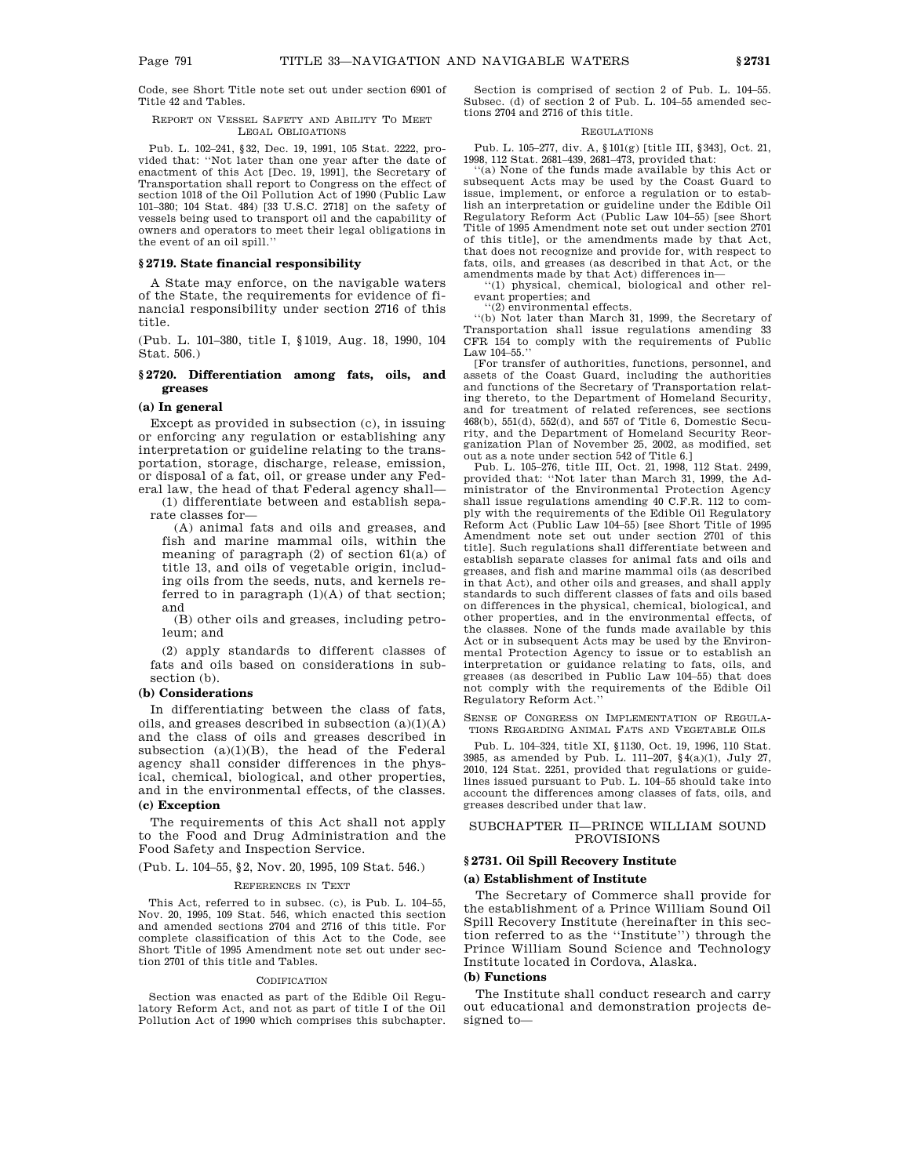Code, see Short Title note set out under section 6901 of Title 42 and Tables.

### REPORT ON VESSEL SAFETY AND ABILITY TO MEET LEGAL OBLIGATIONS

Pub. L. 102–241, §32, Dec. 19, 1991, 105 Stat. 2222, provided that: ''Not later than one year after the date of enactment of this Act [Dec. 19, 1991], the Secretary of Transportation shall report to Congress on the effect of section 1018 of the Oil Pollution Act of 1990 (Public Law 101–380; 104 Stat. 484) [33 U.S.C. 2718] on the safety of vessels being used to transport oil and the capability of owners and operators to meet their legal obligations in the event of an oil spill.''

# **§ 2719. State financial responsibility**

A State may enforce, on the navigable waters of the State, the requirements for evidence of financial responsibility under section 2716 of this title.

(Pub. L. 101–380, title I, §1019, Aug. 18, 1990, 104 Stat. 506.)

### **§ 2720. Differentiation among fats, oils, and greases**

### **(a) In general**

Except as provided in subsection (c), in issuing or enforcing any regulation or establishing any interpretation or guideline relating to the transportation, storage, discharge, release, emission, or disposal of a fat, oil, or grease under any Federal law, the head of that Federal agency shall—

(1) differentiate between and establish separate classes for—

(A) animal fats and oils and greases, and fish and marine mammal oils, within the meaning of paragraph (2) of section 61(a) of title 13, and oils of vegetable origin, including oils from the seeds, nuts, and kernels referred to in paragraph  $(1)(A)$  of that section; and

(B) other oils and greases, including petroleum; and

(2) apply standards to different classes of fats and oils based on considerations in subsection (b).

### **(b) Considerations**

In differentiating between the class of fats, oils, and greases described in subsection  $(a)(1)(A)$ and the class of oils and greases described in subsection  $(a)(1)(B)$ , the head of the Federal agency shall consider differences in the physical, chemical, biological, and other properties, and in the environmental effects, of the classes.

# **(c) Exception**

The requirements of this Act shall not apply to the Food and Drug Administration and the Food Safety and Inspection Service.

(Pub. L. 104–55, §2, Nov. 20, 1995, 109 Stat. 546.)

### REFERENCES IN TEXT

This Act, referred to in subsec. (c), is Pub. L. 104–55, Nov. 20, 1995, 109 Stat. 546, which enacted this section and amended sections 2704 and 2716 of this title. For complete classification of this Act to the Code, see Short Title of 1995 Amendment note set out under section 2701 of this title and Tables.

### CODIFICATION

Section was enacted as part of the Edible Oil Regulatory Reform Act, and not as part of title I of the Oil Pollution Act of 1990 which comprises this subchapter.

Section is comprised of section 2 of Pub. L. 104–55. Subsec. (d) of section 2 of Pub. L. 104–55 amended sections 2704 and 2716 of this title.

#### **REGULATIONS**

Pub. L. 105–277, div. A, §101(g) [title III, §343], Oct. 21,

1998, 112 Stat. 2681–439, 2681–473, provided that: ''(a) None of the funds made available by this Act or subsequent Acts may be used by the Coast Guard to issue, implement, or enforce a regulation or to establish an interpretation or guideline under the Edible Oil Regulatory Reform Act (Public Law 104–55) [see Short Title of 1995 Amendment note set out under section 2701 of this title], or the amendments made by that Act, that does not recognize and provide for, with respect to fats, oils, and greases (as described in that Act, or the amendments made by that Act) differences in—

''(1) physical, chemical, biological and other relevant properties; and

''(2) environmental effects.

''(b) Not later than March 31, 1999, the Secretary of Transportation shall issue regulations amending 33 CFR 154 to comply with the requirements of Public Law 104–55.''

[For transfer of authorities, functions, personnel, and assets of the Coast Guard, including the authorities and functions of the Secretary of Transportation relating thereto, to the Department of Homeland Security, and for treatment of related references, see sections 468(b), 551(d), 552(d), and 557 of Title 6, Domestic Security, and the Department of Homeland Security Reorganization Plan of November 25, 2002, as modified, set out as a note under section 542 of Title 6.]

Pub. L. 105–276, title III, Oct. 21, 1998, 112 Stat. 2499, provided that: ''Not later than March 31, 1999, the Administrator of the Environmental Protection Agency shall issue regulations amending 40 C.F.R. 112 to comply with the requirements of the Edible Oil Regulatory Reform Act (Public Law 104–55) [see Short Title of 1995 Amendment note set out under section 2701 of this title]. Such regulations shall differentiate between and establish separate classes for animal fats and oils and greases, and fish and marine mammal oils (as described in that Act), and other oils and greases, and shall apply standards to such different classes of fats and oils based on differences in the physical, chemical, biological, and other properties, and in the environmental effects, of the classes. None of the funds made available by this Act or in subsequent Acts may be used by the Environmental Protection Agency to issue or to establish an interpretation or guidance relating to fats, oils, and greases (as described in Public Law 104–55) that does not comply with the requirements of the Edible Oil Regulatory Reform Act.''

SENSE OF CONGRESS ON IMPLEMENTATION OF REGULA-TIONS REGARDING ANIMAL FATS AND VEGETABLE OILS

Pub. L. 104–324, title XI, §1130, Oct. 19, 1996, 110 Stat. 3985, as amended by Pub. L. 111–207, §4(a)(1), July 27, 2010, 124 Stat. 2251, provided that regulations or guidelines issued pursuant to Pub. L. 104–55 should take into account the differences among classes of fats, oils, and greases described under that law.

# SUBCHAPTER II—PRINCE WILLIAM SOUND PROVISIONS

# **§ 2731. Oil Spill Recovery Institute**

# **(a) Establishment of Institute**

The Secretary of Commerce shall provide for the establishment of a Prince William Sound Oil Spill Recovery Institute (hereinafter in this section referred to as the ''Institute'') through the Prince William Sound Science and Technology Institute located in Cordova, Alaska.

# **(b) Functions**

The Institute shall conduct research and carry out educational and demonstration projects designed to—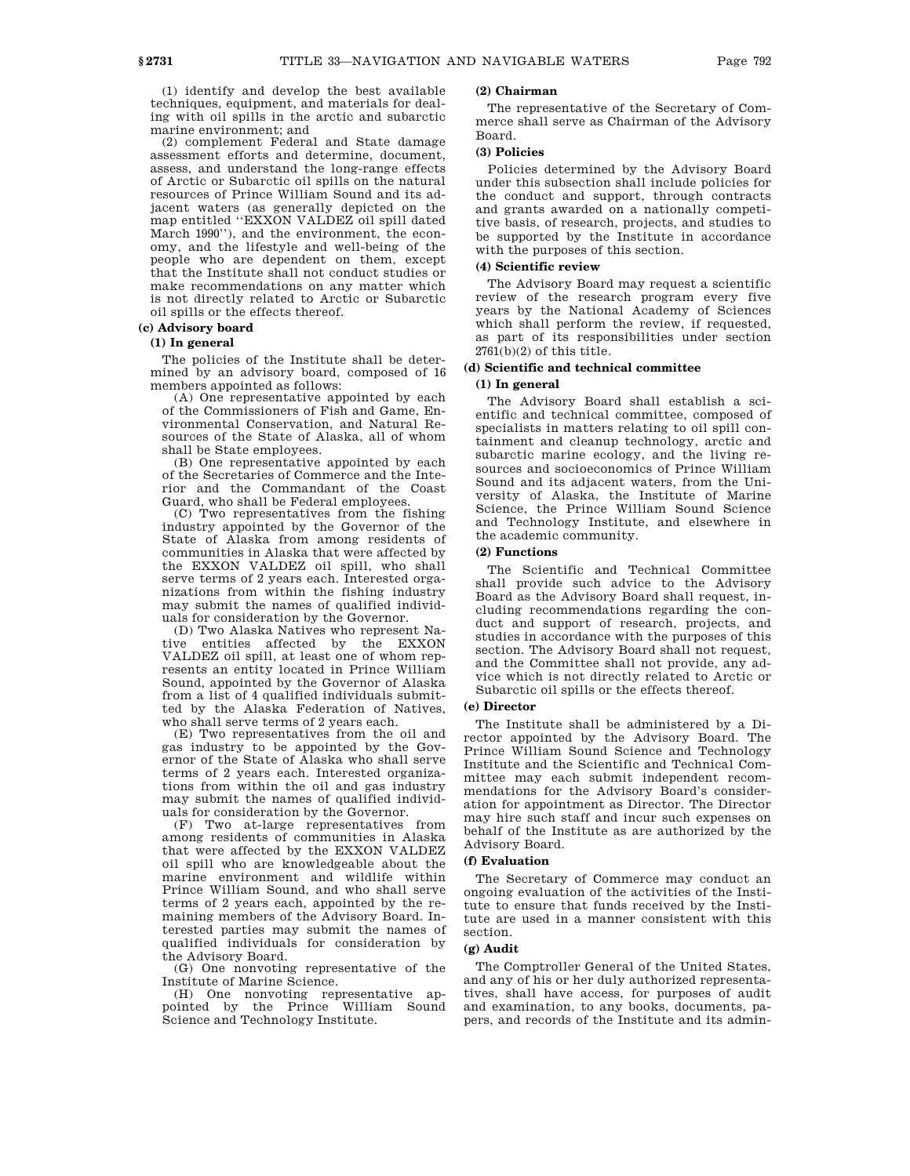(1) identify and develop the best available techniques, equipment, and materials for dealing with oil spills in the arctic and subarctic marine environment; and

(2) complement Federal and State damage assessment efforts and determine, document, assess, and understand the long-range effects of Arctic or Subarctic oil spills on the natural resources of Prince William Sound and its adjacent waters (as generally depicted on the map entitled ''EXXON VALDEZ oil spill dated March 1990''), and the environment, the economy, and the lifestyle and well-being of the people who are dependent on them, except that the Institute shall not conduct studies or make recommendations on any matter which is not directly related to Arctic or Subarctic oil spills or the effects thereof.

# **(c) Advisory board**

# **(1) In general**

The policies of the Institute shall be determined by an advisory board, composed of 16 members appointed as follows:

(A) One representative appointed by each of the Commissioners of Fish and Game, Environmental Conservation, and Natural Resources of the State of Alaska, all of whom shall be State employees.

(B) One representative appointed by each of the Secretaries of Commerce and the Interior and the Commandant of the Coast Guard, who shall be Federal employees.

(C) Two representatives from the fishing industry appointed by the Governor of the State of Alaska from among residents of communities in Alaska that were affected by the EXXON VALDEZ oil spill, who shall serve terms of 2 years each. Interested organizations from within the fishing industry may submit the names of qualified individuals for consideration by the Governor.

(D) Two Alaska Natives who represent Native entities affected by the EXXON VALDEZ oil spill, at least one of whom represents an entity located in Prince William Sound, appointed by the Governor of Alaska from a list of 4 qualified individuals submitted by the Alaska Federation of Natives, who shall serve terms of 2 years each.

(E) Two representatives from the oil and gas industry to be appointed by the Governor of the State of Alaska who shall serve terms of 2 years each. Interested organizations from within the oil and gas industry may submit the names of qualified individuals for consideration by the Governor.

(F) Two at-large representatives from among residents of communities in Alaska that were affected by the EXXON VALDEZ oil spill who are knowledgeable about the marine environment and wildlife within Prince William Sound, and who shall serve terms of 2 years each, appointed by the remaining members of the Advisory Board. Interested parties may submit the names of qualified individuals for consideration by the Advisory Board.

(G) One nonvoting representative of the Institute of Marine Science.

(H) One nonvoting representative appointed by the Prince William Sound Science and Technology Institute.

# **(2) Chairman**

The representative of the Secretary of Commerce shall serve as Chairman of the Advisory Board.

# **(3) Policies**

Policies determined by the Advisory Board under this subsection shall include policies for the conduct and support, through contracts and grants awarded on a nationally competitive basis, of research, projects, and studies to be supported by the Institute in accordance with the purposes of this section.

# **(4) Scientific review**

The Advisory Board may request a scientific review of the research program every five years by the National Academy of Sciences which shall perform the review, if requested, as part of its responsibilities under section  $2761(b)(2)$  of this title.

# **(d) Scientific and technical committee**

# **(1) In general**

The Advisory Board shall establish a scientific and technical committee, composed of specialists in matters relating to oil spill containment and cleanup technology, arctic and subarctic marine ecology, and the living resources and socioeconomics of Prince William Sound and its adjacent waters, from the University of Alaska, the Institute of Marine Science, the Prince William Sound Science and Technology Institute, and elsewhere in the academic community.

# **(2) Functions**

The Scientific and Technical Committee shall provide such advice to the Advisory Board as the Advisory Board shall request, including recommendations regarding the conduct and support of research, projects, and studies in accordance with the purposes of this section. The Advisory Board shall not request, and the Committee shall not provide, any advice which is not directly related to Arctic or Subarctic oil spills or the effects thereof.

### **(e) Director**

The Institute shall be administered by a Director appointed by the Advisory Board. The Prince William Sound Science and Technology Institute and the Scientific and Technical Committee may each submit independent recommendations for the Advisory Board's consideration for appointment as Director. The Director may hire such staff and incur such expenses on behalf of the Institute as are authorized by the Advisory Board.

### **(f) Evaluation**

The Secretary of Commerce may conduct an ongoing evaluation of the activities of the Institute to ensure that funds received by the Institute are used in a manner consistent with this section.

# **(g) Audit**

The Comptroller General of the United States, and any of his or her duly authorized representatives, shall have access, for purposes of audit and examination, to any books, documents, papers, and records of the Institute and its admin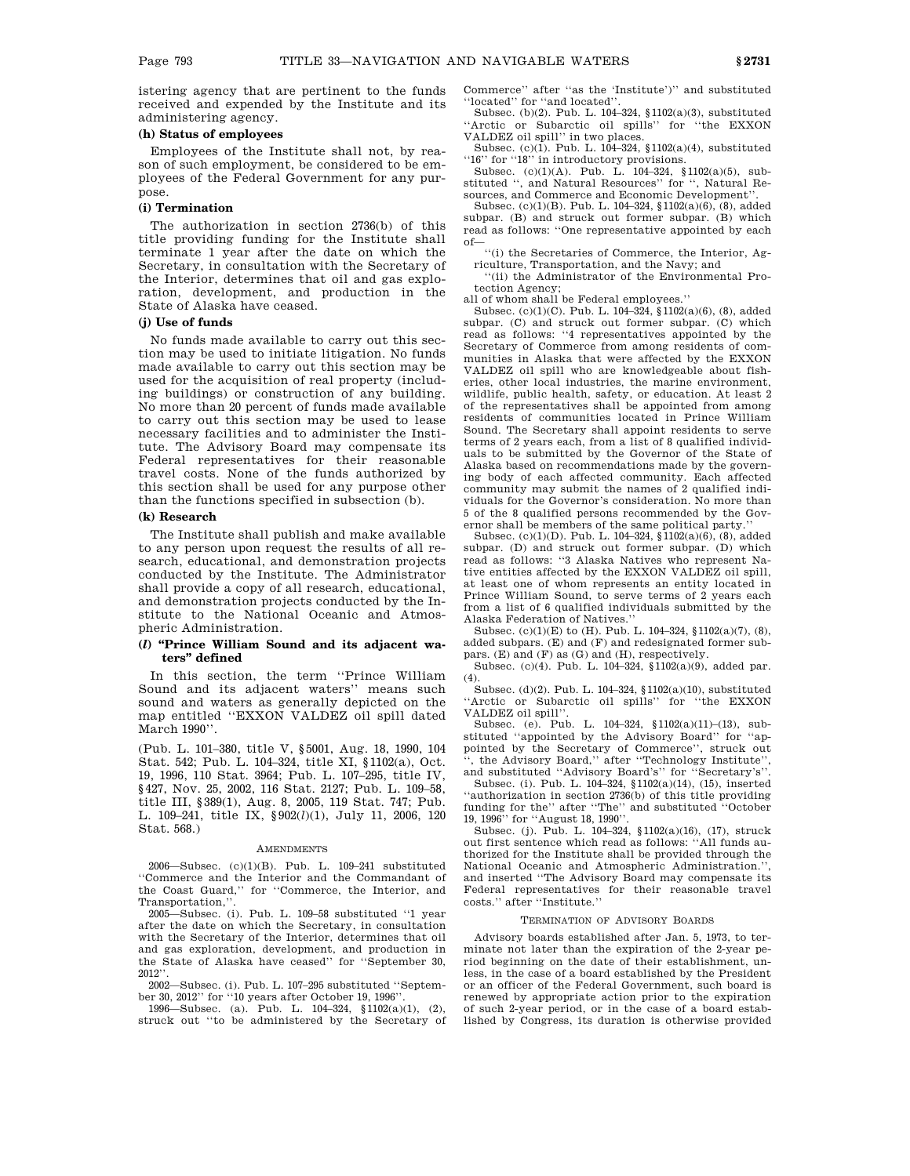istering agency that are pertinent to the funds received and expended by the Institute and its administering agency.

# **(h) Status of employees**

Employees of the Institute shall not, by reason of such employment, be considered to be employees of the Federal Government for any purpose.

# **(i) Termination**

The authorization in section 2736(b) of this title providing funding for the Institute shall terminate 1 year after the date on which the Secretary, in consultation with the Secretary of the Interior, determines that oil and gas exploration, development, and production in the State of Alaska have ceased.

# **(j) Use of funds**

No funds made available to carry out this section may be used to initiate litigation. No funds made available to carry out this section may be used for the acquisition of real property (including buildings) or construction of any building. No more than 20 percent of funds made available to carry out this section may be used to lease necessary facilities and to administer the Institute. The Advisory Board may compensate its Federal representatives for their reasonable travel costs. None of the funds authorized by this section shall be used for any purpose other than the functions specified in subsection (b).

### **(k) Research**

The Institute shall publish and make available to any person upon request the results of all research, educational, and demonstration projects conducted by the Institute. The Administrator shall provide a copy of all research, educational, and demonstration projects conducted by the Institute to the National Oceanic and Atmospheric Administration.

# **(***l***) ''Prince William Sound and its adjacent waters'' defined**

In this section, the term ''Prince William Sound and its adjacent waters'' means such sound and waters as generally depicted on the map entitled ''EXXON VALDEZ oil spill dated March 1990''.

(Pub. L. 101–380, title V, §5001, Aug. 18, 1990, 104 Stat. 542; Pub. L. 104–324, title XI, §1102(a), Oct. 19, 1996, 110 Stat. 3964; Pub. L. 107–295, title IV, §427, Nov. 25, 2002, 116 Stat. 2127; Pub. L. 109–58, title III, §389(1), Aug. 8, 2005, 119 Stat. 747; Pub. L. 109–241, title IX, §902(*l*)(1), July 11, 2006, 120 Stat. 568.)

### AMENDMENTS

2006—Subsec. (c)(1)(B). Pub. L. 109–241 substituted ''Commerce and the Interior and the Commandant of the Coast Guard,'' for ''Commerce, the Interior, and Transportation,'

2005—Subsec. (i). Pub. L. 109–58 substituted ''1 year after the date on which the Secretary, in consultation with the Secretary of the Interior, determines that oil and gas exploration, development, and production in the State of Alaska have ceased'' for ''September 30, 2012<sup>'</sup>

2002—Subsec. (i). Pub. L. 107–295 substituted ''September 30, 2012'' for ''10 years after October 19, 1996''. 1996—Subsec. (a). Pub. L. 104–324, §1102(a)(1), (2),

struck out ''to be administered by the Secretary of

Commerce'' after ''as the 'Institute')'' and substituted ''located'' for ''and located''.

Subsec. (b)(2). Pub. L. 104–324, §1102(a)(3), substituted ''Arctic or Subarctic oil spills'' for ''the EXXON VALDEZ oil spill'' in two places.

Subsec. (c)(1). Pub. L. 104–324, §1102(a)(4), substituted

" $16$ " for " $18$ " in introductory provisions.<br>Subsec. (c)(1)(A). Pub. L.  $104-324$ , §1102(a)(5), substituted '', and Natural Resources'' for '', Natural Resources, and Commerce and Economic Development''.

Subsec. (c)(1)(B). Pub. L. 104–324, §1102(a)(6), (8), added subpar. (B) and struck out former subpar. (B) which read as follows: ''One representative appointed by each of—

''(i) the Secretaries of Commerce, the Interior, Agriculture, Transportation, and the Navy; and

''(ii) the Administrator of the Environmental Protection Agency

all of whom shall be Federal employees.''

Subsec. (c)(1)(C). Pub. L. 104–324, §1102(a)(6), (8), added subpar. (C) and struck out former subpar. (C) which read as follows: ''4 representatives appointed by the Secretary of Commerce from among residents of communities in Alaska that were affected by the EXXON VALDEZ oil spill who are knowledgeable about fisheries, other local industries, the marine environment, wildlife, public health, safety, or education. At least 2 of the representatives shall be appointed from among residents of communities located in Prince William Sound. The Secretary shall appoint residents to serve terms of 2 years each, from a list of 8 qualified individuals to be submitted by the Governor of the State of Alaska based on recommendations made by the governing body of each affected community. Each affected community may submit the names of 2 qualified individuals for the Governor's consideration. No more than 5 of the 8 qualified persons recommended by the Governor shall be members of the same political party.

Subsec. (c)(1)(D). Pub. L. 104–324, §1102(a)(6), (8), added subpar. (D) and struck out former subpar. (D) which read as follows: ''3 Alaska Natives who represent Native entities affected by the EXXON VALDEZ oil spill, at least one of whom represents an entity located in Prince William Sound, to serve terms of 2 years each from a list of 6 qualified individuals submitted by the Alaska Federation of Natives.''

Subsec. (c)(1)(E) to (H). Pub. L. 104–324, §1102(a)(7), (8), added subpars. (E) and (F) and redesignated former subpars. (E) and (F) as (G) and (H), respectively.

Subsec. (c)(4). Pub. L. 104–324, §1102(a)(9), added par. (4).

Subsec. (d)(2). Pub. L. 104–324, §1102(a)(10), substituted ''Arctic or Subarctic oil spills'' for ''the EXXON VALDEZ oil spill''.

Subsec. (e). Pub. L. 104–324, §1102(a)(11)–(13), substituted ''appointed by the Advisory Board'' for ''appointed by the Secretary of Commerce'', struck out , the Advisory Board," after "Technology Institute",

and substituted "Advisory Board's" for "Secretary's" Subsec. (i). Pub. L. 104–324, §1102(a)(14), (15), inserted ''authorization in section 2736(b) of this title providing funding for the'' after ''The'' and substituted ''October 19, 1996'' for ''August 18, 1990''.

Subsec. (j). Pub. L. 104–324, §1102(a)(16), (17), struck out first sentence which read as follows: ''All funds authorized for the Institute shall be provided through the National Oceanic and Atmospheric Administration.'', and inserted ''The Advisory Board may compensate its Federal representatives for their reasonable travel costs.'' after ''Institute.''

### TERMINATION OF ADVISORY BOARDS

Advisory boards established after Jan. 5, 1973, to terminate not later than the expiration of the 2-year period beginning on the date of their establishment, unless, in the case of a board established by the President or an officer of the Federal Government, such board is renewed by appropriate action prior to the expiration of such 2-year period, or in the case of a board established by Congress, its duration is otherwise provided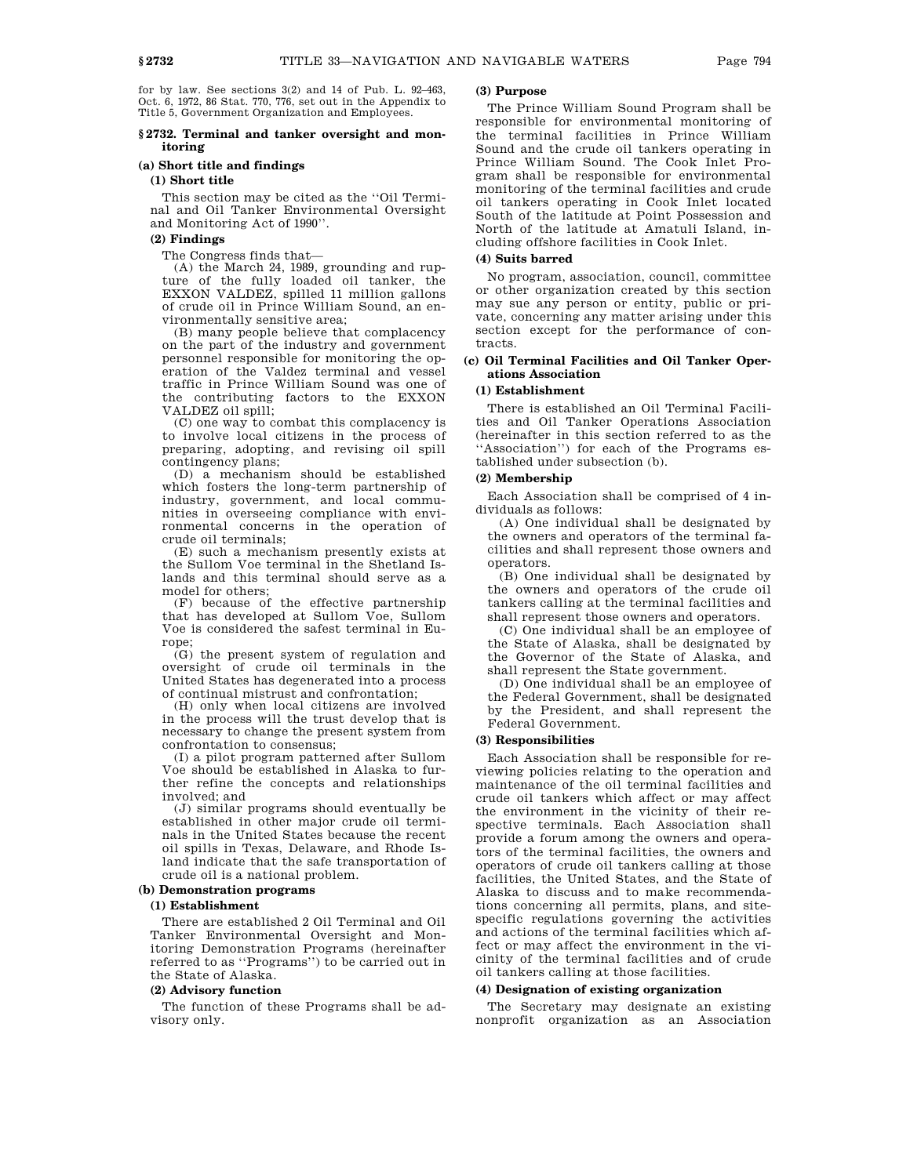for by law. See sections 3(2) and 14 of Pub. L. 92–463, Oct. 6, 1972, 86 Stat. 770, 776, set out in the Appendix to Title 5, Government Organization and Employees.

# **§ 2732. Terminal and tanker oversight and monitoring**

# **(a) Short title and findings**

# **(1) Short title**

This section may be cited as the ''Oil Terminal and Oil Tanker Environmental Oversight and Monitoring Act of 1990''.

# **(2) Findings**

The Congress finds that—

(A) the March 24, 1989, grounding and rupture of the fully loaded oil tanker, the EXXON VALDEZ, spilled 11 million gallons of crude oil in Prince William Sound, an environmentally sensitive area;

(B) many people believe that complacency on the part of the industry and government personnel responsible for monitoring the operation of the Valdez terminal and vessel traffic in Prince William Sound was one of the contributing factors to the EXXON VALDEZ oil spill;

(C) one way to combat this complacency is to involve local citizens in the process of preparing, adopting, and revising oil spill contingency plans;

(D) a mechanism should be established which fosters the long-term partnership of industry, government, and local communities in overseeing compliance with environmental concerns in the operation of crude oil terminals;

(E) such a mechanism presently exists at the Sullom Voe terminal in the Shetland Islands and this terminal should serve as a model for others;

(F) because of the effective partnership that has developed at Sullom Voe, Sullom Voe is considered the safest terminal in Europe;

(G) the present system of regulation and oversight of crude oil terminals in the United States has degenerated into a process of continual mistrust and confrontation;

(H) only when local citizens are involved in the process will the trust develop that is necessary to change the present system from confrontation to consensus;

(I) a pilot program patterned after Sullom Voe should be established in Alaska to further refine the concepts and relationships involved; and

(J) similar programs should eventually be established in other major crude oil terminals in the United States because the recent oil spills in Texas, Delaware, and Rhode Island indicate that the safe transportation of crude oil is a national problem.

# **(b) Demonstration programs**

### **(1) Establishment**

There are established 2 Oil Terminal and Oil Tanker Environmental Oversight and Monitoring Demonstration Programs (hereinafter referred to as ''Programs'') to be carried out in the State of Alaska.

### **(2) Advisory function**

The function of these Programs shall be advisory only.

# **(3) Purpose**

The Prince William Sound Program shall be responsible for environmental monitoring of the terminal facilities in Prince William Sound and the crude oil tankers operating in Prince William Sound. The Cook Inlet Program shall be responsible for environmental monitoring of the terminal facilities and crude oil tankers operating in Cook Inlet located South of the latitude at Point Possession and North of the latitude at Amatuli Island, including offshore facilities in Cook Inlet.

# **(4) Suits barred**

No program, association, council, committee or other organization created by this section may sue any person or entity, public or private, concerning any matter arising under this section except for the performance of contracts.

# **(c) Oil Terminal Facilities and Oil Tanker Operations Association**

# **(1) Establishment**

There is established an Oil Terminal Facilities and Oil Tanker Operations Association (hereinafter in this section referred to as the ''Association'') for each of the Programs established under subsection (b).

# **(2) Membership**

Each Association shall be comprised of 4 individuals as follows:

(A) One individual shall be designated by the owners and operators of the terminal facilities and shall represent those owners and operators.

(B) One individual shall be designated by the owners and operators of the crude oil tankers calling at the terminal facilities and shall represent those owners and operators.

(C) One individual shall be an employee of the State of Alaska, shall be designated by the Governor of the State of Alaska, and shall represent the State government.

(D) One individual shall be an employee of the Federal Government, shall be designated by the President, and shall represent the Federal Government.

### **(3) Responsibilities**

Each Association shall be responsible for reviewing policies relating to the operation and maintenance of the oil terminal facilities and crude oil tankers which affect or may affect the environment in the vicinity of their respective terminals. Each Association shall provide a forum among the owners and operators of the terminal facilities, the owners and operators of crude oil tankers calling at those facilities, the United States, and the State of Alaska to discuss and to make recommendations concerning all permits, plans, and sitespecific regulations governing the activities and actions of the terminal facilities which affect or may affect the environment in the vicinity of the terminal facilities and of crude oil tankers calling at those facilities.

# **(4) Designation of existing organization**

The Secretary may designate an existing nonprofit organization as an Association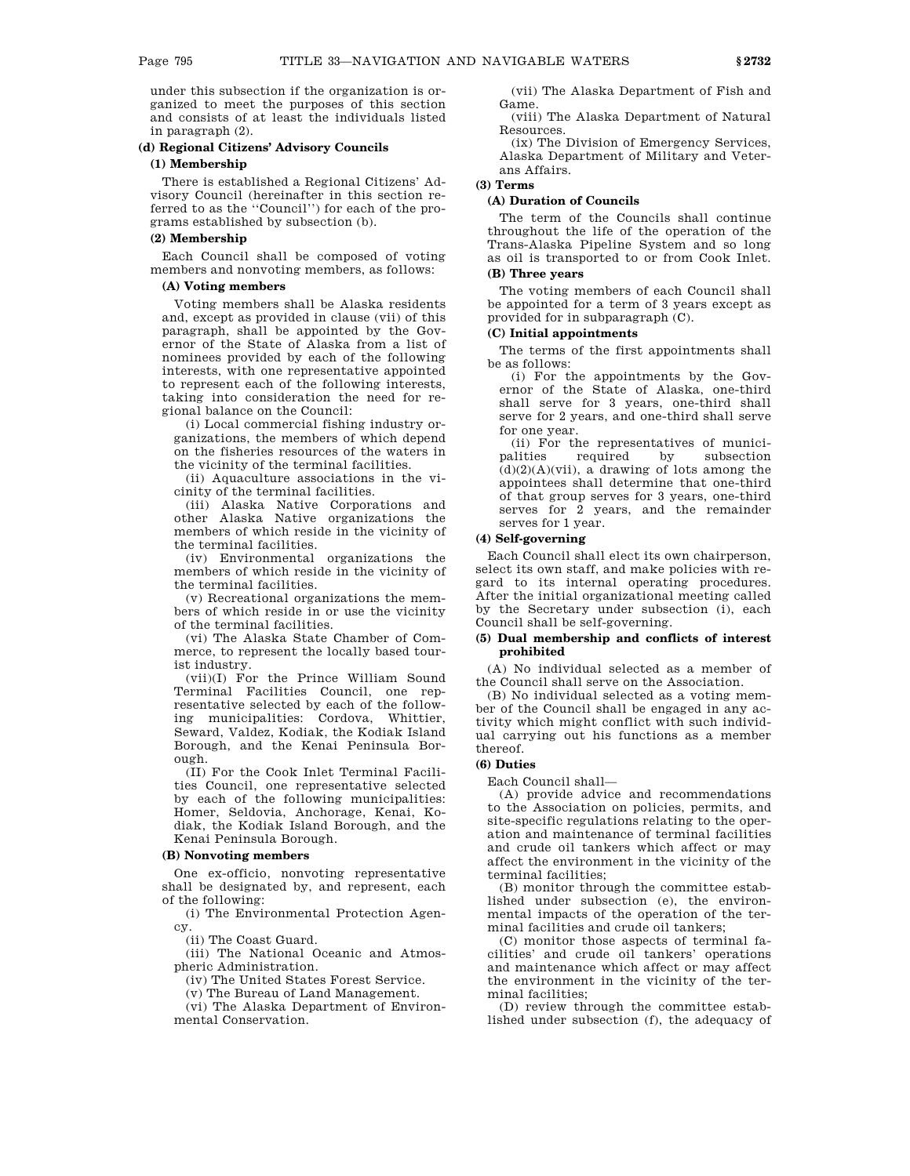under this subsection if the organization is organized to meet the purposes of this section and consists of at least the individuals listed in paragraph (2).

# **(d) Regional Citizens' Advisory Councils**

# **(1) Membership**

There is established a Regional Citizens' Advisory Council (hereinafter in this section referred to as the ''Council'') for each of the programs established by subsection (b).

# **(2) Membership**

Each Council shall be composed of voting members and nonvoting members, as follows:

# **(A) Voting members**

Voting members shall be Alaska residents and, except as provided in clause (vii) of this paragraph, shall be appointed by the Governor of the State of Alaska from a list of nominees provided by each of the following interests, with one representative appointed to represent each of the following interests, taking into consideration the need for regional balance on the Council:

(i) Local commercial fishing industry organizations, the members of which depend on the fisheries resources of the waters in the vicinity of the terminal facilities.

(ii) Aquaculture associations in the vicinity of the terminal facilities.

(iii) Alaska Native Corporations and other Alaska Native organizations the members of which reside in the vicinity of the terminal facilities.

(iv) Environmental organizations the members of which reside in the vicinity of the terminal facilities.

(v) Recreational organizations the members of which reside in or use the vicinity of the terminal facilities.

(vi) The Alaska State Chamber of Commerce, to represent the locally based tourist industry.

(vii)(I) For the Prince William Sound Terminal Facilities Council, one representative selected by each of the following municipalities: Cordova, Whittier, Seward, Valdez, Kodiak, the Kodiak Island Borough, and the Kenai Peninsula Borough.

(II) For the Cook Inlet Terminal Facilities Council, one representative selected by each of the following municipalities: Homer, Seldovia, Anchorage, Kenai, Kodiak, the Kodiak Island Borough, and the Kenai Peninsula Borough.

# **(B) Nonvoting members**

One ex-officio, nonvoting representative shall be designated by, and represent, each of the following:

(i) The Environmental Protection Agency.

(ii) The Coast Guard.

(iii) The National Oceanic and Atmospheric Administration.

(iv) The United States Forest Service.

(v) The Bureau of Land Management.

(vi) The Alaska Department of Environmental Conservation.

(vii) The Alaska Department of Fish and Game.

(viii) The Alaska Department of Natural Resources.

(ix) The Division of Emergency Services, Alaska Department of Military and Veterans Affairs.

# **(3) Terms**

# **(A) Duration of Councils**

The term of the Councils shall continue throughout the life of the operation of the Trans-Alaska Pipeline System and so long as oil is transported to or from Cook Inlet. **(B) Three years**

The voting members of each Council shall be appointed for a term of 3 years except as provided for in subparagraph (C).

# **(C) Initial appointments**

The terms of the first appointments shall be as follows:

(i) For the appointments by the Governor of the State of Alaska, one-third shall serve for 3 years, one-third shall serve for 2 years, and one-third shall serve for one year.

(ii) For the representatives of municipalities required by subsection  $(d)(2)(A)(vii)$ , a drawing of lots among the appointees shall determine that one-third of that group serves for 3 years, one-third serves for 2 years, and the remainder serves for 1 year.

# **(4) Self-governing**

Each Council shall elect its own chairperson, select its own staff, and make policies with regard to its internal operating procedures. After the initial organizational meeting called by the Secretary under subsection (i), each Council shall be self-governing.

# **(5) Dual membership and conflicts of interest prohibited**

(A) No individual selected as a member of the Council shall serve on the Association.

(B) No individual selected as a voting member of the Council shall be engaged in any activity which might conflict with such individual carrying out his functions as a member thereof.

# **(6) Duties**

Each Council shall—

(A) provide advice and recommendations to the Association on policies, permits, and site-specific regulations relating to the operation and maintenance of terminal facilities and crude oil tankers which affect or may affect the environment in the vicinity of the terminal facilities;

(B) monitor through the committee established under subsection (e), the environmental impacts of the operation of the terminal facilities and crude oil tankers;

(C) monitor those aspects of terminal facilities' and crude oil tankers' operations and maintenance which affect or may affect the environment in the vicinity of the terminal facilities;

(D) review through the committee established under subsection (f), the adequacy of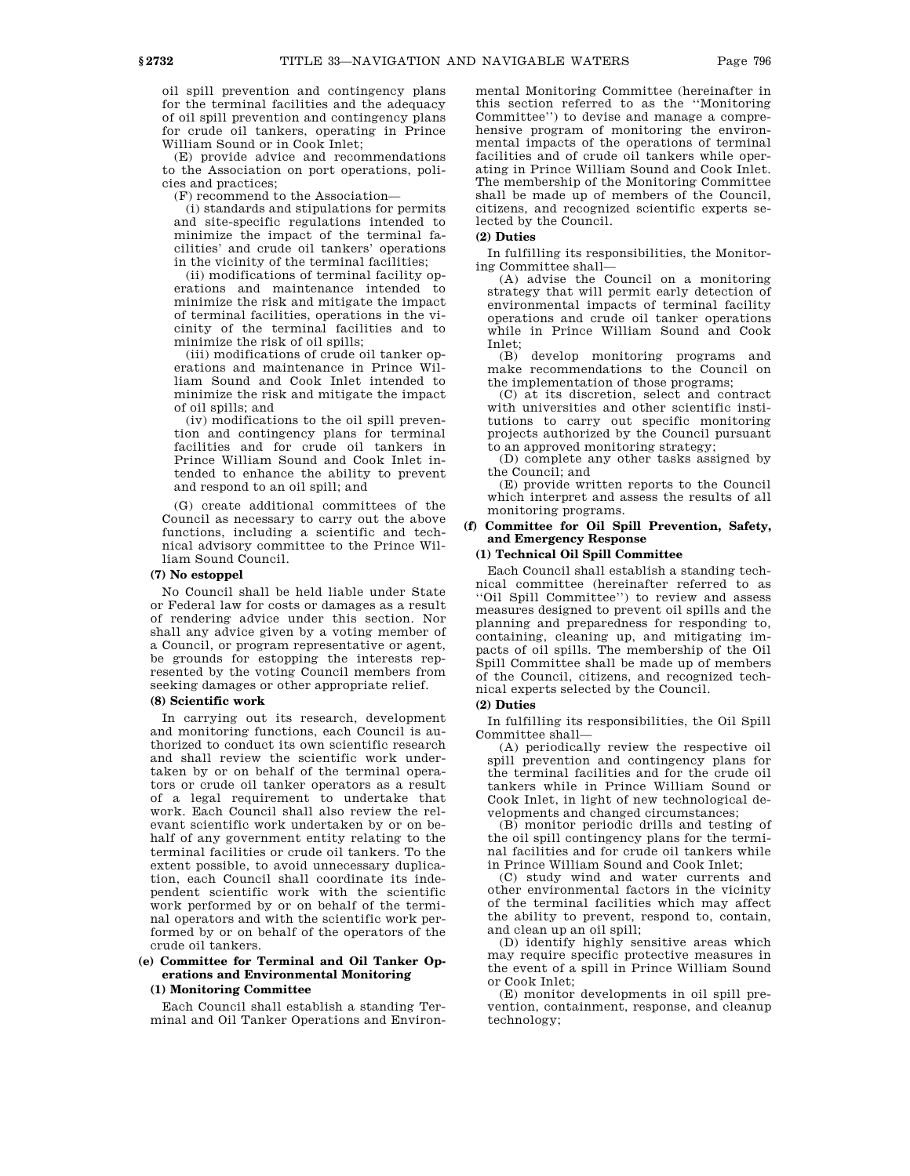oil spill prevention and contingency plans for the terminal facilities and the adequacy of oil spill prevention and contingency plans for crude oil tankers, operating in Prince William Sound or in Cook Inlet;

(E) provide advice and recommendations to the Association on port operations, policies and practices;

(F) recommend to the Association—

(i) standards and stipulations for permits and site-specific regulations intended to minimize the impact of the terminal facilities' and crude oil tankers' operations in the vicinity of the terminal facilities;

(ii) modifications of terminal facility operations and maintenance intended to minimize the risk and mitigate the impact of terminal facilities, operations in the vicinity of the terminal facilities and to minimize the risk of oil spills;

(iii) modifications of crude oil tanker operations and maintenance in Prince William Sound and Cook Inlet intended to minimize the risk and mitigate the impact of oil spills; and

(iv) modifications to the oil spill prevention and contingency plans for terminal facilities and for crude oil tankers in Prince William Sound and Cook Inlet intended to enhance the ability to prevent and respond to an oil spill; and

(G) create additional committees of the Council as necessary to carry out the above functions, including a scientific and technical advisory committee to the Prince William Sound Council.

### **(7) No estoppel**

No Council shall be held liable under State or Federal law for costs or damages as a result of rendering advice under this section. Nor shall any advice given by a voting member of a Council, or program representative or agent, be grounds for estopping the interests represented by the voting Council members from seeking damages or other appropriate relief.

# **(8) Scientific work**

In carrying out its research, development and monitoring functions, each Council is authorized to conduct its own scientific research and shall review the scientific work undertaken by or on behalf of the terminal operators or crude oil tanker operators as a result of a legal requirement to undertake that work. Each Council shall also review the relevant scientific work undertaken by or on behalf of any government entity relating to the terminal facilities or crude oil tankers. To the extent possible, to avoid unnecessary duplication, each Council shall coordinate its independent scientific work with the scientific work performed by or on behalf of the terminal operators and with the scientific work performed by or on behalf of the operators of the crude oil tankers.

# **(e) Committee for Terminal and Oil Tanker Operations and Environmental Monitoring**

# **(1) Monitoring Committee**

Each Council shall establish a standing Terminal and Oil Tanker Operations and Environmental Monitoring Committee (hereinafter in this section referred to as the ''Monitoring Committee'') to devise and manage a comprehensive program of monitoring the environmental impacts of the operations of terminal facilities and of crude oil tankers while operating in Prince William Sound and Cook Inlet. The membership of the Monitoring Committee shall be made up of members of the Council, citizens, and recognized scientific experts selected by the Council.

# **(2) Duties**

In fulfilling its responsibilities, the Monitoring Committee shall—

(A) advise the Council on a monitoring strategy that will permit early detection of environmental impacts of terminal facility operations and crude oil tanker operations while in Prince William Sound and Cook Inlet;

(B) develop monitoring programs and make recommendations to the Council on the implementation of those programs;

(C) at its discretion, select and contract with universities and other scientific institutions to carry out specific monitoring projects authorized by the Council pursuant to an approved monitoring strategy;

(D) complete any other tasks assigned by the Council; and

(E) provide written reports to the Council which interpret and assess the results of all monitoring programs.

# **(f) Committee for Oil Spill Prevention, Safety, and Emergency Response**

# **(1) Technical Oil Spill Committee**

Each Council shall establish a standing technical committee (hereinafter referred to as ''Oil Spill Committee'') to review and assess measures designed to prevent oil spills and the planning and preparedness for responding to, containing, cleaning up, and mitigating impacts of oil spills. The membership of the Oil Spill Committee shall be made up of members of the Council, citizens, and recognized technical experts selected by the Council.

### **(2) Duties**

In fulfilling its responsibilities, the Oil Spill Committee shall—

(A) periodically review the respective oil spill prevention and contingency plans for the terminal facilities and for the crude oil tankers while in Prince William Sound or Cook Inlet, in light of new technological developments and changed circumstances;

(B) monitor periodic drills and testing of the oil spill contingency plans for the terminal facilities and for crude oil tankers while in Prince William Sound and Cook Inlet;

(C) study wind and water currents and other environmental factors in the vicinity of the terminal facilities which may affect the ability to prevent, respond to, contain, and clean up an oil spill;

(D) identify highly sensitive areas which may require specific protective measures in the event of a spill in Prince William Sound or Cook Inlet;

(E) monitor developments in oil spill prevention, containment, response, and cleanup technology;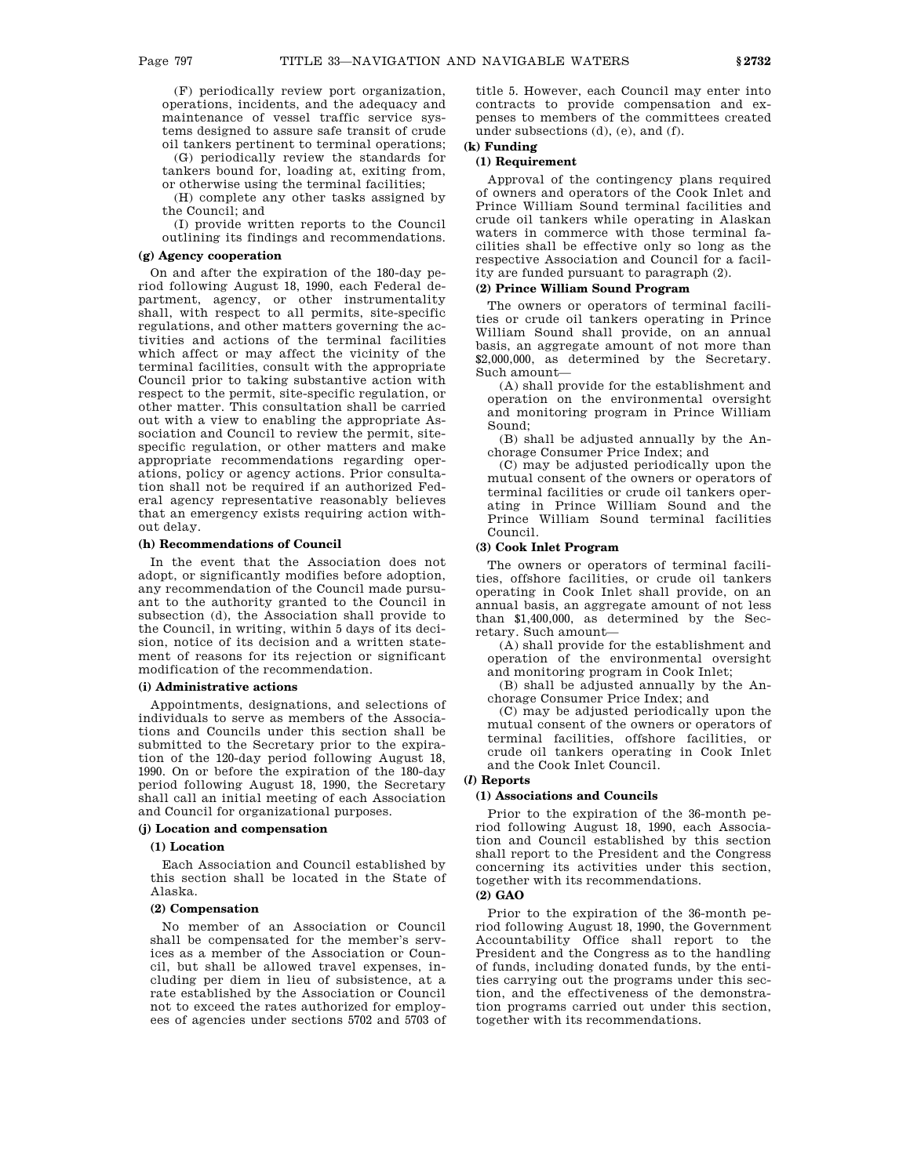(F) periodically review port organization, operations, incidents, and the adequacy and maintenance of vessel traffic service systems designed to assure safe transit of crude oil tankers pertinent to terminal operations;

(G) periodically review the standards for tankers bound for, loading at, exiting from, or otherwise using the terminal facilities;

(H) complete any other tasks assigned by the Council; and

(I) provide written reports to the Council outlining its findings and recommendations.

# **(g) Agency cooperation**

On and after the expiration of the 180-day period following August 18, 1990, each Federal department, agency, or other instrumentality shall, with respect to all permits, site-specific regulations, and other matters governing the activities and actions of the terminal facilities which affect or may affect the vicinity of the terminal facilities, consult with the appropriate Council prior to taking substantive action with respect to the permit, site-specific regulation, or other matter. This consultation shall be carried out with a view to enabling the appropriate Association and Council to review the permit, sitespecific regulation, or other matters and make appropriate recommendations regarding operations, policy or agency actions. Prior consultation shall not be required if an authorized Federal agency representative reasonably believes that an emergency exists requiring action without delay.

### **(h) Recommendations of Council**

In the event that the Association does not adopt, or significantly modifies before adoption, any recommendation of the Council made pursuant to the authority granted to the Council in subsection (d), the Association shall provide to the Council, in writing, within 5 days of its decision, notice of its decision and a written statement of reasons for its rejection or significant modification of the recommendation.

### **(i) Administrative actions**

Appointments, designations, and selections of individuals to serve as members of the Associations and Councils under this section shall be submitted to the Secretary prior to the expiration of the 120-day period following August 18, 1990. On or before the expiration of the 180-day period following August 18, 1990, the Secretary shall call an initial meeting of each Association and Council for organizational purposes.

### **(j) Location and compensation**

# **(1) Location**

Each Association and Council established by this section shall be located in the State of Alaska.

### **(2) Compensation**

No member of an Association or Council shall be compensated for the member's services as a member of the Association or Council, but shall be allowed travel expenses, including per diem in lieu of subsistence, at a rate established by the Association or Council not to exceed the rates authorized for employees of agencies under sections 5702 and 5703 of title 5. However, each Council may enter into contracts to provide compensation and expenses to members of the committees created under subsections (d), (e), and (f).

# **(k) Funding**

# **(1) Requirement**

Approval of the contingency plans required of owners and operators of the Cook Inlet and Prince William Sound terminal facilities and crude oil tankers while operating in Alaskan waters in commerce with those terminal facilities shall be effective only so long as the respective Association and Council for a facility are funded pursuant to paragraph (2).

### **(2) Prince William Sound Program**

The owners or operators of terminal facilities or crude oil tankers operating in Prince William Sound shall provide, on an annual basis, an aggregate amount of not more than \$2,000,000, as determined by the Secretary. Such amount—

(A) shall provide for the establishment and operation on the environmental oversight and monitoring program in Prince William Sound;

(B) shall be adjusted annually by the Anchorage Consumer Price Index; and

(C) may be adjusted periodically upon the mutual consent of the owners or operators of terminal facilities or crude oil tankers operating in Prince William Sound and the Prince William Sound terminal facilities Council.

# **(3) Cook Inlet Program**

The owners or operators of terminal facilities, offshore facilities, or crude oil tankers operating in Cook Inlet shall provide, on an annual basis, an aggregate amount of not less than \$1,400,000, as determined by the Secretary. Such amount—

(A) shall provide for the establishment and operation of the environmental oversight and monitoring program in Cook Inlet;

(B) shall be adjusted annually by the Anchorage Consumer Price Index; and

(C) may be adjusted periodically upon the mutual consent of the owners or operators of terminal facilities, offshore facilities, or crude oil tankers operating in Cook Inlet and the Cook Inlet Council.

### **(***l***) Reports**

### **(1) Associations and Councils**

Prior to the expiration of the 36-month period following August 18, 1990, each Association and Council established by this section shall report to the President and the Congress concerning its activities under this section, together with its recommendations.

# **(2) GAO**

Prior to the expiration of the 36-month period following August 18, 1990, the Government Accountability Office shall report to the President and the Congress as to the handling of funds, including donated funds, by the entities carrying out the programs under this section, and the effectiveness of the demonstration programs carried out under this section, together with its recommendations.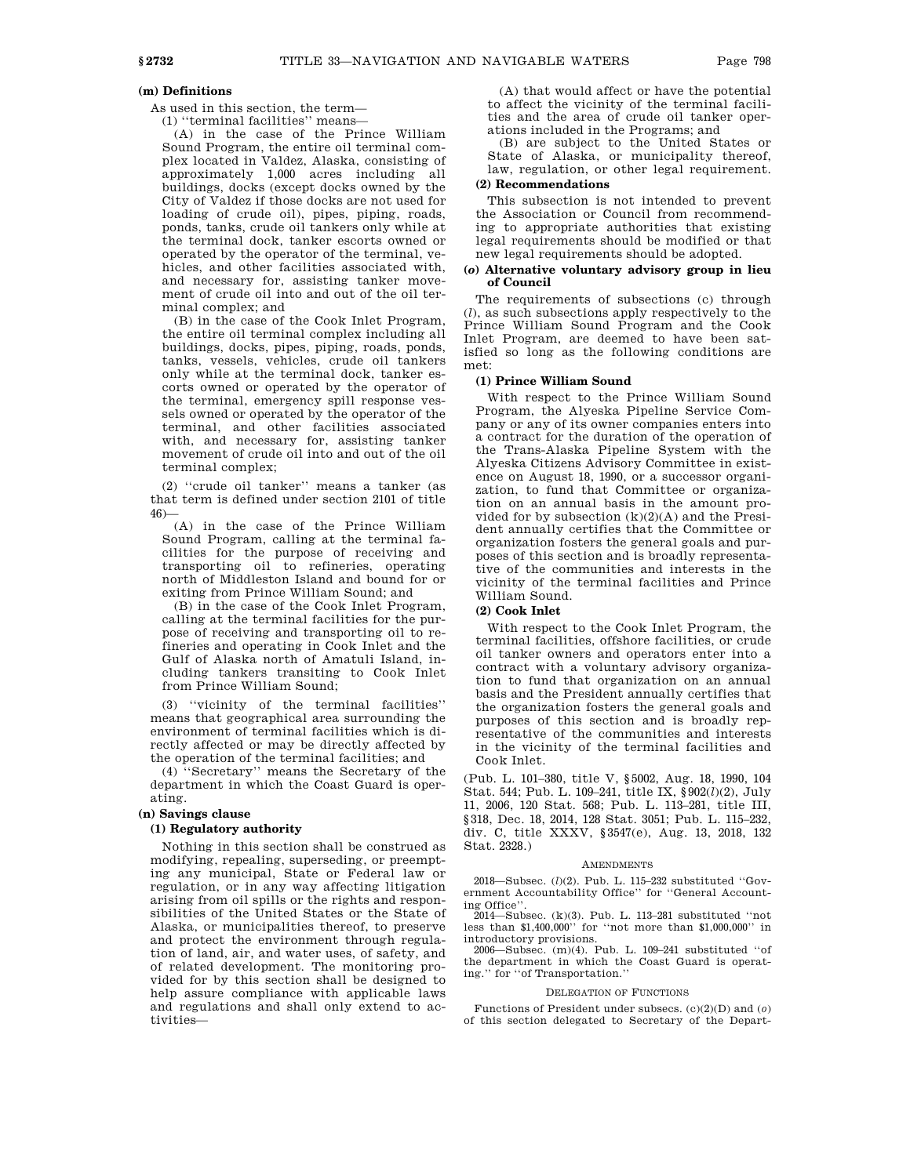# **(m) Definitions**

# As used in this section, the term—

(1) ''terminal facilities'' means—

(A) in the case of the Prince William Sound Program, the entire oil terminal complex located in Valdez, Alaska, consisting of approximately 1,000 acres including all buildings, docks (except docks owned by the City of Valdez if those docks are not used for loading of crude oil), pipes, piping, roads, ponds, tanks, crude oil tankers only while at the terminal dock, tanker escorts owned or operated by the operator of the terminal, vehicles, and other facilities associated with, and necessary for, assisting tanker movement of crude oil into and out of the oil terminal complex; and

(B) in the case of the Cook Inlet Program, the entire oil terminal complex including all buildings, docks, pipes, piping, roads, ponds, tanks, vessels, vehicles, crude oil tankers only while at the terminal dock, tanker escorts owned or operated by the operator of the terminal, emergency spill response vessels owned or operated by the operator of the terminal, and other facilities associated with, and necessary for, assisting tanker movement of crude oil into and out of the oil terminal complex;

(2) ''crude oil tanker'' means a tanker (as that term is defined under section 2101 of title 46)—

(A) in the case of the Prince William Sound Program, calling at the terminal facilities for the purpose of receiving and transporting oil to refineries, operating north of Middleston Island and bound for or exiting from Prince William Sound; and

(B) in the case of the Cook Inlet Program, calling at the terminal facilities for the purpose of receiving and transporting oil to refineries and operating in Cook Inlet and the Gulf of Alaska north of Amatuli Island, including tankers transiting to Cook Inlet from Prince William Sound;

(3) ''vicinity of the terminal facilities'' means that geographical area surrounding the environment of terminal facilities which is directly affected or may be directly affected by the operation of the terminal facilities; and

(4) ''Secretary'' means the Secretary of the department in which the Coast Guard is operating.

# **(n) Savings clause**

# **(1) Regulatory authority**

Nothing in this section shall be construed as modifying, repealing, superseding, or preempting any municipal, State or Federal law or regulation, or in any way affecting litigation arising from oil spills or the rights and responsibilities of the United States or the State of Alaska, or municipalities thereof, to preserve and protect the environment through regulation of land, air, and water uses, of safety, and of related development. The monitoring provided for by this section shall be designed to help assure compliance with applicable laws and regulations and shall only extend to activities—

(A) that would affect or have the potential to affect the vicinity of the terminal facilities and the area of crude oil tanker operations included in the Programs; and

(B) are subject to the United States or State of Alaska, or municipality thereof, law, regulation, or other legal requirement.

# **(2) Recommendations**

This subsection is not intended to prevent the Association or Council from recommending to appropriate authorities that existing legal requirements should be modified or that new legal requirements should be adopted.

### **(***o***) Alternative voluntary advisory group in lieu of Council**

The requirements of subsections (c) through (*l*), as such subsections apply respectively to the Prince William Sound Program and the Cook Inlet Program, are deemed to have been satisfied so long as the following conditions are met:

# **(1) Prince William Sound**

With respect to the Prince William Sound Program, the Alyeska Pipeline Service Company or any of its owner companies enters into a contract for the duration of the operation of the Trans-Alaska Pipeline System with the Alyeska Citizens Advisory Committee in existence on August 18, 1990, or a successor organization, to fund that Committee or organization on an annual basis in the amount provided for by subsection  $(k)(2)(A)$  and the President annually certifies that the Committee or organization fosters the general goals and purposes of this section and is broadly representative of the communities and interests in the vicinity of the terminal facilities and Prince William Sound.

# **(2) Cook Inlet**

With respect to the Cook Inlet Program, the terminal facilities, offshore facilities, or crude oil tanker owners and operators enter into a contract with a voluntary advisory organization to fund that organization on an annual basis and the President annually certifies that the organization fosters the general goals and purposes of this section and is broadly representative of the communities and interests in the vicinity of the terminal facilities and Cook Inlet.

(Pub. L. 101–380, title V, §5002, Aug. 18, 1990, 104 Stat. 544; Pub. L. 109–241, title IX, §902(*l*)(2), July 11, 2006, 120 Stat. 568; Pub. L. 113–281, title III, §318, Dec. 18, 2014, 128 Stat. 3051; Pub. L. 115-232, div. C, title XXXV, §3547(e), Aug. 13, 2018, 132 Stat. 2328.)

### **AMENDMENTS**

2018—Subsec. (*l*)(2). Pub. L. 115–232 substituted ''Government Accountability Office'' for ''General Accounting Office''.

2014—Subsec. (k)(3). Pub. L. 113–281 substituted ''not less than \$1,400,000'' for ''not more than \$1,000,000'' in introductory provisions.

2006—Subsec. (m)(4). Pub. L. 109–241 substituted ''of the department in which the Coast Guard is operating.'' for ''of Transportation.''

### DELEGATION OF FUNCTIONS

Functions of President under subsecs. (c)(2)(D) and (*o*) of this section delegated to Secretary of the Depart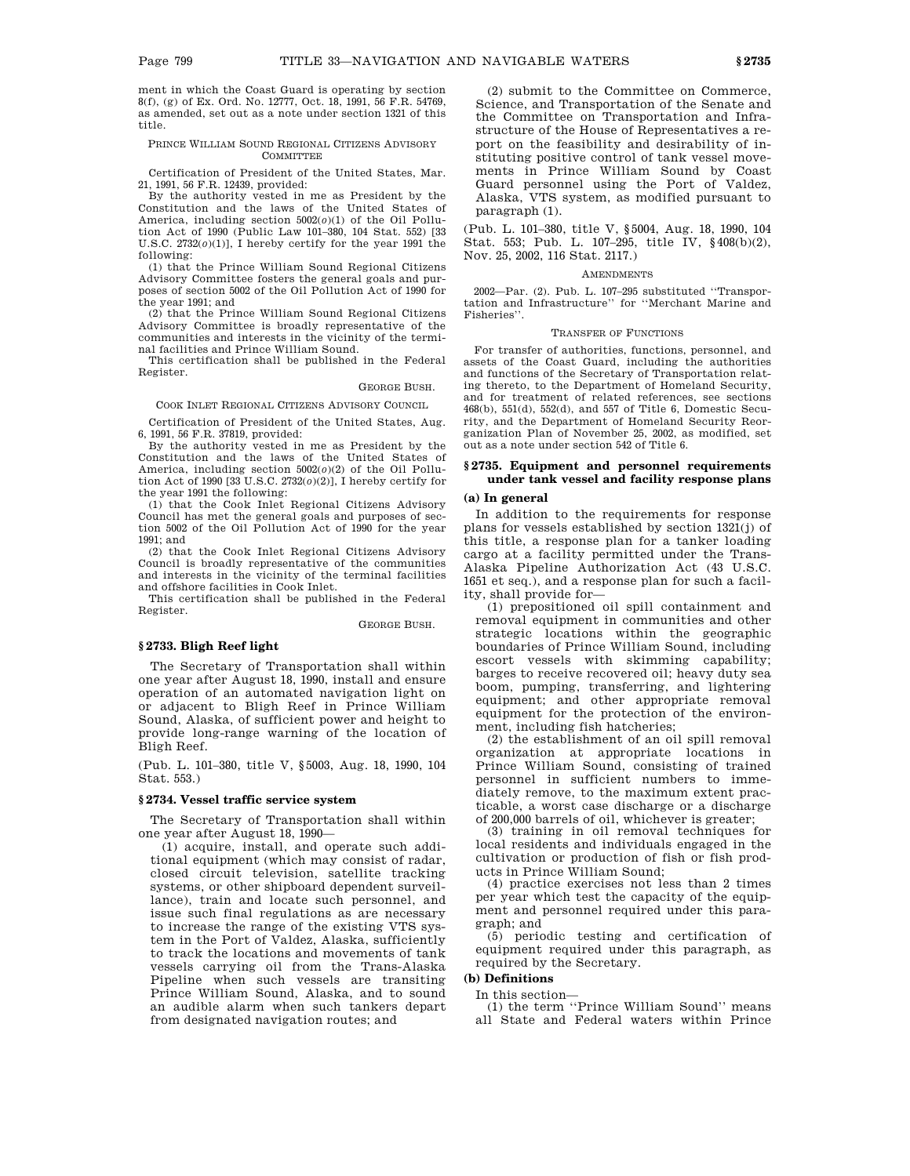ment in which the Coast Guard is operating by section 8(f), (g) of Ex. Ord. No. 12777, Oct. 18, 1991, 56 F.R. 54769, as amended, set out as a note under section 1321 of this title.

### PRINCE WILLIAM SOUND REGIONAL CITIZENS ADVISORY **COMMITTEE**

Certification of President of the United States, Mar. 21, 1991, 56 F.R. 12439, provided:

By the authority vested in me as President by the Constitution and the laws of the United States of America, including section 5002(*o*)(1) of the Oil Pollution Act of 1990 (Public Law 101–380, 104 Stat. 552) [33 U.S.C. 2732(*o*)(1)], I hereby certify for the year 1991 the following:

(1) that the Prince William Sound Regional Citizens Advisory Committee fosters the general goals and purposes of section 5002 of the Oil Pollution Act of 1990 for the year 1991; and

(2) that the Prince William Sound Regional Citizens Advisory Committee is broadly representative of the communities and interests in the vicinity of the terminal facilities and Prince William Sound.

This certification shall be published in the Federal Register.

#### GEORGE BUSH.

### COOK INLET REGIONAL CITIZENS ADVISORY COUNCIL

Certification of President of the United States, Aug. 6, 1991, 56 F.R. 37819, provided:

By the authority vested in me as President by the Constitution and the laws of the United States of America, including section 5002(*o*)(2) of the Oil Pollution Act of 1990 [33 U.S.C. 2732(*o*)(2)], I hereby certify for the year 1991 the following:

(1) that the Cook Inlet Regional Citizens Advisory Council has met the general goals and purposes of section 5002 of the Oil Pollution Act of 1990 for the year 1991; and

(2) that the Cook Inlet Regional Citizens Advisory Council is broadly representative of the communities and interests in the vicinity of the terminal facilities and offshore facilities in Cook Inlet.

This certification shall be published in the Federal Register.

GEORGE BUSH.

# **§ 2733. Bligh Reef light**

The Secretary of Transportation shall within one year after August 18, 1990, install and ensure operation of an automated navigation light on or adjacent to Bligh Reef in Prince William Sound, Alaska, of sufficient power and height to provide long-range warning of the location of Bligh Reef.

(Pub. L. 101–380, title V, §5003, Aug. 18, 1990, 104 Stat. 553.)

# **§ 2734. Vessel traffic service system**

The Secretary of Transportation shall within one year after August 18, 1990—

(1) acquire, install, and operate such additional equipment (which may consist of radar, closed circuit television, satellite tracking systems, or other shipboard dependent surveillance), train and locate such personnel, and issue such final regulations as are necessary to increase the range of the existing VTS system in the Port of Valdez, Alaska, sufficiently to track the locations and movements of tank vessels carrying oil from the Trans-Alaska Pipeline when such vessels are transiting Prince William Sound, Alaska, and to sound an audible alarm when such tankers depart from designated navigation routes; and

(2) submit to the Committee on Commerce, Science, and Transportation of the Senate and the Committee on Transportation and Infrastructure of the House of Representatives a report on the feasibility and desirability of instituting positive control of tank vessel movements in Prince William Sound by Coast Guard personnel using the Port of Valdez, Alaska, VTS system, as modified pursuant to paragraph (1).

(Pub. L. 101–380, title V, §5004, Aug. 18, 1990, 104 Stat. 553; Pub. L. 107–295, title IV, §408(b)(2), Nov. 25, 2002, 116 Stat. 2117.)

### AMENDMENTS

2002—Par. (2). Pub. L. 107–295 substituted ''Transportation and Infrastructure'' for ''Merchant Marine and Fisheries''.

# TRANSFER OF FUNCTIONS

For transfer of authorities, functions, personnel, and assets of the Coast Guard, including the authorities and functions of the Secretary of Transportation relating thereto, to the Department of Homeland Security, and for treatment of related references, see sections 468(b), 551(d), 552(d), and 557 of Title 6, Domestic Security, and the Department of Homeland Security Reorganization Plan of November 25, 2002, as modified, set out as a note under section 542 of Title 6.

### **§ 2735. Equipment and personnel requirements under tank vessel and facility response plans**

### **(a) In general**

In addition to the requirements for response plans for vessels established by section 1321(j) of this title, a response plan for a tanker loading cargo at a facility permitted under the Trans-Alaska Pipeline Authorization Act (43 U.S.C. 1651 et seq.), and a response plan for such a facility, shall provide for—

(1) prepositioned oil spill containment and removal equipment in communities and other strategic locations within the geographic boundaries of Prince William Sound, including escort vessels with skimming capability; barges to receive recovered oil; heavy duty sea boom, pumping, transferring, and lightering equipment; and other appropriate removal equipment for the protection of the environment, including fish hatcheries;

(2) the establishment of an oil spill removal organization at appropriate locations in Prince William Sound, consisting of trained personnel in sufficient numbers to immediately remove, to the maximum extent practicable, a worst case discharge or a discharge of 200,000 barrels of oil, whichever is greater;

(3) training in oil removal techniques for local residents and individuals engaged in the cultivation or production of fish or fish products in Prince William Sound;

(4) practice exercises not less than 2 times per year which test the capacity of the equipment and personnel required under this paragraph; and

(5) periodic testing and certification of equipment required under this paragraph, as required by the Secretary.

### **(b) Definitions**

In this section—

(1) the term ''Prince William Sound'' means all State and Federal waters within Prince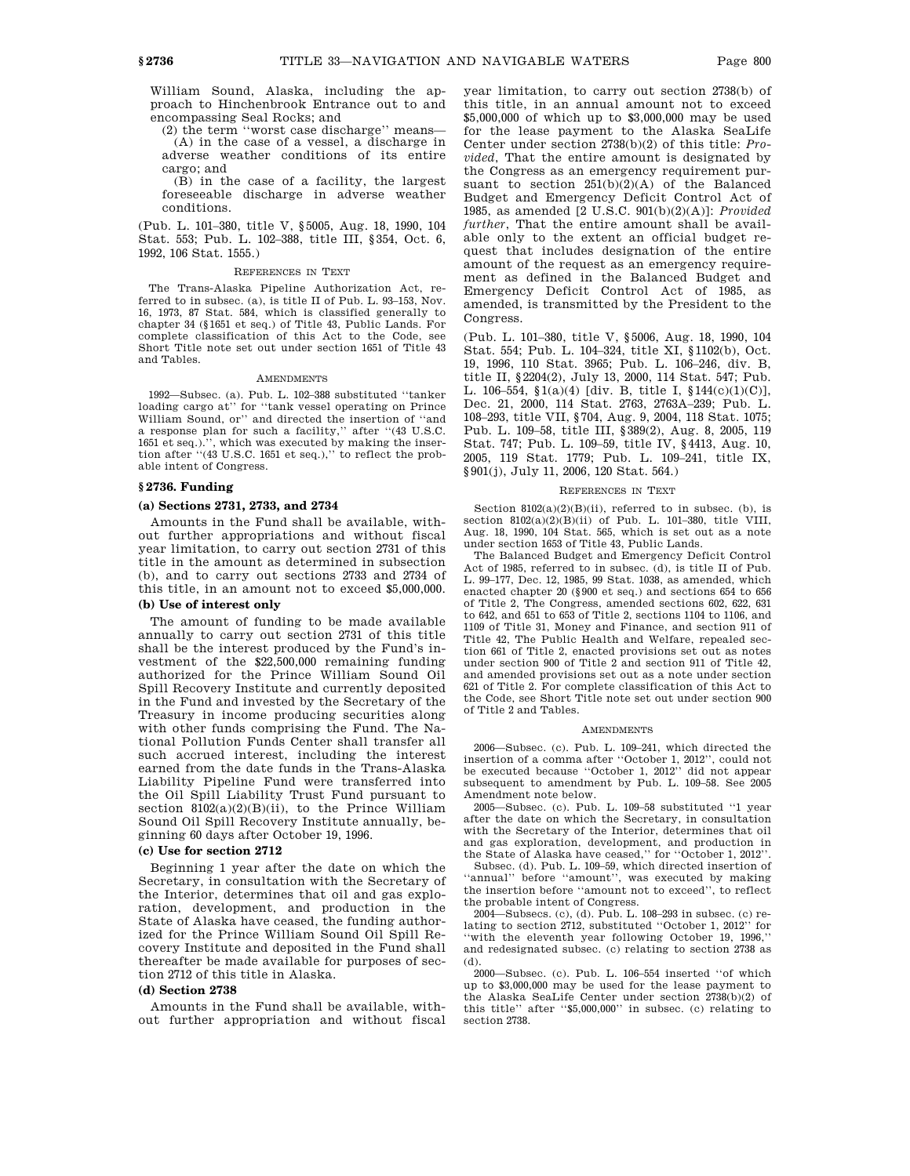William Sound, Alaska, including the approach to Hinchenbrook Entrance out to and encompassing Seal Rocks; and

(2) the term ''worst case discharge'' means— (A) in the case of a vessel, a discharge in adverse weather conditions of its entire cargo; and

(B) in the case of a facility, the largest foreseeable discharge in adverse weather conditions.

(Pub. L. 101–380, title V, §5005, Aug. 18, 1990, 104 Stat. 553; Pub. L. 102–388, title III, §354, Oct. 6, 1992, 106 Stat. 1555.)

# REFERENCES IN TEXT

The Trans-Alaska Pipeline Authorization Act, referred to in subsec. (a), is title II of Pub. L. 93–153, Nov. 16, 1973, 87 Stat. 584, which is classified generally to chapter 34 (§1651 et seq.) of Title 43, Public Lands. For complete classification of this Act to the Code, see Short Title note set out under section 1651 of Title 43 and Tables.

### AMENDMENTS

1992—Subsec. (a). Pub. L. 102–388 substituted ''tanker loading cargo at'' for ''tank vessel operating on Prince William Sound, or'' and directed the insertion of ''and a response plan for such a facility,'' after ''(43 U.S.C. 1651 et seq.).'', which was executed by making the insertion after ''(43 U.S.C. 1651 et seq.),'' to reflect the probable intent of Congress.

# **§ 2736. Funding**

### **(a) Sections 2731, 2733, and 2734**

Amounts in the Fund shall be available, without further appropriations and without fiscal year limitation, to carry out section 2731 of this title in the amount as determined in subsection (b), and to carry out sections 2733 and 2734 of this title, in an amount not to exceed \$5,000,000.

# **(b) Use of interest only**

The amount of funding to be made available annually to carry out section 2731 of this title shall be the interest produced by the Fund's investment of the \$22,500,000 remaining funding authorized for the Prince William Sound Oil Spill Recovery Institute and currently deposited in the Fund and invested by the Secretary of the Treasury in income producing securities along with other funds comprising the Fund. The National Pollution Funds Center shall transfer all such accrued interest, including the interest earned from the date funds in the Trans-Alaska Liability Pipeline Fund were transferred into the Oil Spill Liability Trust Fund pursuant to section  $8102(a)(2)(B)(ii)$ , to the Prince William Sound Oil Spill Recovery Institute annually, beginning 60 days after October 19, 1996.

# **(c) Use for section 2712**

Beginning 1 year after the date on which the Secretary, in consultation with the Secretary of the Interior, determines that oil and gas exploration, development, and production in the State of Alaska have ceased, the funding authorized for the Prince William Sound Oil Spill Recovery Institute and deposited in the Fund shall thereafter be made available for purposes of section 2712 of this title in Alaska.

### **(d) Section 2738**

Amounts in the Fund shall be available, without further appropriation and without fiscal year limitation, to carry out section 2738(b) of this title, in an annual amount not to exceed \$5,000,000 of which up to \$3,000,000 may be used for the lease payment to the Alaska SeaLife Center under section 2738(b)(2) of this title: *Provided*, That the entire amount is designated by the Congress as an emergency requirement pursuant to section 251(b)(2)(A) of the Balanced Budget and Emergency Deficit Control Act of 1985, as amended [2 U.S.C. 901(b)(2)(A)]: *Provided further*, That the entire amount shall be available only to the extent an official budget request that includes designation of the entire amount of the request as an emergency requirement as defined in the Balanced Budget and Emergency Deficit Control Act of 1985, as amended, is transmitted by the President to the Congress.

(Pub. L. 101–380, title V, §5006, Aug. 18, 1990, 104 Stat. 554; Pub. L. 104–324, title XI, §1102(b), Oct. 19, 1996, 110 Stat. 3965; Pub. L. 106–246, div. B, title II, §2204(2), July 13, 2000, 114 Stat. 547; Pub. L. 106–554, §1(a)(4) [div. B, title I, §144(c)(1)(C)], Dec. 21, 2000, 114 Stat. 2763, 2763A–239; Pub. L. 108–293, title VII, §704, Aug. 9, 2004, 118 Stat. 1075; Pub. L. 109–58, title III, §389(2), Aug. 8, 2005, 119 Stat. 747; Pub. L. 109–59, title IV, §4413, Aug. 10, 2005, 119 Stat. 1779; Pub. L. 109–241, title IX, §901(j), July 11, 2006, 120 Stat. 564.)

### REFERENCES IN TEXT

Section 8102(a)(2)(B)(ii), referred to in subsec. (b), is section 8102(a)(2)(B)(ii) of Pub. L. 101-380, title VIII, Aug. 18, 1990, 104 Stat. 565, which is set out as a note under section 1653 of Title 43, Public Lands.

The Balanced Budget and Emergency Deficit Control Act of 1985, referred to in subsec. (d), is title II of Pub. L. 99–177, Dec. 12, 1985, 99 Stat. 1038, as amended, which enacted chapter 20 (§900 et seq.) and sections 654 to 656 of Title 2, The Congress, amended sections 602, 622, 631 to 642, and 651 to 653 of Title 2, sections 1104 to 1106, and 1109 of Title 31, Money and Finance, and section 911 of Title 42, The Public Health and Welfare, repealed section 661 of Title 2, enacted provisions set out as notes under section 900 of Title 2 and section 911 of Title 42, and amended provisions set out as a note under section 621 of Title 2. For complete classification of this Act to the Code, see Short Title note set out under section 900 of Title 2 and Tables.

### AMENDMENTS

2006—Subsec. (c). Pub. L. 109–241, which directed the insertion of a comma after ''October 1, 2012'', could not be executed because ''October 1, 2012'' did not appear subsequent to amendment by Pub. L. 109–58. See 2005 Amendment note below.

2005—Subsec. (c). Pub. L. 109–58 substituted ''1 year after the date on which the Secretary, in consultation with the Secretary of the Interior, determines that oil and gas exploration, development, and production in the State of Alaska have ceased,'' for ''October 1, 2012''.

Subsec. (d). Pub. L. 109–59, which directed insertion of ''annual'' before ''amount'', was executed by making the insertion before ''amount not to exceed'', to reflect the probable intent of Congress.

2004—Subsecs. (c), (d). Pub. L. 108–293 in subsec. (c) relating to section 2712, substituted ''October 1, 2012'' for ''with the eleventh year following October 19, 1996,'' and redesignated subsec. (c) relating to section 2738 as (d).

2000—Subsec. (c). Pub. L. 106–554 inserted ''of which up to \$3,000,000 may be used for the lease payment to the Alaska SeaLife Center under section 2738(b)(2) of this title'' after ''\$5,000,000'' in subsec. (c) relating to section 2738.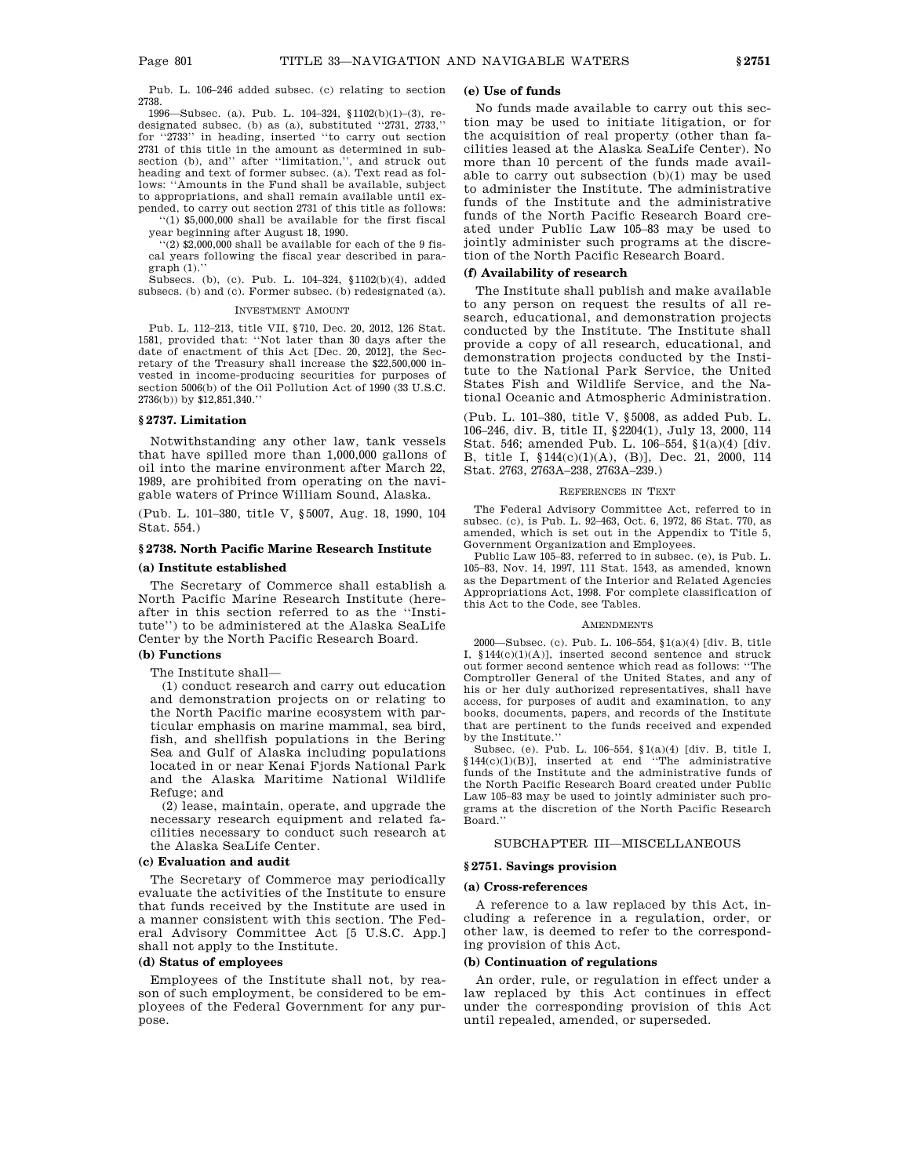Pub. L. 106–246 added subsec. (c) relating to section 2738.

1996—Subsec. (a). Pub. L. 104–324, §1102(b)(1)–(3), redesignated subsec. (b) as (a), substituted ''2731, 2733,'' for ''2733'' in heading, inserted ''to carry out section 2731 of this title in the amount as determined in subsection (b), and'' after ''limitation,'', and struck out heading and text of former subsec. (a). Text read as follows: ''Amounts in the Fund shall be available, subject to appropriations, and shall remain available until expended, to carry out section 2731 of this title as follows:  $(1)$  \$5,000,000 shall be available for the first fiscal

year beginning after August 18, 1990.

''(2) \$2,000,000 shall be available for each of the 9 fiscal years following the fiscal year described in para $graph (1)$ ."

Subsecs. (b), (c). Pub. L. 104–324, §1102(b)(4), added subsecs. (b) and (c). Former subsec. (b) redesignated (a).

### INVESTMENT AMOUNT

Pub. L. 112–213, title VII, §710, Dec. 20, 2012, 126 Stat. 1581, provided that: ''Not later than 30 days after the date of enactment of this Act [Dec. 20, 2012], the Secretary of the Treasury shall increase the \$22,500,000 invested in income-producing securities for purposes of section 5006(b) of the Oil Pollution Act of 1990 (33 U.S.C. 2736(b)) by \$12,851,340.''

# **§ 2737. Limitation**

Notwithstanding any other law, tank vessels that have spilled more than 1,000,000 gallons of oil into the marine environment after March 22, 1989, are prohibited from operating on the navigable waters of Prince William Sound, Alaska.

(Pub. L. 101–380, title V, §5007, Aug. 18, 1990, 104 Stat. 554.)

# **§ 2738. North Pacific Marine Research Institute**

### **(a) Institute established**

The Secretary of Commerce shall establish a North Pacific Marine Research Institute (hereafter in this section referred to as the ''Institute'') to be administered at the Alaska SeaLife Center by the North Pacific Research Board.

### **(b) Functions**

The Institute shall—

(1) conduct research and carry out education and demonstration projects on or relating to the North Pacific marine ecosystem with particular emphasis on marine mammal, sea bird, fish, and shellfish populations in the Bering Sea and Gulf of Alaska including populations located in or near Kenai Fjords National Park and the Alaska Maritime National Wildlife Refuge; and

(2) lease, maintain, operate, and upgrade the necessary research equipment and related facilities necessary to conduct such research at the Alaska SeaLife Center.

# **(c) Evaluation and audit**

The Secretary of Commerce may periodically evaluate the activities of the Institute to ensure that funds received by the Institute are used in a manner consistent with this section. The Federal Advisory Committee Act [5 U.S.C. App.] shall not apply to the Institute.

# **(d) Status of employees**

Employees of the Institute shall not, by reason of such employment, be considered to be employees of the Federal Government for any purpose.

### **(e) Use of funds**

No funds made available to carry out this section may be used to initiate litigation, or for the acquisition of real property (other than facilities leased at the Alaska SeaLife Center). No more than 10 percent of the funds made available to carry out subsection (b)(1) may be used to administer the Institute. The administrative funds of the Institute and the administrative funds of the North Pacific Research Board created under Public Law 105–83 may be used to jointly administer such programs at the discretion of the North Pacific Research Board.

# **(f) Availability of research**

The Institute shall publish and make available to any person on request the results of all research, educational, and demonstration projects conducted by the Institute. The Institute shall provide a copy of all research, educational, and demonstration projects conducted by the Institute to the National Park Service, the United States Fish and Wildlife Service, and the National Oceanic and Atmospheric Administration.

(Pub. L. 101–380, title V, §5008, as added Pub. L. 106–246, div. B, title II, §2204(1), July 13, 2000, 114 Stat. 546; amended Pub. L. 106–554, §1(a)(4) [div. B, title I, §144(c)(1)(A), (B)], Dec. 21, 2000, 114 Stat. 2763, 2763A–238, 2763A–239.)

### REFERENCES IN TEXT

The Federal Advisory Committee Act, referred to in subsec. (c), is Pub. L. 92–463, Oct. 6, 1972, 86 Stat. 770, as amended, which is set out in the Appendix to Title 5, Government Organization and Employees.

Public Law 105–83, referred to in subsec. (e), is Pub. L. 105–83, Nov. 14, 1997, 111 Stat. 1543, as amended, known as the Department of the Interior and Related Agencies Appropriations Act, 1998. For complete classification of this Act to the Code, see Tables.

### **AMENDMENTS**

2000—Subsec. (c). Pub. L. 106–554, §1(a)(4) [div. B, title I, §144(c)(1)(A)], inserted second sentence and struck out former second sentence which read as follows: ''The Comptroller General of the United States, and any of his or her duly authorized representatives, shall have access, for purposes of audit and examination, to any books, documents, papers, and records of the Institute that are pertinent to the funds received and expended by the Institute.''

Subsec. (e). Pub. L. 106–554, §1(a)(4) [div. B, title I, §144(c)(1)(B)], inserted at end ''The administrative funds of the Institute and the administrative funds of the North Pacific Research Board created under Public Law 105–83 may be used to jointly administer such programs at the discretion of the North Pacific Research Board.''

# SUBCHAPTER III—MISCELLANEOUS

# **§ 2751. Savings provision**

### **(a) Cross-references**

A reference to a law replaced by this Act, including a reference in a regulation, order, or other law, is deemed to refer to the corresponding provision of this Act.

### **(b) Continuation of regulations**

An order, rule, or regulation in effect under a law replaced by this Act continues in effect under the corresponding provision of this Act until repealed, amended, or superseded.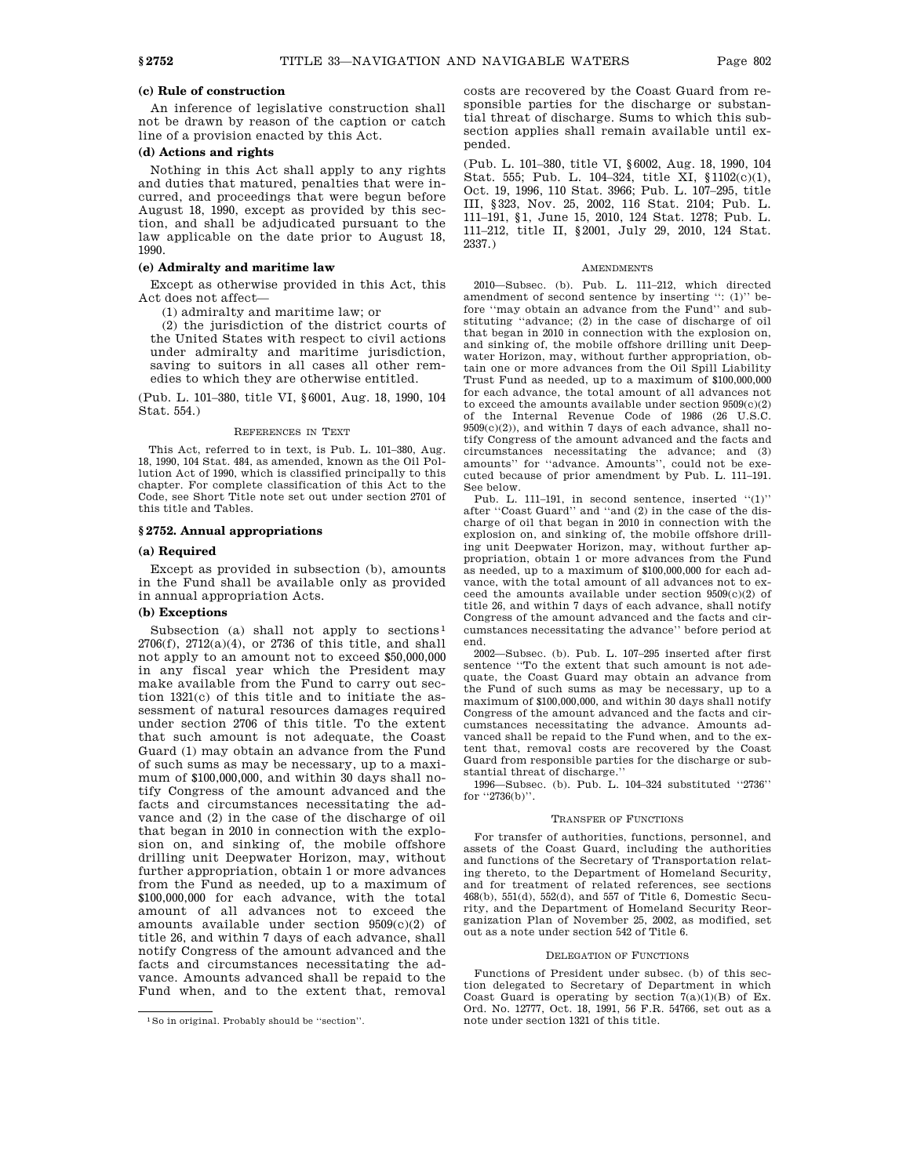# **(c) Rule of construction**

An inference of legislative construction shall not be drawn by reason of the caption or catch line of a provision enacted by this Act.

# **(d) Actions and rights**

Nothing in this Act shall apply to any rights and duties that matured, penalties that were incurred, and proceedings that were begun before August 18, 1990, except as provided by this section, and shall be adjudicated pursuant to the law applicable on the date prior to August 18, 1990.

# **(e) Admiralty and maritime law**

Except as otherwise provided in this Act, this Act does not affect—

(1) admiralty and maritime law; or

(2) the jurisdiction of the district courts of the United States with respect to civil actions under admiralty and maritime jurisdiction, saving to suitors in all cases all other remedies to which they are otherwise entitled.

(Pub. L. 101–380, title VI, §6001, Aug. 18, 1990, 104 Stat. 554.)

### REFERENCES IN TEXT

This Act, referred to in text, is Pub. L. 101–380, Aug. 18, 1990, 104 Stat. 484, as amended, known as the Oil Pollution Act of 1990, which is classified principally to this chapter. For complete classification of this Act to the Code, see Short Title note set out under section 2701 of this title and Tables.

### **§ 2752. Annual appropriations**

### **(a) Required**

Except as provided in subsection (b), amounts in the Fund shall be available only as provided in annual appropriation Acts.

# **(b) Exceptions**

Subsection (a) shall not apply to sections<sup>1</sup> 2706(f), 2712(a)(4), or 2736 of this title, and shall not apply to an amount not to exceed \$50,000,000 in any fiscal year which the President may make available from the Fund to carry out section 1321(c) of this title and to initiate the assessment of natural resources damages required under section 2706 of this title. To the extent that such amount is not adequate, the Coast Guard (1) may obtain an advance from the Fund of such sums as may be necessary, up to a maximum of \$100,000,000, and within 30 days shall notify Congress of the amount advanced and the facts and circumstances necessitating the advance and (2) in the case of the discharge of oil that began in 2010 in connection with the explosion on, and sinking of, the mobile offshore drilling unit Deepwater Horizon, may, without further appropriation, obtain 1 or more advances from the Fund as needed, up to a maximum of \$100,000,000 for each advance, with the total amount of all advances not to exceed the amounts available under section 9509(c)(2) of title 26, and within 7 days of each advance, shall notify Congress of the amount advanced and the facts and circumstances necessitating the advance. Amounts advanced shall be repaid to the Fund when, and to the extent that, removal costs are recovered by the Coast Guard from responsible parties for the discharge or substantial threat of discharge. Sums to which this subsection applies shall remain available until expended.

(Pub. L. 101–380, title VI, §6002, Aug. 18, 1990, 104 Stat. 555; Pub. L. 104–324, title XI, §1102(c)(1), Oct. 19, 1996, 110 Stat. 3966; Pub. L. 107–295, title III, §323, Nov. 25, 2002, 116 Stat. 2104; Pub. L. 111–191, §1, June 15, 2010, 124 Stat. 1278; Pub. L. 111–212, title II, §2001, July 29, 2010, 124 Stat. 2337.)

### **AMENDMENTS**

2010—Subsec. (b). Pub. L. 111–212, which directed amendment of second sentence by inserting '': (1)'' before ''may obtain an advance from the Fund'' and substituting ''advance; (2) in the case of discharge of oil that began in 2010 in connection with the explosion on, and sinking of, the mobile offshore drilling unit Deepwater Horizon, may, without further appropriation, obtain one or more advances from the Oil Spill Liability Trust Fund as needed, up to a maximum of \$100,000,000 for each advance, the total amount of all advances not to exceed the amounts available under section 9509(c)(2) of the Internal Revenue Code of 1986 (26 U.S.C.  $9509(c)(2)$ , and within 7 days of each advance, shall notify Congress of the amount advanced and the facts and circumstances necessitating the advance; and (3) amounts'' for ''advance. Amounts'', could not be executed because of prior amendment by Pub. L. 111–191. See below.

Pub. L. 111-191, in second sentence, inserted "(1)" after ''Coast Guard'' and ''and (2) in the case of the discharge of oil that began in 2010 in connection with the explosion on, and sinking of, the mobile offshore drilling unit Deepwater Horizon, may, without further appropriation, obtain 1 or more advances from the Fund as needed, up to a maximum of \$100,000,000 for each advance, with the total amount of all advances not to exceed the amounts available under section 9509(c)(2) of title 26, and within 7 days of each advance, shall notify Congress of the amount advanced and the facts and circumstances necessitating the advance'' before period at end.

2002—Subsec. (b). Pub. L. 107–295 inserted after first sentence ''To the extent that such amount is not adequate, the Coast Guard may obtain an advance from the Fund of such sums as may be necessary, up to a maximum of \$100,000,000, and within 30 days shall notify Congress of the amount advanced and the facts and circumstances necessitating the advance. Amounts advanced shall be repaid to the Fund when, and to the extent that, removal costs are recovered by the Coast Guard from responsible parties for the discharge or substantial threat of discharge.''

1996—Subsec. (b). Pub. L. 104–324 substituted ''2736'' for ''2736(b)''.

### TRANSFER OF FUNCTIONS

For transfer of authorities, functions, personnel, and assets of the Coast Guard, including the authorities and functions of the Secretary of Transportation relating thereto, to the Department of Homeland Security, and for treatment of related references, see sections 468(b), 551(d), 552(d), and 557 of Title 6, Domestic Security, and the Department of Homeland Security Reorganization Plan of November 25, 2002, as modified, set out as a note under section 542 of Title 6.

### DELEGATION OF FUNCTIONS

Functions of President under subsec. (b) of this section delegated to Secretary of Department in which Coast Guard is operating by section 7(a)(1)(B) of Ex. Ord. No. 12777, Oct. 18, 1991, 56 F.R. 54766, set out as a note under section 1321 of this title.

<sup>1</sup>So in original. Probably should be ''section''.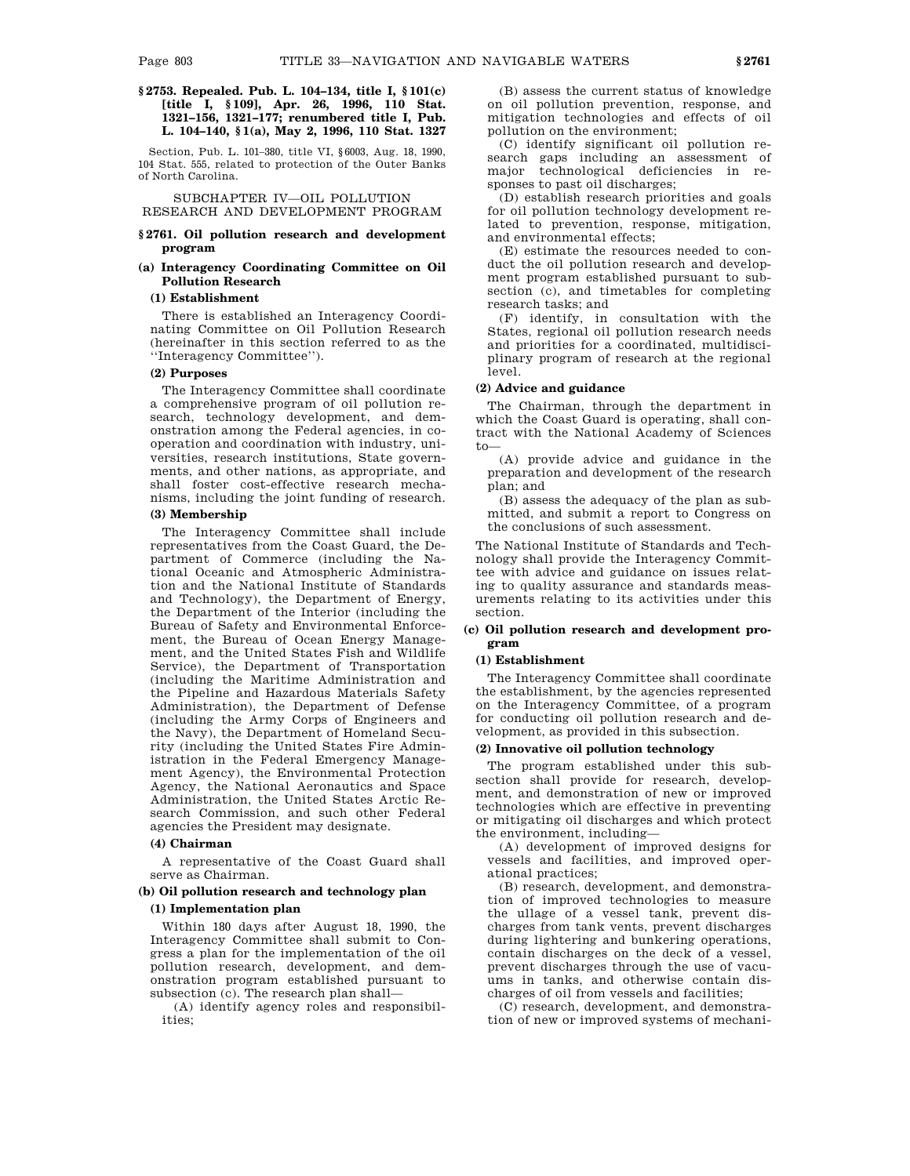# **§ 2753. Repealed. Pub. L. 104–134, title I, § 101(c) [title I, § 109], Apr. 26, 1996, 110 Stat. 1321–156, 1321–177; renumbered title I, Pub. L. 104–140, § 1(a), May 2, 1996, 110 Stat. 1327**

Section, Pub. L. 101–380, title VI, §6003, Aug. 18, 1990, 104 Stat. 555, related to protection of the Outer Banks of North Carolina.

SUBCHAPTER IV—OIL POLLUTION RESEARCH AND DEVELOPMENT PROGRAM

# **§ 2761. Oil pollution research and development program**

# **(a) Interagency Coordinating Committee on Oil Pollution Research**

### **(1) Establishment**

There is established an Interagency Coordinating Committee on Oil Pollution Research (hereinafter in this section referred to as the ''Interagency Committee'').

# **(2) Purposes**

The Interagency Committee shall coordinate a comprehensive program of oil pollution research, technology development, and demonstration among the Federal agencies, in cooperation and coordination with industry, universities, research institutions, State governments, and other nations, as appropriate, and shall foster cost-effective research mechanisms, including the joint funding of research.

# **(3) Membership**

The Interagency Committee shall include representatives from the Coast Guard, the Department of Commerce (including the National Oceanic and Atmospheric Administration and the National Institute of Standards and Technology), the Department of Energy, the Department of the Interior (including the Bureau of Safety and Environmental Enforcement, the Bureau of Ocean Energy Management, and the United States Fish and Wildlife Service), the Department of Transportation (including the Maritime Administration and the Pipeline and Hazardous Materials Safety Administration), the Department of Defense (including the Army Corps of Engineers and the Navy), the Department of Homeland Security (including the United States Fire Administration in the Federal Emergency Management Agency), the Environmental Protection Agency, the National Aeronautics and Space Administration, the United States Arctic Research Commission, and such other Federal agencies the President may designate.

# **(4) Chairman**

A representative of the Coast Guard shall serve as Chairman.

# **(b) Oil pollution research and technology plan (1) Implementation plan**

Within 180 days after August 18, 1990, the Interagency Committee shall submit to Congress a plan for the implementation of the oil pollution research, development, and demonstration program established pursuant to subsection (c). The research plan shall—

(A) identify agency roles and responsibilities;

(B) assess the current status of knowledge on oil pollution prevention, response, and mitigation technologies and effects of oil pollution on the environment;

(C) identify significant oil pollution research gaps including an assessment of major technological deficiencies in responses to past oil discharges;

(D) establish research priorities and goals for oil pollution technology development related to prevention, response, mitigation, and environmental effects;

(E) estimate the resources needed to conduct the oil pollution research and development program established pursuant to subsection (c), and timetables for completing research tasks; and

(F) identify, in consultation with the States, regional oil pollution research needs and priorities for a coordinated, multidisciplinary program of research at the regional level.

# **(2) Advice and guidance**

The Chairman, through the department in which the Coast Guard is operating, shall contract with the National Academy of Sciences to—

(A) provide advice and guidance in the preparation and development of the research plan; and

(B) assess the adequacy of the plan as submitted, and submit a report to Congress on the conclusions of such assessment.

The National Institute of Standards and Technology shall provide the Interagency Committee with advice and guidance on issues relating to quality assurance and standards measurements relating to its activities under this section.

### **(c) Oil pollution research and development program**

### **(1) Establishment**

The Interagency Committee shall coordinate the establishment, by the agencies represented on the Interagency Committee, of a program for conducting oil pollution research and development, as provided in this subsection.

# **(2) Innovative oil pollution technology**

The program established under this subsection shall provide for research, development, and demonstration of new or improved technologies which are effective in preventing or mitigating oil discharges and which protect the environment, including—

(A) development of improved designs for vessels and facilities, and improved operational practices;

(B) research, development, and demonstration of improved technologies to measure the ullage of a vessel tank, prevent discharges from tank vents, prevent discharges during lightering and bunkering operations, contain discharges on the deck of a vessel, prevent discharges through the use of vacuums in tanks, and otherwise contain discharges of oil from vessels and facilities;

(C) research, development, and demonstration of new or improved systems of mechani-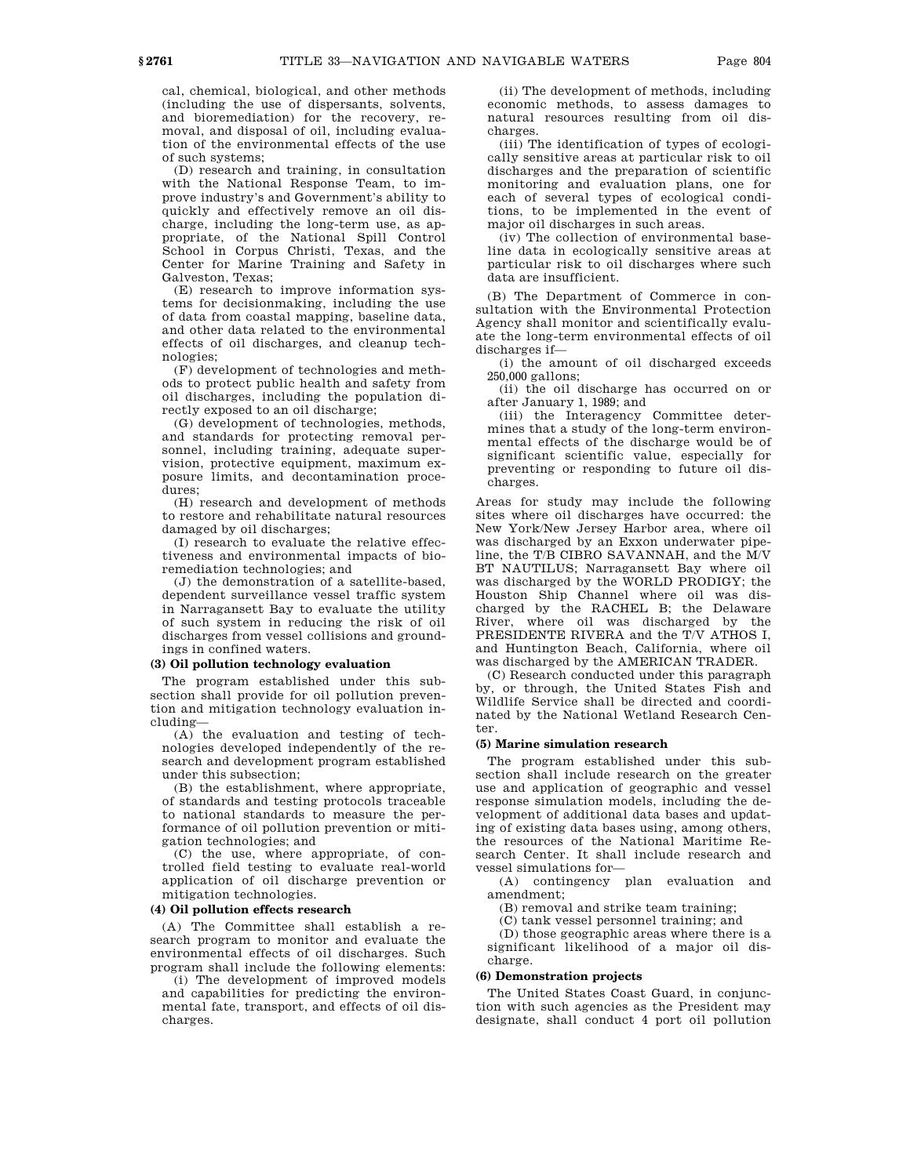cal, chemical, biological, and other methods (including the use of dispersants, solvents, and bioremediation) for the recovery, removal, and disposal of oil, including evaluation of the environmental effects of the use of such systems;

(D) research and training, in consultation with the National Response Team, to improve industry's and Government's ability to quickly and effectively remove an oil discharge, including the long-term use, as appropriate, of the National Spill Control School in Corpus Christi, Texas, and the Center for Marine Training and Safety in Galveston, Texas;

(E) research to improve information systems for decisionmaking, including the use of data from coastal mapping, baseline data, and other data related to the environmental effects of oil discharges, and cleanup technologies;

(F) development of technologies and methods to protect public health and safety from oil discharges, including the population directly exposed to an oil discharge;

(G) development of technologies, methods, and standards for protecting removal personnel, including training, adequate supervision, protective equipment, maximum exposure limits, and decontamination procedures;

(H) research and development of methods to restore and rehabilitate natural resources damaged by oil discharges;

(I) research to evaluate the relative effectiveness and environmental impacts of bioremediation technologies; and

(J) the demonstration of a satellite-based, dependent surveillance vessel traffic system in Narragansett Bay to evaluate the utility of such system in reducing the risk of oil discharges from vessel collisions and groundings in confined waters.

# **(3) Oil pollution technology evaluation**

The program established under this subsection shall provide for oil pollution prevention and mitigation technology evaluation including—

(A) the evaluation and testing of technologies developed independently of the research and development program established under this subsection;

(B) the establishment, where appropriate, of standards and testing protocols traceable to national standards to measure the performance of oil pollution prevention or mitigation technologies; and

(C) the use, where appropriate, of controlled field testing to evaluate real-world application of oil discharge prevention or mitigation technologies.

# **(4) Oil pollution effects research**

(A) The Committee shall establish a research program to monitor and evaluate the environmental effects of oil discharges. Such program shall include the following elements:

(i) The development of improved models and capabilities for predicting the environmental fate, transport, and effects of oil discharges.

(ii) The development of methods, including economic methods, to assess damages to natural resources resulting from oil discharges.

(iii) The identification of types of ecologically sensitive areas at particular risk to oil discharges and the preparation of scientific monitoring and evaluation plans, one for each of several types of ecological conditions, to be implemented in the event of major oil discharges in such areas.

(iv) The collection of environmental baseline data in ecologically sensitive areas at particular risk to oil discharges where such data are insufficient.

(B) The Department of Commerce in consultation with the Environmental Protection Agency shall monitor and scientifically evaluate the long-term environmental effects of oil discharges if—

(i) the amount of oil discharged exceeds 250,000 gallons;

(ii) the oil discharge has occurred on or after January 1, 1989; and

(iii) the Interagency Committee determines that a study of the long-term environmental effects of the discharge would be of significant scientific value, especially for preventing or responding to future oil discharges.

Areas for study may include the following sites where oil discharges have occurred: the New York/New Jersey Harbor area, where oil was discharged by an Exxon underwater pipeline, the T/B CIBRO SAVANNAH, and the M/V BT NAUTILUS; Narragansett Bay where oil was discharged by the WORLD PRODIGY; the Houston Ship Channel where oil was discharged by the RACHEL B; the Delaware River, where oil was discharged by the PRESIDENTE RIVERA and the T/V ATHOS I, and Huntington Beach, California, where oil was discharged by the AMERICAN TRADER.

(C) Research conducted under this paragraph by, or through, the United States Fish and Wildlife Service shall be directed and coordinated by the National Wetland Research Center.

### **(5) Marine simulation research**

The program established under this subsection shall include research on the greater use and application of geographic and vessel response simulation models, including the development of additional data bases and updating of existing data bases using, among others, the resources of the National Maritime Research Center. It shall include research and vessel simulations for—

(A) contingency plan evaluation and amendment;

(B) removal and strike team training;

(C) tank vessel personnel training; and

(D) those geographic areas where there is a significant likelihood of a major oil discharge.

### **(6) Demonstration projects**

The United States Coast Guard, in conjunction with such agencies as the President may designate, shall conduct 4 port oil pollution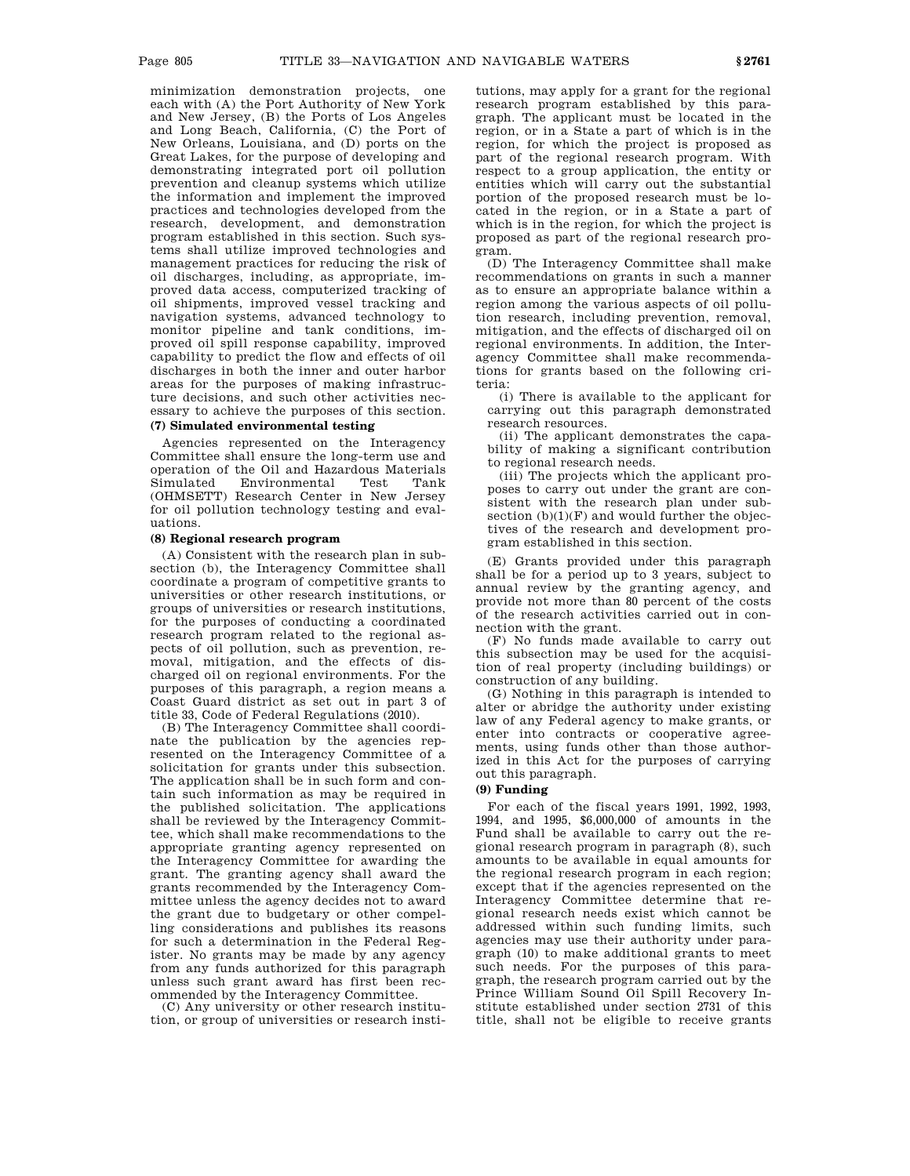minimization demonstration projects, one each with (A) the Port Authority of New York and New Jersey, (B) the Ports of Los Angeles and Long Beach, California, (C) the Port of New Orleans, Louisiana, and (D) ports on the Great Lakes, for the purpose of developing and demonstrating integrated port oil pollution prevention and cleanup systems which utilize the information and implement the improved practices and technologies developed from the research, development, and demonstration program established in this section. Such systems shall utilize improved technologies and management practices for reducing the risk of oil discharges, including, as appropriate, improved data access, computerized tracking of oil shipments, improved vessel tracking and navigation systems, advanced technology to monitor pipeline and tank conditions, improved oil spill response capability, improved capability to predict the flow and effects of oil discharges in both the inner and outer harbor areas for the purposes of making infrastructure decisions, and such other activities necessary to achieve the purposes of this section.

### **(7) Simulated environmental testing**

Agencies represented on the Interagency Committee shall ensure the long-term use and operation of the Oil and Hazardous Materials Environmental (OHMSETT) Research Center in New Jersey for oil pollution technology testing and evaluations.

### **(8) Regional research program**

(A) Consistent with the research plan in subsection (b), the Interagency Committee shall coordinate a program of competitive grants to universities or other research institutions, or groups of universities or research institutions, for the purposes of conducting a coordinated research program related to the regional aspects of oil pollution, such as prevention, removal, mitigation, and the effects of discharged oil on regional environments. For the purposes of this paragraph, a region means a Coast Guard district as set out in part 3 of title 33, Code of Federal Regulations (2010).

(B) The Interagency Committee shall coordinate the publication by the agencies represented on the Interagency Committee of a solicitation for grants under this subsection. The application shall be in such form and contain such information as may be required in the published solicitation. The applications shall be reviewed by the Interagency Committee, which shall make recommendations to the appropriate granting agency represented on the Interagency Committee for awarding the grant. The granting agency shall award the grants recommended by the Interagency Committee unless the agency decides not to award the grant due to budgetary or other compelling considerations and publishes its reasons for such a determination in the Federal Register. No grants may be made by any agency from any funds authorized for this paragraph unless such grant award has first been recommended by the Interagency Committee.

(C) Any university or other research institution, or group of universities or research institutions, may apply for a grant for the regional research program established by this paragraph. The applicant must be located in the region, or in a State a part of which is in the region, for which the project is proposed as part of the regional research program. With respect to a group application, the entity or entities which will carry out the substantial portion of the proposed research must be located in the region, or in a State a part of which is in the region, for which the project is proposed as part of the regional research program.

(D) The Interagency Committee shall make recommendations on grants in such a manner as to ensure an appropriate balance within a region among the various aspects of oil pollution research, including prevention, removal, mitigation, and the effects of discharged oil on regional environments. In addition, the Interagency Committee shall make recommendations for grants based on the following criteria:

(i) There is available to the applicant for carrying out this paragraph demonstrated research resources.

(ii) The applicant demonstrates the capability of making a significant contribution to regional research needs.

(iii) The projects which the applicant proposes to carry out under the grant are consistent with the research plan under subsection  $(b)(1)(F)$  and would further the objectives of the research and development program established in this section.

(E) Grants provided under this paragraph shall be for a period up to 3 years, subject to annual review by the granting agency, and provide not more than 80 percent of the costs of the research activities carried out in connection with the grant.

(F) No funds made available to carry out this subsection may be used for the acquisition of real property (including buildings) or construction of any building.

(G) Nothing in this paragraph is intended to alter or abridge the authority under existing law of any Federal agency to make grants, or enter into contracts or cooperative agreements, using funds other than those authorized in this Act for the purposes of carrying out this paragraph.

### **(9) Funding**

For each of the fiscal years 1991, 1992, 1993, 1994, and 1995, \$6,000,000 of amounts in the Fund shall be available to carry out the regional research program in paragraph (8), such amounts to be available in equal amounts for the regional research program in each region; except that if the agencies represented on the Interagency Committee determine that regional research needs exist which cannot be addressed within such funding limits, such agencies may use their authority under paragraph (10) to make additional grants to meet such needs. For the purposes of this paragraph, the research program carried out by the Prince William Sound Oil Spill Recovery Institute established under section 2731 of this title, shall not be eligible to receive grants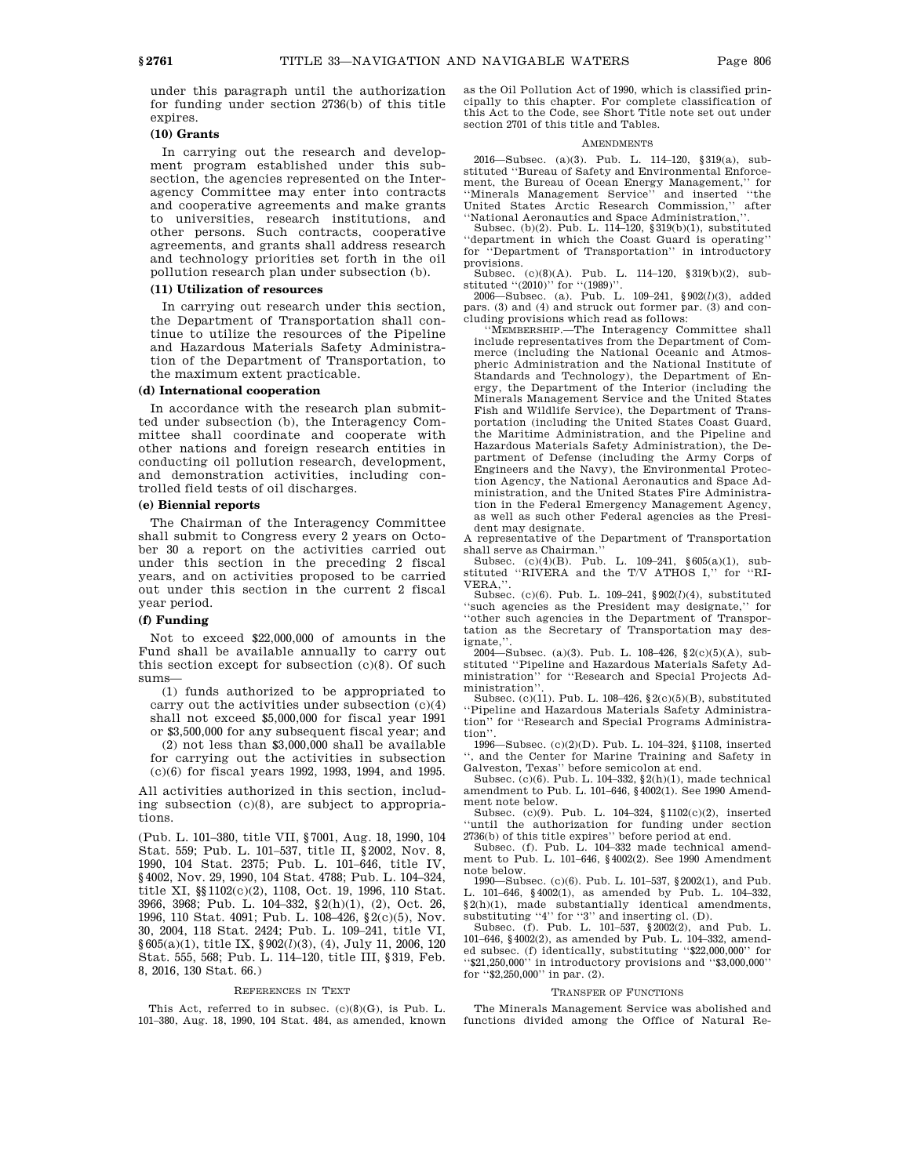under this paragraph until the authorization for funding under section 2736(b) of this title expires.

# **(10) Grants**

In carrying out the research and development program established under this subsection, the agencies represented on the Interagency Committee may enter into contracts and cooperative agreements and make grants to universities, research institutions, and other persons. Such contracts, cooperative agreements, and grants shall address research and technology priorities set forth in the oil pollution research plan under subsection (b).

### **(11) Utilization of resources**

In carrying out research under this section, the Department of Transportation shall continue to utilize the resources of the Pipeline and Hazardous Materials Safety Administration of the Department of Transportation, to the maximum extent practicable.

# **(d) International cooperation**

In accordance with the research plan submitted under subsection (b), the Interagency Committee shall coordinate and cooperate with other nations and foreign research entities in conducting oil pollution research, development, and demonstration activities, including controlled field tests of oil discharges.

# **(e) Biennial reports**

The Chairman of the Interagency Committee shall submit to Congress every 2 years on October 30 a report on the activities carried out under this section in the preceding 2 fiscal years, and on activities proposed to be carried out under this section in the current 2 fiscal year period.

# **(f) Funding**

Not to exceed \$22,000,000 of amounts in the Fund shall be available annually to carry out this section except for subsection (c)(8). Of such sums—

(1) funds authorized to be appropriated to carry out the activities under subsection  $(c)(4)$ shall not exceed \$5,000,000 for fiscal year 1991 or \$3,500,000 for any subsequent fiscal year; and

(2) not less than \$3,000,000 shall be available for carrying out the activities in subsection (c)(6) for fiscal years 1992, 1993, 1994, and 1995.

All activities authorized in this section, including subsection (c)(8), are subject to appropriations.

(Pub. L. 101–380, title VII, §7001, Aug. 18, 1990, 104 Stat. 559; Pub. L. 101–537, title II, §2002, Nov. 8, 1990, 104 Stat. 2375; Pub. L. 101–646, title IV, §4002, Nov. 29, 1990, 104 Stat. 4788; Pub. L. 104–324, title XI, §§1102(c)(2), 1108, Oct. 19, 1996, 110 Stat. 3966, 3968; Pub. L. 104–332, §2(h)(1), (2), Oct. 26, 1996, 110 Stat. 4091; Pub. L. 108–426, §2(c)(5), Nov. 30, 2004, 118 Stat. 2424; Pub. L. 109–241, title VI, §605(a)(1), title IX, §902(*l*)(3), (4), July 11, 2006, 120 Stat. 555, 568; Pub. L. 114–120, title III, §319, Feb. 8, 2016, 130 Stat. 66.)

### REFERENCES IN TEXT

This Act, referred to in subsec. (c)(8)(G), is Pub. L. 101–380, Aug. 18, 1990, 104 Stat. 484, as amended, known as the Oil Pollution Act of 1990, which is classified principally to this chapter. For complete classification of this Act to the Code, see Short Title note set out under section 2701 of this title and Tables.

### **AMENDMENTS**

2016—Subsec. (a)(3). Pub. L. 114–120, §319(a), substituted ''Bureau of Safety and Environmental Enforcement, the Bureau of Ocean Energy Management,'' for ''Minerals Management Service'' and inserted ''the United States Arctic Research Commission,'' after

''National Aeronautics and Space Administration,''. Subsec. (b)(2). Pub. L. 114–120, §319(b)(1), substituted ''department in which the Coast Guard is operating'' "Department of Transportation" in introductory provisions.

Subsec. (c)(8)(A). Pub. L. 114–120, §319(b)(2), substituted "(2010)" for "(1989)".

2006—Subsec. (a). Pub. L. 109–241, §902(*l*)(3), added pars. (3) and (4) and struck out former par. (3) and concluding provisions which read as follows: ''MEMBERSHIP.—The Interagency Committee shall

include representatives from the Department of Commerce (including the National Oceanic and Atmospheric Administration and the National Institute of Standards and Technology), the Department of Energy, the Department of the Interior (including the Minerals Management Service and the United States Fish and Wildlife Service), the Department of Transportation (including the United States Coast Guard, the Maritime Administration, and the Pipeline and Hazardous Materials Safety Administration), the Department of Defense (including the Army Corps of Engineers and the Navy), the Environmental Protection Agency, the National Aeronautics and Space Administration, and the United States Fire Administration in the Federal Emergency Management Agency, as well as such other Federal agencies as the President may designate.

A representative of the Department of Transportation shall serve as Chairman.

Subsec. (c)(4)(B). Pub. L. 109–241,  $\S 605(a)(1)$ , substituted ''RIVERA and the T/V ATHOS I,'' for ''RI-VERA,''.

Subsec. (c)(6). Pub. L. 109–241, §902(*l*)(4), substituted ''such agencies as the President may designate,'' for ''other such agencies in the Department of Transportation as the Secretary of Transportation may designate.'

2004—Subsec. (a)(3). Pub. L. 108–426, §2(c)(5)(A), substituted ''Pipeline and Hazardous Materials Safety Administration'' for ''Research and Special Projects Ad-ministration''.

Subsec. (c)(11). Pub. L. 108–426, §2(c)(5)(B), substituted "Pipeline and Hazardous Materials Safety Administration'' for ''Research and Special Programs Administration''.

1996—Subsec. (c)(2)(D). Pub. L. 104–324, §1108, inserted '', and the Center for Marine Training and Safety in Galveston, Texas'' before semicolon at end.

Subsec. (c)(6). Pub. L. 104–332, §2(h)(1), made technical amendment to Pub. L. 101–646, §4002(1). See 1990 Amend-

ment note below. Subsec. (c)(9). Pub. L. 104–324, §1102(c)(2), inserted ''until the authorization for funding under section 2736(b) of this title expires'' before period at end.

Subsec. (f). Pub. L. 104–332 made technical amendment to Pub. L. 101–646, §4002(2). See 1990 Amendment note below.

1990—Subsec. (c)(6). Pub. L. 101–537, §2002(1), and Pub. L. 101–646, §4002(1), as amended by Pub. L. 104–332, §2(h)(1), made substantially identical amendments, substituting ''4'' for ''3'' and inserting cl. (D).

Subsec. (f). Pub. L. 101–537, §2002(2), and Pub. L. 101–646, §4002(2), as amended by Pub. L. 104–332, amended subsec. (f) identically, substituting "\$22,000,000" for "\$21,250,000" in introductory provisions and "\$3,000,000" for ''\$2,250,000'' in par. (2).

### TRANSFER OF FUNCTIONS

The Minerals Management Service was abolished and functions divided among the Office of Natural Re-